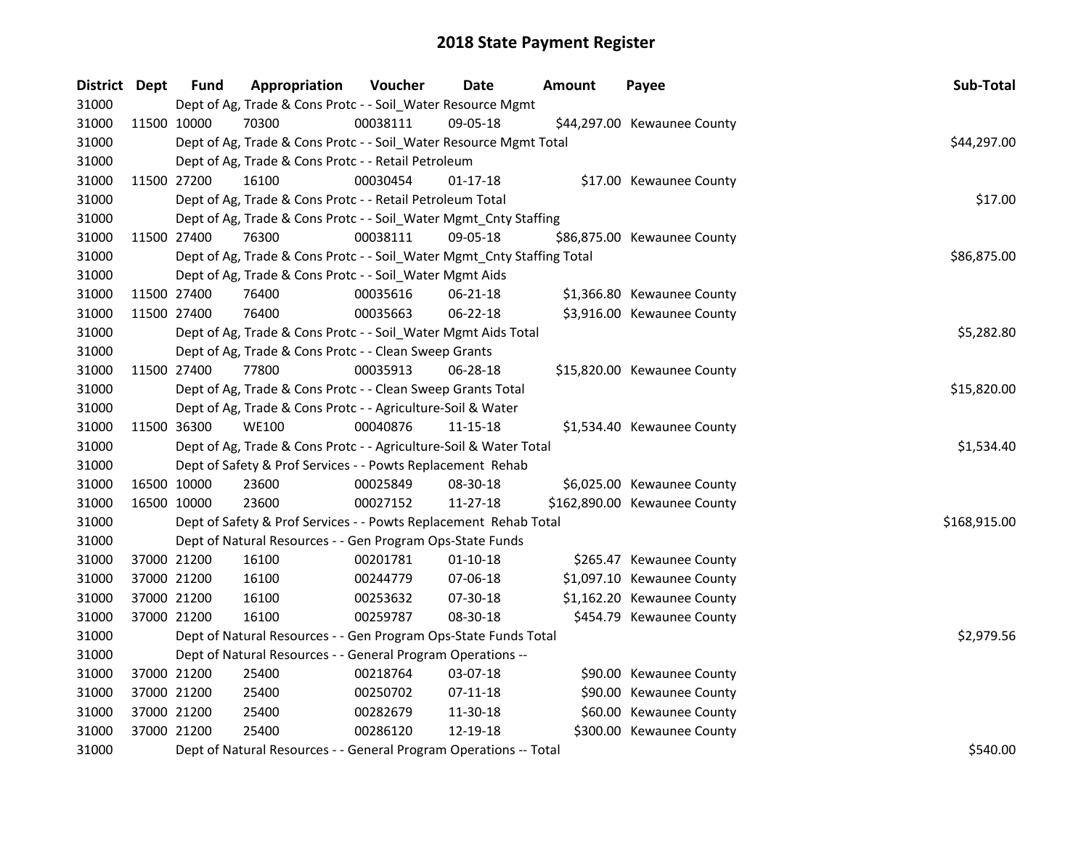| District Dept |             | <b>Fund</b> | Appropriation                                                          | Voucher  | Date           | <b>Amount</b> | Payee                        | Sub-Total    |
|---------------|-------------|-------------|------------------------------------------------------------------------|----------|----------------|---------------|------------------------------|--------------|
| 31000         |             |             | Dept of Ag, Trade & Cons Protc - - Soil_Water Resource Mgmt            |          |                |               |                              |              |
| 31000         |             | 11500 10000 | 70300                                                                  | 00038111 | 09-05-18       |               | \$44,297.00 Kewaunee County  |              |
| 31000         |             |             | Dept of Ag, Trade & Cons Protc - - Soil_Water Resource Mgmt Total      |          |                |               |                              | \$44,297.00  |
| 31000         |             |             | Dept of Ag, Trade & Cons Protc - - Retail Petroleum                    |          |                |               |                              |              |
| 31000         | 11500 27200 |             | 16100                                                                  | 00030454 | $01 - 17 - 18$ |               | \$17.00 Kewaunee County      |              |
| 31000         |             |             | Dept of Ag, Trade & Cons Protc - - Retail Petroleum Total              |          |                |               |                              | \$17.00      |
| 31000         |             |             | Dept of Ag, Trade & Cons Protc - - Soil_Water Mgmt_Cnty Staffing       |          |                |               |                              |              |
| 31000         |             | 11500 27400 | 76300                                                                  | 00038111 | 09-05-18       |               | \$86,875.00 Kewaunee County  |              |
| 31000         |             |             | Dept of Ag, Trade & Cons Protc - - Soil_Water Mgmt_Cnty Staffing Total |          |                |               |                              | \$86,875.00  |
| 31000         |             |             | Dept of Ag, Trade & Cons Protc - - Soil_Water Mgmt Aids                |          |                |               |                              |              |
| 31000         | 11500 27400 |             | 76400                                                                  | 00035616 | 06-21-18       |               | \$1,366.80 Kewaunee County   |              |
| 31000         |             | 11500 27400 | 76400                                                                  | 00035663 | 06-22-18       |               | \$3,916.00 Kewaunee County   |              |
| 31000         |             |             | Dept of Ag, Trade & Cons Protc - - Soil_Water Mgmt Aids Total          |          |                |               |                              | \$5,282.80   |
| 31000         |             |             | Dept of Ag, Trade & Cons Protc - - Clean Sweep Grants                  |          |                |               |                              |              |
| 31000         | 11500 27400 |             | 77800                                                                  | 00035913 | 06-28-18       |               | \$15,820.00 Kewaunee County  |              |
| 31000         |             |             | Dept of Ag, Trade & Cons Protc - - Clean Sweep Grants Total            |          |                |               |                              | \$15,820.00  |
| 31000         |             |             | Dept of Ag, Trade & Cons Protc - - Agriculture-Soil & Water            |          |                |               |                              |              |
| 31000         | 11500 36300 |             | <b>WE100</b>                                                           | 00040876 | $11 - 15 - 18$ |               | \$1,534.40 Kewaunee County   |              |
| 31000         |             |             | Dept of Ag, Trade & Cons Protc - - Agriculture-Soil & Water Total      |          |                |               |                              | \$1,534.40   |
| 31000         |             |             | Dept of Safety & Prof Services - - Powts Replacement Rehab             |          |                |               |                              |              |
| 31000         |             | 16500 10000 | 23600                                                                  | 00025849 | 08-30-18       |               | \$6,025.00 Kewaunee County   |              |
| 31000         | 16500 10000 |             | 23600                                                                  | 00027152 | 11-27-18       |               | \$162,890.00 Kewaunee County |              |
| 31000         |             |             | Dept of Safety & Prof Services - - Powts Replacement Rehab Total       |          |                |               |                              | \$168,915.00 |
| 31000         |             |             | Dept of Natural Resources - - Gen Program Ops-State Funds              |          |                |               |                              |              |
| 31000         | 37000 21200 |             | 16100                                                                  | 00201781 | $01-10-18$     |               | \$265.47 Kewaunee County     |              |
| 31000         |             | 37000 21200 | 16100                                                                  | 00244779 | 07-06-18       |               | \$1,097.10 Kewaunee County   |              |
| 31000         | 37000 21200 |             | 16100                                                                  | 00253632 | 07-30-18       |               | \$1,162.20 Kewaunee County   |              |
| 31000         | 37000 21200 |             | 16100                                                                  | 00259787 | 08-30-18       |               | \$454.79 Kewaunee County     |              |
| 31000         |             |             | Dept of Natural Resources - - Gen Program Ops-State Funds Total        |          |                |               |                              | \$2,979.56   |
| 31000         |             |             | Dept of Natural Resources - - General Program Operations --            |          |                |               |                              |              |
| 31000         |             | 37000 21200 | 25400                                                                  | 00218764 | 03-07-18       |               | \$90.00 Kewaunee County      |              |
| 31000         | 37000 21200 |             | 25400                                                                  | 00250702 | 07-11-18       |               | \$90.00 Kewaunee County      |              |
| 31000         | 37000 21200 |             | 25400                                                                  | 00282679 | 11-30-18       |               | \$60.00 Kewaunee County      |              |
| 31000         | 37000 21200 |             | 25400                                                                  | 00286120 | 12-19-18       |               | \$300.00 Kewaunee County     |              |
| 31000         |             |             | Dept of Natural Resources - - General Program Operations -- Total      |          |                |               |                              | \$540.00     |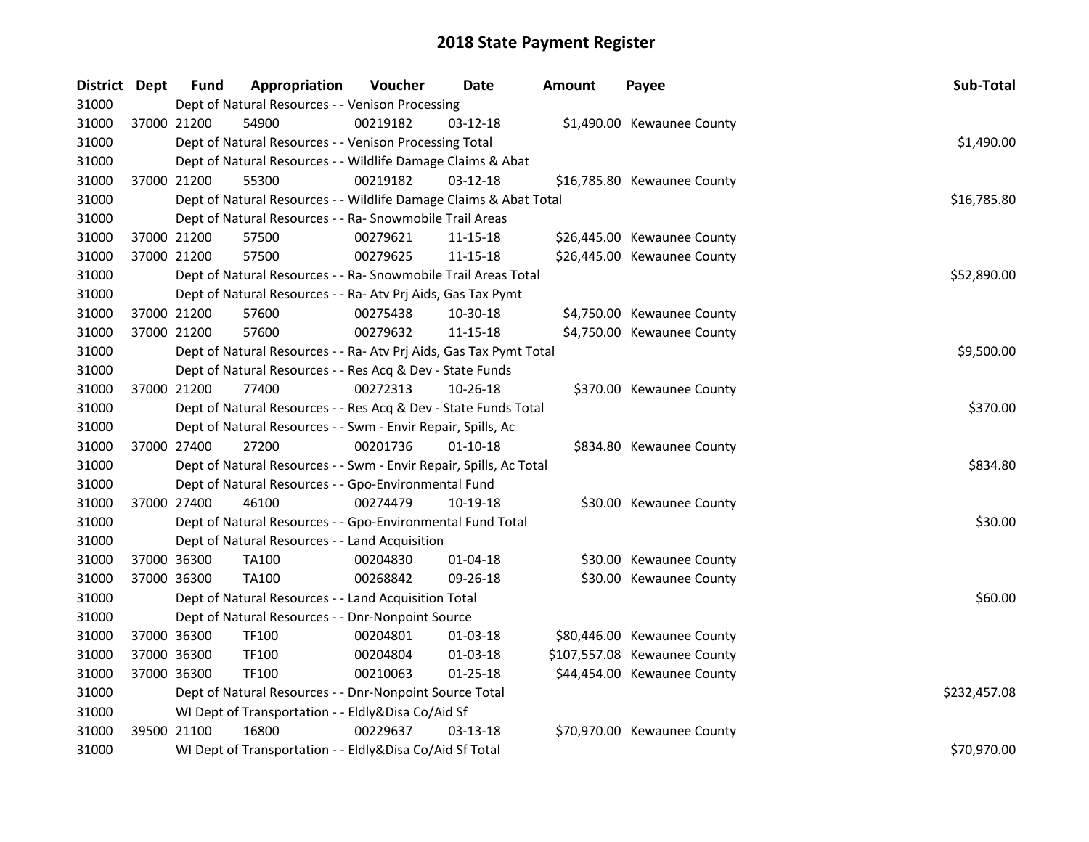| District Dept |             | <b>Fund</b> | Appropriation                                                      | Voucher  | <b>Date</b>    | <b>Amount</b> | Payee                        | Sub-Total    |  |  |  |
|---------------|-------------|-------------|--------------------------------------------------------------------|----------|----------------|---------------|------------------------------|--------------|--|--|--|
| 31000         |             |             | Dept of Natural Resources - - Venison Processing                   |          |                |               |                              |              |  |  |  |
| 31000         | 37000 21200 |             | 54900                                                              | 00219182 | $03 - 12 - 18$ |               | \$1,490.00 Kewaunee County   |              |  |  |  |
| 31000         |             |             | Dept of Natural Resources - - Venison Processing Total             |          |                |               |                              | \$1,490.00   |  |  |  |
| 31000         |             |             | Dept of Natural Resources - - Wildlife Damage Claims & Abat        |          |                |               |                              |              |  |  |  |
| 31000         |             | 37000 21200 | 55300                                                              | 00219182 | $03 - 12 - 18$ |               | \$16,785.80 Kewaunee County  |              |  |  |  |
| 31000         |             |             | Dept of Natural Resources - - Wildlife Damage Claims & Abat Total  |          |                |               |                              | \$16,785.80  |  |  |  |
| 31000         |             |             | Dept of Natural Resources - - Ra- Snowmobile Trail Areas           |          |                |               |                              |              |  |  |  |
| 31000         |             | 37000 21200 | 57500                                                              | 00279621 | 11-15-18       |               | \$26,445.00 Kewaunee County  |              |  |  |  |
| 31000         | 37000 21200 |             | 57500                                                              | 00279625 | 11-15-18       |               | \$26,445.00 Kewaunee County  |              |  |  |  |
| 31000         |             |             | Dept of Natural Resources - - Ra- Snowmobile Trail Areas Total     |          |                |               |                              | \$52,890.00  |  |  |  |
| 31000         |             |             | Dept of Natural Resources - - Ra- Atv Prj Aids, Gas Tax Pymt       |          |                |               |                              |              |  |  |  |
| 31000         |             | 37000 21200 | 57600                                                              | 00275438 | 10-30-18       |               | \$4,750.00 Kewaunee County   |              |  |  |  |
| 31000         | 37000 21200 |             | 57600                                                              | 00279632 | 11-15-18       |               | \$4,750.00 Kewaunee County   |              |  |  |  |
| 31000         |             |             | Dept of Natural Resources - - Ra- Atv Prj Aids, Gas Tax Pymt Total |          |                |               |                              | \$9,500.00   |  |  |  |
| 31000         |             |             | Dept of Natural Resources - - Res Acq & Dev - State Funds          |          |                |               |                              |              |  |  |  |
| 31000         | 37000 21200 |             | 77400                                                              | 00272313 | 10-26-18       |               | \$370.00 Kewaunee County     |              |  |  |  |
| 31000         |             |             | Dept of Natural Resources - - Res Acq & Dev - State Funds Total    |          |                |               |                              | \$370.00     |  |  |  |
| 31000         |             |             | Dept of Natural Resources - - Swm - Envir Repair, Spills, Ac       |          |                |               |                              |              |  |  |  |
| 31000         | 37000 27400 |             | 27200                                                              | 00201736 | $01 - 10 - 18$ |               | \$834.80 Kewaunee County     |              |  |  |  |
| 31000         |             |             | Dept of Natural Resources - - Swm - Envir Repair, Spills, Ac Total |          |                |               |                              | \$834.80     |  |  |  |
| 31000         |             |             | Dept of Natural Resources - - Gpo-Environmental Fund               |          |                |               |                              |              |  |  |  |
| 31000         | 37000 27400 |             | 46100                                                              | 00274479 | 10-19-18       |               | \$30.00 Kewaunee County      |              |  |  |  |
| 31000         |             |             | Dept of Natural Resources - - Gpo-Environmental Fund Total         |          |                |               |                              | \$30.00      |  |  |  |
| 31000         |             |             | Dept of Natural Resources - - Land Acquisition                     |          |                |               |                              |              |  |  |  |
| 31000         |             | 37000 36300 | TA100                                                              | 00204830 | $01 - 04 - 18$ |               | \$30.00 Kewaunee County      |              |  |  |  |
| 31000         | 37000 36300 |             | <b>TA100</b>                                                       | 00268842 | 09-26-18       |               | \$30.00 Kewaunee County      |              |  |  |  |
| 31000         |             |             | Dept of Natural Resources - - Land Acquisition Total               |          |                |               |                              | \$60.00      |  |  |  |
| 31000         |             |             | Dept of Natural Resources - - Dnr-Nonpoint Source                  |          |                |               |                              |              |  |  |  |
| 31000         | 37000 36300 |             | TF100                                                              | 00204801 | 01-03-18       |               | \$80,446.00 Kewaunee County  |              |  |  |  |
| 31000         |             | 37000 36300 | TF100                                                              | 00204804 | 01-03-18       |               | \$107,557.08 Kewaunee County |              |  |  |  |
| 31000         | 37000 36300 |             | <b>TF100</b>                                                       | 00210063 | $01 - 25 - 18$ |               | \$44,454.00 Kewaunee County  |              |  |  |  |
| 31000         |             |             | Dept of Natural Resources - - Dnr-Nonpoint Source Total            |          |                |               |                              | \$232,457.08 |  |  |  |
| 31000         |             |             | WI Dept of Transportation - - Eldly&Disa Co/Aid Sf                 |          |                |               |                              |              |  |  |  |
| 31000         |             | 39500 21100 | 16800                                                              | 00229637 | 03-13-18       |               | \$70,970.00 Kewaunee County  |              |  |  |  |
| 31000         |             |             | WI Dept of Transportation - - Eldly&Disa Co/Aid Sf Total           |          |                |               |                              | \$70,970.00  |  |  |  |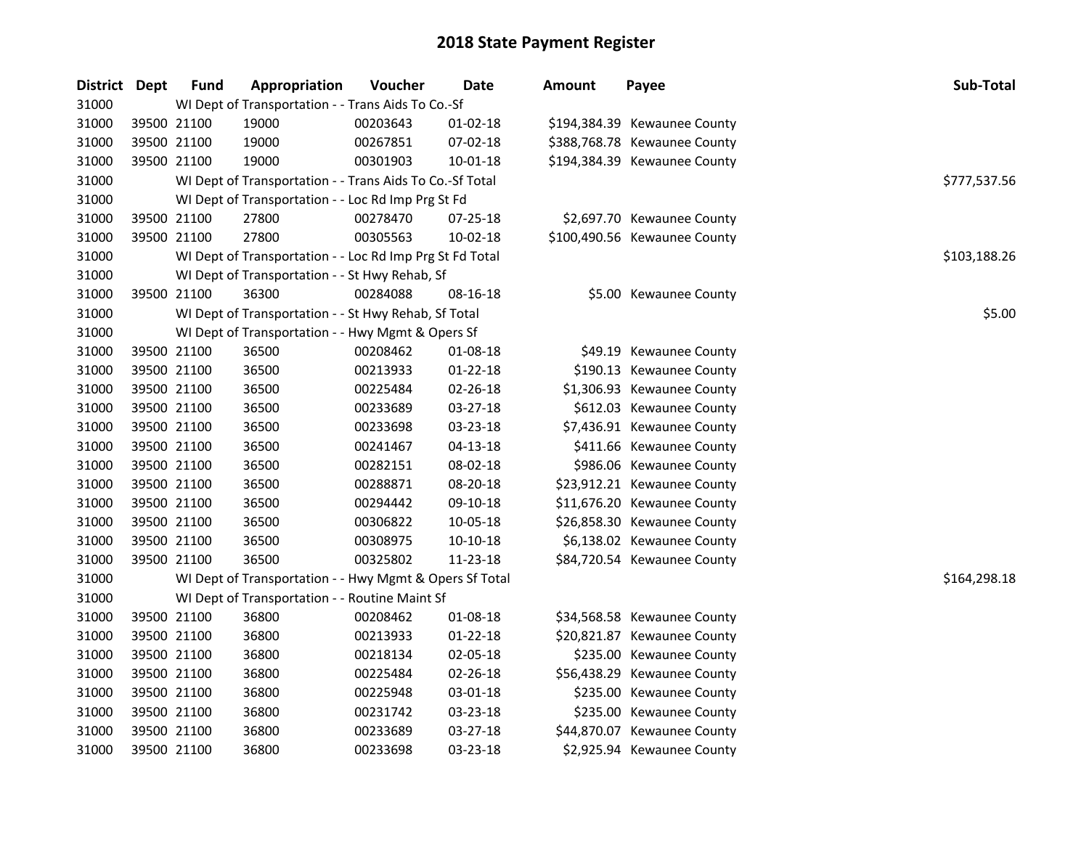| District | Dept        | <b>Fund</b>                                    | Appropriation                                            | Voucher  | Date           | <b>Amount</b> | Payee                        | Sub-Total    |  |  |  |
|----------|-------------|------------------------------------------------|----------------------------------------------------------|----------|----------------|---------------|------------------------------|--------------|--|--|--|
| 31000    |             |                                                | WI Dept of Transportation - - Trans Aids To Co.-Sf       |          |                |               |                              |              |  |  |  |
| 31000    | 39500 21100 |                                                | 19000                                                    | 00203643 | $01-02-18$     |               | \$194,384.39 Kewaunee County |              |  |  |  |
| 31000    | 39500 21100 |                                                | 19000                                                    | 00267851 | 07-02-18       |               | \$388,768.78 Kewaunee County |              |  |  |  |
| 31000    | 39500 21100 |                                                | 19000                                                    | 00301903 | $10 - 01 - 18$ |               | \$194,384.39 Kewaunee County |              |  |  |  |
| 31000    |             |                                                | WI Dept of Transportation - - Trans Aids To Co.-Sf Total |          |                |               |                              | \$777,537.56 |  |  |  |
| 31000    |             |                                                | WI Dept of Transportation - - Loc Rd Imp Prg St Fd       |          |                |               |                              |              |  |  |  |
| 31000    | 39500 21100 |                                                | 27800                                                    | 00278470 | 07-25-18       |               | \$2,697.70 Kewaunee County   |              |  |  |  |
| 31000    | 39500 21100 |                                                | 27800                                                    | 00305563 | 10-02-18       |               | \$100,490.56 Kewaunee County |              |  |  |  |
| 31000    |             |                                                | WI Dept of Transportation - - Loc Rd Imp Prg St Fd Total |          |                |               |                              | \$103,188.26 |  |  |  |
| 31000    |             | WI Dept of Transportation - - St Hwy Rehab, Sf |                                                          |          |                |               |                              |              |  |  |  |
| 31000    | 39500 21100 |                                                | 36300                                                    | 00284088 | 08-16-18       |               | \$5.00 Kewaunee County       |              |  |  |  |
| 31000    |             |                                                | WI Dept of Transportation - - St Hwy Rehab, Sf Total     |          |                |               |                              | \$5.00       |  |  |  |
| 31000    |             |                                                | WI Dept of Transportation - - Hwy Mgmt & Opers Sf        |          |                |               |                              |              |  |  |  |
| 31000    | 39500 21100 |                                                | 36500                                                    | 00208462 | 01-08-18       |               | \$49.19 Kewaunee County      |              |  |  |  |
| 31000    | 39500 21100 |                                                | 36500                                                    | 00213933 | $01 - 22 - 18$ |               | \$190.13 Kewaunee County     |              |  |  |  |
| 31000    | 39500 21100 |                                                | 36500                                                    | 00225484 | 02-26-18       |               | \$1,306.93 Kewaunee County   |              |  |  |  |
| 31000    | 39500 21100 |                                                | 36500                                                    | 00233689 | 03-27-18       |               | \$612.03 Kewaunee County     |              |  |  |  |
| 31000    | 39500 21100 |                                                | 36500                                                    | 00233698 | 03-23-18       |               | \$7,436.91 Kewaunee County   |              |  |  |  |
| 31000    | 39500 21100 |                                                | 36500                                                    | 00241467 | 04-13-18       |               | \$411.66 Kewaunee County     |              |  |  |  |
| 31000    | 39500 21100 |                                                | 36500                                                    | 00282151 | 08-02-18       |               | \$986.06 Kewaunee County     |              |  |  |  |
| 31000    | 39500 21100 |                                                | 36500                                                    | 00288871 | 08-20-18       |               | \$23,912.21 Kewaunee County  |              |  |  |  |
| 31000    | 39500 21100 |                                                | 36500                                                    | 00294442 | 09-10-18       |               | \$11,676.20 Kewaunee County  |              |  |  |  |
| 31000    | 39500 21100 |                                                | 36500                                                    | 00306822 | 10-05-18       |               | \$26,858.30 Kewaunee County  |              |  |  |  |
| 31000    | 39500 21100 |                                                | 36500                                                    | 00308975 | 10-10-18       |               | \$6,138.02 Kewaunee County   |              |  |  |  |
| 31000    | 39500 21100 |                                                | 36500                                                    | 00325802 | 11-23-18       |               | \$84,720.54 Kewaunee County  |              |  |  |  |
| 31000    |             |                                                | WI Dept of Transportation - - Hwy Mgmt & Opers Sf Total  |          |                |               |                              | \$164,298.18 |  |  |  |
| 31000    |             |                                                | WI Dept of Transportation - - Routine Maint Sf           |          |                |               |                              |              |  |  |  |
| 31000    | 39500 21100 |                                                | 36800                                                    | 00208462 | 01-08-18       |               | \$34,568.58 Kewaunee County  |              |  |  |  |
| 31000    | 39500 21100 |                                                | 36800                                                    | 00213933 | $01 - 22 - 18$ |               | \$20,821.87 Kewaunee County  |              |  |  |  |
| 31000    | 39500 21100 |                                                | 36800                                                    | 00218134 | 02-05-18       |               | \$235.00 Kewaunee County     |              |  |  |  |
| 31000    | 39500 21100 |                                                | 36800                                                    | 00225484 | 02-26-18       |               | \$56,438.29 Kewaunee County  |              |  |  |  |
| 31000    | 39500 21100 |                                                | 36800                                                    | 00225948 | 03-01-18       |               | \$235.00 Kewaunee County     |              |  |  |  |
| 31000    | 39500 21100 |                                                | 36800                                                    | 00231742 | 03-23-18       |               | \$235.00 Kewaunee County     |              |  |  |  |
| 31000    | 39500 21100 |                                                | 36800                                                    | 00233689 | 03-27-18       |               | \$44,870.07 Kewaunee County  |              |  |  |  |
| 31000    | 39500 21100 |                                                | 36800                                                    | 00233698 | 03-23-18       |               | \$2,925.94 Kewaunee County   |              |  |  |  |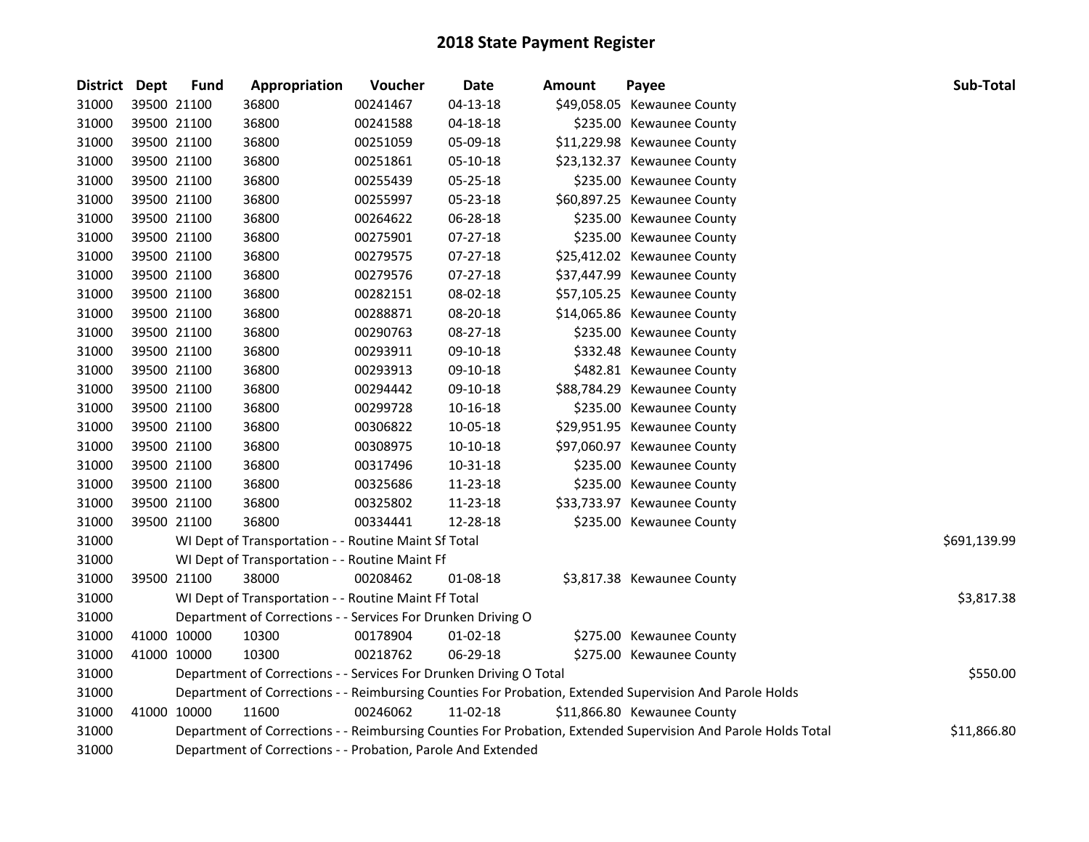| <b>District</b> | Dept        | <b>Fund</b> | Appropriation                                                      | Voucher  | <b>Date</b>    | <b>Amount</b> | Payee                                                                                                         | Sub-Total    |
|-----------------|-------------|-------------|--------------------------------------------------------------------|----------|----------------|---------------|---------------------------------------------------------------------------------------------------------------|--------------|
| 31000           | 39500 21100 |             | 36800                                                              | 00241467 | 04-13-18       |               | \$49,058.05 Kewaunee County                                                                                   |              |
| 31000           | 39500 21100 |             | 36800                                                              | 00241588 | 04-18-18       |               | \$235.00 Kewaunee County                                                                                      |              |
| 31000           | 39500 21100 |             | 36800                                                              | 00251059 | 05-09-18       |               | \$11,229.98 Kewaunee County                                                                                   |              |
| 31000           | 39500 21100 |             | 36800                                                              | 00251861 | 05-10-18       |               | \$23,132.37 Kewaunee County                                                                                   |              |
| 31000           | 39500 21100 |             | 36800                                                              | 00255439 | 05-25-18       |               | \$235.00 Kewaunee County                                                                                      |              |
| 31000           | 39500 21100 |             | 36800                                                              | 00255997 | 05-23-18       |               | \$60,897.25 Kewaunee County                                                                                   |              |
| 31000           | 39500 21100 |             | 36800                                                              | 00264622 | 06-28-18       |               | \$235.00 Kewaunee County                                                                                      |              |
| 31000           | 39500 21100 |             | 36800                                                              | 00275901 | 07-27-18       |               | \$235.00 Kewaunee County                                                                                      |              |
| 31000           | 39500 21100 |             | 36800                                                              | 00279575 | 07-27-18       |               | \$25,412.02 Kewaunee County                                                                                   |              |
| 31000           | 39500 21100 |             | 36800                                                              | 00279576 | 07-27-18       |               | \$37,447.99 Kewaunee County                                                                                   |              |
| 31000           | 39500 21100 |             | 36800                                                              | 00282151 | 08-02-18       |               | \$57,105.25 Kewaunee County                                                                                   |              |
| 31000           | 39500 21100 |             | 36800                                                              | 00288871 | 08-20-18       |               | \$14,065.86 Kewaunee County                                                                                   |              |
| 31000           | 39500 21100 |             | 36800                                                              | 00290763 | 08-27-18       |               | \$235.00 Kewaunee County                                                                                      |              |
| 31000           | 39500 21100 |             | 36800                                                              | 00293911 | 09-10-18       |               | \$332.48 Kewaunee County                                                                                      |              |
| 31000           | 39500 21100 |             | 36800                                                              | 00293913 | 09-10-18       |               | \$482.81 Kewaunee County                                                                                      |              |
| 31000           | 39500 21100 |             | 36800                                                              | 00294442 | 09-10-18       |               | \$88,784.29 Kewaunee County                                                                                   |              |
| 31000           | 39500 21100 |             | 36800                                                              | 00299728 | $10 - 16 - 18$ |               | \$235.00 Kewaunee County                                                                                      |              |
| 31000           | 39500 21100 |             | 36800                                                              | 00306822 | 10-05-18       |               | \$29,951.95 Kewaunee County                                                                                   |              |
| 31000           | 39500 21100 |             | 36800                                                              | 00308975 | $10-10-18$     |               | \$97,060.97 Kewaunee County                                                                                   |              |
| 31000           | 39500 21100 |             | 36800                                                              | 00317496 | 10-31-18       |               | \$235.00 Kewaunee County                                                                                      |              |
| 31000           | 39500 21100 |             | 36800                                                              | 00325686 | 11-23-18       |               | \$235.00 Kewaunee County                                                                                      |              |
| 31000           | 39500 21100 |             | 36800                                                              | 00325802 | 11-23-18       |               | \$33,733.97 Kewaunee County                                                                                   |              |
| 31000           | 39500 21100 |             | 36800                                                              | 00334441 | 12-28-18       |               | \$235.00 Kewaunee County                                                                                      |              |
| 31000           |             |             | WI Dept of Transportation - - Routine Maint Sf Total               |          |                |               |                                                                                                               | \$691,139.99 |
| 31000           |             |             | WI Dept of Transportation - - Routine Maint Ff                     |          |                |               |                                                                                                               |              |
| 31000           | 39500 21100 |             | 38000                                                              | 00208462 | 01-08-18       |               | \$3,817.38 Kewaunee County                                                                                    |              |
| 31000           |             |             | WI Dept of Transportation - - Routine Maint Ff Total               |          |                |               |                                                                                                               | \$3,817.38   |
| 31000           |             |             | Department of Corrections - - Services For Drunken Driving O       |          |                |               |                                                                                                               |              |
| 31000           | 41000 10000 |             | 10300                                                              | 00178904 | 01-02-18       |               | \$275.00 Kewaunee County                                                                                      |              |
| 31000           | 41000 10000 |             | 10300                                                              | 00218762 | 06-29-18       |               | \$275.00 Kewaunee County                                                                                      |              |
| 31000           |             |             | Department of Corrections - - Services For Drunken Driving O Total |          |                |               |                                                                                                               | \$550.00     |
| 31000           |             |             |                                                                    |          |                |               | Department of Corrections - - Reimbursing Counties For Probation, Extended Supervision And Parole Holds       |              |
| 31000           | 41000 10000 |             | 11600                                                              | 00246062 | 11-02-18       |               | \$11,866.80 Kewaunee County                                                                                   |              |
| 31000           |             |             |                                                                    |          |                |               | Department of Corrections - - Reimbursing Counties For Probation, Extended Supervision And Parole Holds Total | \$11,866.80  |
| 31000           |             |             | Department of Corrections - - Probation, Parole And Extended       |          |                |               |                                                                                                               |              |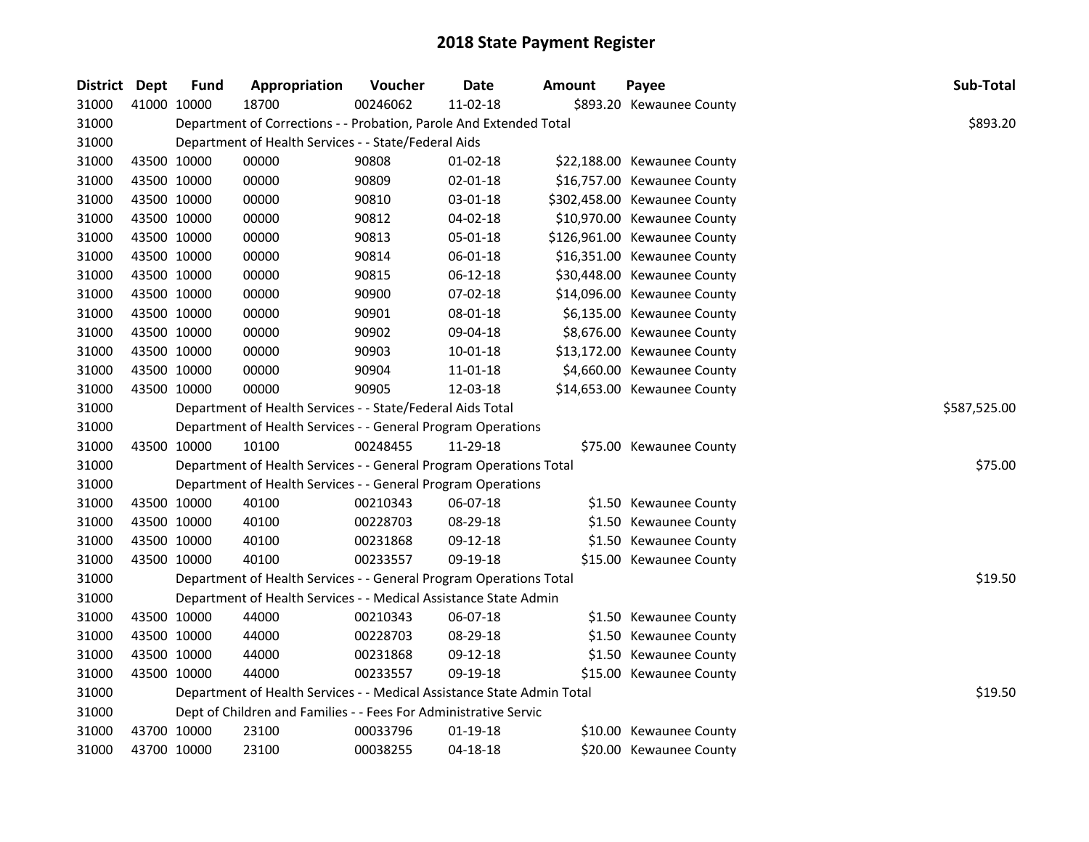| District Dept |             | <b>Fund</b> | Appropriation                                                          | Voucher  | <b>Date</b>    | <b>Amount</b> | Payee                        | Sub-Total    |
|---------------|-------------|-------------|------------------------------------------------------------------------|----------|----------------|---------------|------------------------------|--------------|
| 31000         | 41000 10000 |             | 18700                                                                  | 00246062 | 11-02-18       |               | \$893.20 Kewaunee County     |              |
| 31000         |             |             | Department of Corrections - - Probation, Parole And Extended Total     |          |                |               |                              | \$893.20     |
| 31000         |             |             | Department of Health Services - - State/Federal Aids                   |          |                |               |                              |              |
| 31000         |             | 43500 10000 | 00000                                                                  | 90808    | 01-02-18       |               | \$22,188.00 Kewaunee County  |              |
| 31000         | 43500 10000 |             | 00000                                                                  | 90809    | 02-01-18       |               | \$16,757.00 Kewaunee County  |              |
| 31000         | 43500 10000 |             | 00000                                                                  | 90810    | 03-01-18       |               | \$302,458.00 Kewaunee County |              |
| 31000         | 43500 10000 |             | 00000                                                                  | 90812    | 04-02-18       |               | \$10,970.00 Kewaunee County  |              |
| 31000         | 43500 10000 |             | 00000                                                                  | 90813    | 05-01-18       |               | \$126,961.00 Kewaunee County |              |
| 31000         | 43500 10000 |             | 00000                                                                  | 90814    | 06-01-18       |               | \$16,351.00 Kewaunee County  |              |
| 31000         | 43500 10000 |             | 00000                                                                  | 90815    | $06-12-18$     |               | \$30,448.00 Kewaunee County  |              |
| 31000         | 43500 10000 |             | 00000                                                                  | 90900    | 07-02-18       |               | \$14,096.00 Kewaunee County  |              |
| 31000         | 43500 10000 |             | 00000                                                                  | 90901    | 08-01-18       |               | \$6,135.00 Kewaunee County   |              |
| 31000         | 43500 10000 |             | 00000                                                                  | 90902    | 09-04-18       |               | \$8,676.00 Kewaunee County   |              |
| 31000         | 43500 10000 |             | 00000                                                                  | 90903    | $10 - 01 - 18$ |               | \$13,172.00 Kewaunee County  |              |
| 31000         | 43500 10000 |             | 00000                                                                  | 90904    | 11-01-18       |               | \$4,660.00 Kewaunee County   |              |
| 31000         |             | 43500 10000 | 00000                                                                  | 90905    | 12-03-18       |               | \$14,653.00 Kewaunee County  |              |
| 31000         |             |             | Department of Health Services - - State/Federal Aids Total             |          |                |               |                              | \$587,525.00 |
| 31000         |             |             | Department of Health Services - - General Program Operations           |          |                |               |                              |              |
| 31000         |             | 43500 10000 | 10100                                                                  | 00248455 | 11-29-18       |               | \$75.00 Kewaunee County      |              |
| 31000         |             |             | Department of Health Services - - General Program Operations Total     |          |                |               |                              | \$75.00      |
| 31000         |             |             | Department of Health Services - - General Program Operations           |          |                |               |                              |              |
| 31000         | 43500 10000 |             | 40100                                                                  | 00210343 | 06-07-18       |               | \$1.50 Kewaunee County       |              |
| 31000         | 43500 10000 |             | 40100                                                                  | 00228703 | 08-29-18       |               | \$1.50 Kewaunee County       |              |
| 31000         | 43500 10000 |             | 40100                                                                  | 00231868 | 09-12-18       |               | \$1.50 Kewaunee County       |              |
| 31000         | 43500 10000 |             | 40100                                                                  | 00233557 | 09-19-18       |               | \$15.00 Kewaunee County      |              |
| 31000         |             |             | Department of Health Services - - General Program Operations Total     |          |                |               |                              | \$19.50      |
| 31000         |             |             | Department of Health Services - - Medical Assistance State Admin       |          |                |               |                              |              |
| 31000         | 43500 10000 |             | 44000                                                                  | 00210343 | 06-07-18       |               | \$1.50 Kewaunee County       |              |
| 31000         | 43500 10000 |             | 44000                                                                  | 00228703 | 08-29-18       |               | \$1.50 Kewaunee County       |              |
| 31000         | 43500 10000 |             | 44000                                                                  | 00231868 | 09-12-18       |               | \$1.50 Kewaunee County       |              |
| 31000         |             | 43500 10000 | 44000                                                                  | 00233557 | 09-19-18       |               | \$15.00 Kewaunee County      |              |
| 31000         |             |             | Department of Health Services - - Medical Assistance State Admin Total |          |                |               |                              | \$19.50      |
| 31000         |             |             | Dept of Children and Families - - Fees For Administrative Servic       |          |                |               |                              |              |
| 31000         | 43700 10000 |             | 23100                                                                  | 00033796 | 01-19-18       |               | \$10.00 Kewaunee County      |              |
| 31000         | 43700 10000 |             | 23100                                                                  | 00038255 | $04 - 18 - 18$ |               | \$20.00 Kewaunee County      |              |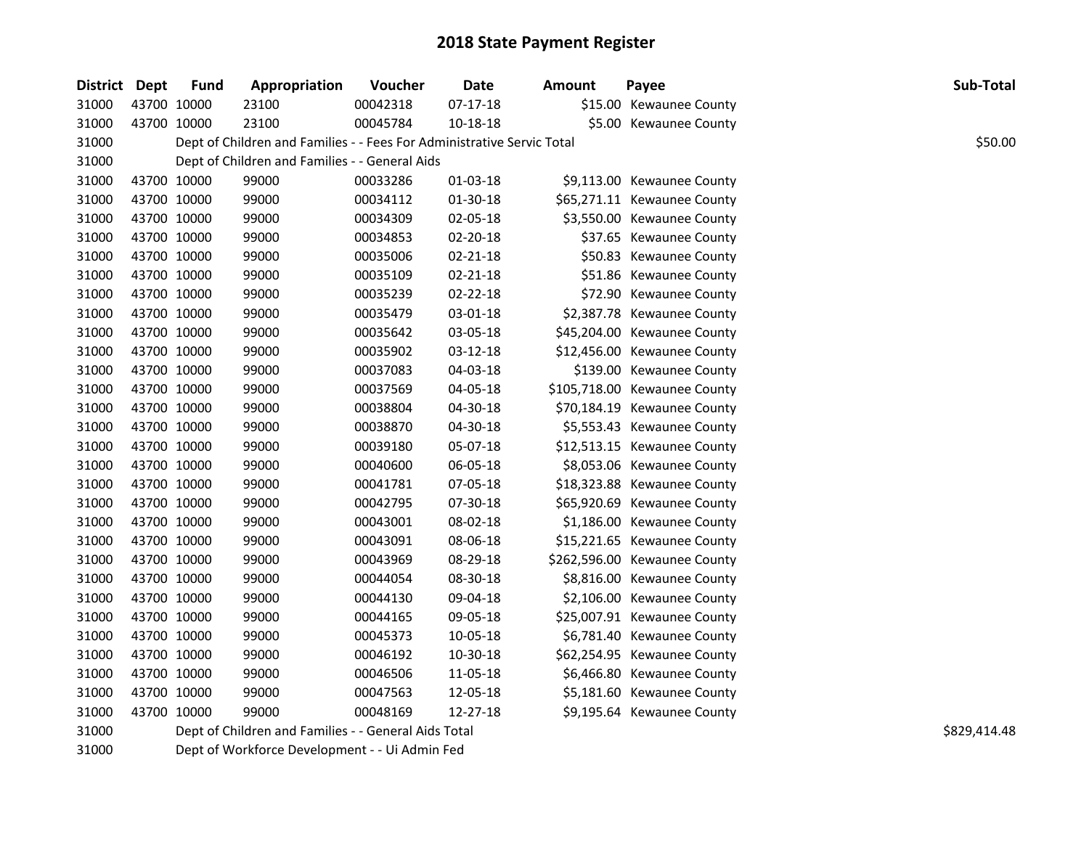| District Dept |             | <b>Fund</b> | Appropriation                                                          | Voucher  | <b>Date</b>    | <b>Amount</b> | Payee                        | Sub-Total    |
|---------------|-------------|-------------|------------------------------------------------------------------------|----------|----------------|---------------|------------------------------|--------------|
| 31000         | 43700 10000 |             | 23100                                                                  | 00042318 | 07-17-18       |               | \$15.00 Kewaunee County      |              |
| 31000         | 43700 10000 |             | 23100                                                                  | 00045784 | 10-18-18       |               | \$5.00 Kewaunee County       |              |
| 31000         |             |             | Dept of Children and Families - - Fees For Administrative Servic Total |          |                |               |                              | \$50.00      |
| 31000         |             |             | Dept of Children and Families - - General Aids                         |          |                |               |                              |              |
| 31000         | 43700 10000 |             | 99000                                                                  | 00033286 | 01-03-18       |               | \$9,113.00 Kewaunee County   |              |
| 31000         | 43700 10000 |             | 99000                                                                  | 00034112 | 01-30-18       |               | \$65,271.11 Kewaunee County  |              |
| 31000         | 43700 10000 |             | 99000                                                                  | 00034309 | 02-05-18       |               | \$3,550.00 Kewaunee County   |              |
| 31000         | 43700 10000 |             | 99000                                                                  | 00034853 | 02-20-18       |               | \$37.65 Kewaunee County      |              |
| 31000         | 43700 10000 |             | 99000                                                                  | 00035006 | 02-21-18       |               | \$50.83 Kewaunee County      |              |
| 31000         | 43700 10000 |             | 99000                                                                  | 00035109 | 02-21-18       |               | \$51.86 Kewaunee County      |              |
| 31000         | 43700 10000 |             | 99000                                                                  | 00035239 | $02 - 22 - 18$ |               | \$72.90 Kewaunee County      |              |
| 31000         | 43700 10000 |             | 99000                                                                  | 00035479 | 03-01-18       |               | \$2,387.78 Kewaunee County   |              |
| 31000         | 43700 10000 |             | 99000                                                                  | 00035642 | 03-05-18       |               | \$45,204.00 Kewaunee County  |              |
| 31000         | 43700 10000 |             | 99000                                                                  | 00035902 | 03-12-18       |               | \$12,456.00 Kewaunee County  |              |
| 31000         | 43700 10000 |             | 99000                                                                  | 00037083 | 04-03-18       |               | \$139.00 Kewaunee County     |              |
| 31000         | 43700 10000 |             | 99000                                                                  | 00037569 | 04-05-18       |               | \$105,718.00 Kewaunee County |              |
| 31000         | 43700 10000 |             | 99000                                                                  | 00038804 | 04-30-18       |               | \$70,184.19 Kewaunee County  |              |
| 31000         | 43700 10000 |             | 99000                                                                  | 00038870 | 04-30-18       |               | \$5,553.43 Kewaunee County   |              |
| 31000         | 43700 10000 |             | 99000                                                                  | 00039180 | 05-07-18       |               | \$12,513.15 Kewaunee County  |              |
| 31000         | 43700 10000 |             | 99000                                                                  | 00040600 | 06-05-18       |               | \$8,053.06 Kewaunee County   |              |
| 31000         | 43700 10000 |             | 99000                                                                  | 00041781 | 07-05-18       |               | \$18,323.88 Kewaunee County  |              |
| 31000         | 43700 10000 |             | 99000                                                                  | 00042795 | 07-30-18       |               | \$65,920.69 Kewaunee County  |              |
| 31000         | 43700 10000 |             | 99000                                                                  | 00043001 | 08-02-18       |               | \$1,186.00 Kewaunee County   |              |
| 31000         | 43700 10000 |             | 99000                                                                  | 00043091 | 08-06-18       |               | \$15,221.65 Kewaunee County  |              |
| 31000         | 43700 10000 |             | 99000                                                                  | 00043969 | 08-29-18       |               | \$262,596.00 Kewaunee County |              |
| 31000         | 43700 10000 |             | 99000                                                                  | 00044054 | 08-30-18       |               | \$8,816.00 Kewaunee County   |              |
| 31000         | 43700 10000 |             | 99000                                                                  | 00044130 | 09-04-18       |               | \$2,106.00 Kewaunee County   |              |
| 31000         | 43700 10000 |             | 99000                                                                  | 00044165 | 09-05-18       |               | \$25,007.91 Kewaunee County  |              |
| 31000         | 43700 10000 |             | 99000                                                                  | 00045373 | 10-05-18       |               | \$6,781.40 Kewaunee County   |              |
| 31000         | 43700 10000 |             | 99000                                                                  | 00046192 | 10-30-18       |               | \$62,254.95 Kewaunee County  |              |
| 31000         | 43700 10000 |             | 99000                                                                  | 00046506 | 11-05-18       |               | \$6,466.80 Kewaunee County   |              |
| 31000         | 43700 10000 |             | 99000                                                                  | 00047563 | 12-05-18       |               | \$5,181.60 Kewaunee County   |              |
| 31000         | 43700 10000 |             | 99000                                                                  | 00048169 | 12-27-18       |               | \$9,195.64 Kewaunee County   |              |
| 31000         |             |             | Dept of Children and Families - - General Aids Total                   |          |                |               |                              | \$829,414.48 |
| 31000         |             |             | Dept of Workforce Development - - Ui Admin Fed                         |          |                |               |                              |              |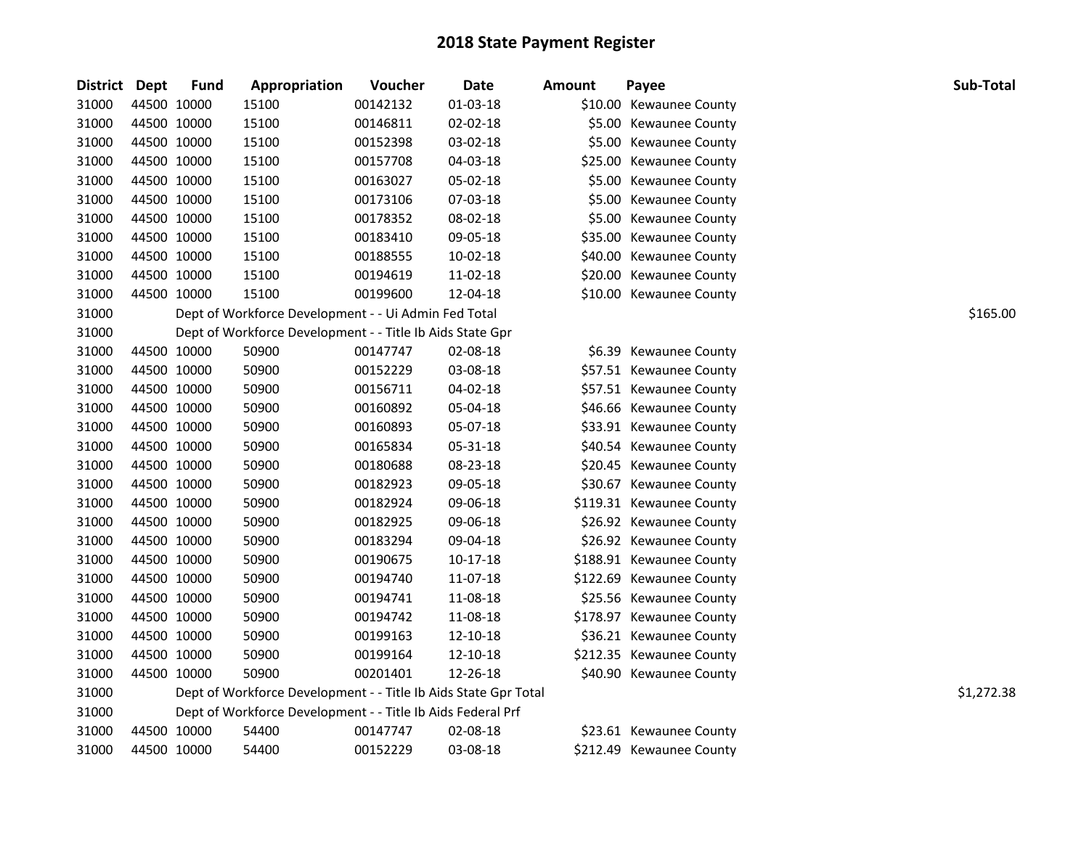| <b>District</b> | Dept        | <b>Fund</b> | Appropriation                                                   | Voucher  | <b>Date</b>    | Amount | Payee                    | Sub-Total  |
|-----------------|-------------|-------------|-----------------------------------------------------------------|----------|----------------|--------|--------------------------|------------|
| 31000           | 44500 10000 |             | 15100                                                           | 00142132 | 01-03-18       |        | \$10.00 Kewaunee County  |            |
| 31000           | 44500 10000 |             | 15100                                                           | 00146811 | $02 - 02 - 18$ |        | \$5.00 Kewaunee County   |            |
| 31000           | 44500 10000 |             | 15100                                                           | 00152398 | 03-02-18       |        | \$5.00 Kewaunee County   |            |
| 31000           | 44500 10000 |             | 15100                                                           | 00157708 | 04-03-18       |        | \$25.00 Kewaunee County  |            |
| 31000           | 44500 10000 |             | 15100                                                           | 00163027 | 05-02-18       |        | \$5.00 Kewaunee County   |            |
| 31000           | 44500 10000 |             | 15100                                                           | 00173106 | 07-03-18       |        | \$5.00 Kewaunee County   |            |
| 31000           | 44500 10000 |             | 15100                                                           | 00178352 | 08-02-18       |        | \$5.00 Kewaunee County   |            |
| 31000           | 44500 10000 |             | 15100                                                           | 00183410 | 09-05-18       |        | \$35.00 Kewaunee County  |            |
| 31000           | 44500 10000 |             | 15100                                                           | 00188555 | 10-02-18       |        | \$40.00 Kewaunee County  |            |
| 31000           | 44500 10000 |             | 15100                                                           | 00194619 | 11-02-18       |        | \$20.00 Kewaunee County  |            |
| 31000           | 44500 10000 |             | 15100                                                           | 00199600 | 12-04-18       |        | \$10.00 Kewaunee County  |            |
| 31000           |             |             | Dept of Workforce Development - - Ui Admin Fed Total            |          |                |        |                          | \$165.00   |
| 31000           |             |             | Dept of Workforce Development - - Title Ib Aids State Gpr       |          |                |        |                          |            |
| 31000           | 44500 10000 |             | 50900                                                           | 00147747 | 02-08-18       |        | \$6.39 Kewaunee County   |            |
| 31000           | 44500 10000 |             | 50900                                                           | 00152229 | 03-08-18       |        | \$57.51 Kewaunee County  |            |
| 31000           | 44500 10000 |             | 50900                                                           | 00156711 | 04-02-18       |        | \$57.51 Kewaunee County  |            |
| 31000           | 44500 10000 |             | 50900                                                           | 00160892 | 05-04-18       |        | \$46.66 Kewaunee County  |            |
| 31000           | 44500 10000 |             | 50900                                                           | 00160893 | 05-07-18       |        | \$33.91 Kewaunee County  |            |
| 31000           | 44500 10000 |             | 50900                                                           | 00165834 | 05-31-18       |        | \$40.54 Kewaunee County  |            |
| 31000           | 44500 10000 |             | 50900                                                           | 00180688 | 08-23-18       |        | \$20.45 Kewaunee County  |            |
| 31000           | 44500 10000 |             | 50900                                                           | 00182923 | 09-05-18       |        | \$30.67 Kewaunee County  |            |
| 31000           | 44500 10000 |             | 50900                                                           | 00182924 | 09-06-18       |        | \$119.31 Kewaunee County |            |
| 31000           | 44500 10000 |             | 50900                                                           | 00182925 | 09-06-18       |        | \$26.92 Kewaunee County  |            |
| 31000           | 44500 10000 |             | 50900                                                           | 00183294 | 09-04-18       |        | \$26.92 Kewaunee County  |            |
| 31000           | 44500 10000 |             | 50900                                                           | 00190675 | 10-17-18       |        | \$188.91 Kewaunee County |            |
| 31000           | 44500 10000 |             | 50900                                                           | 00194740 | 11-07-18       |        | \$122.69 Kewaunee County |            |
| 31000           | 44500 10000 |             | 50900                                                           | 00194741 | 11-08-18       |        | \$25.56 Kewaunee County  |            |
| 31000           | 44500 10000 |             | 50900                                                           | 00194742 | 11-08-18       |        | \$178.97 Kewaunee County |            |
| 31000           | 44500 10000 |             | 50900                                                           | 00199163 | 12-10-18       |        | \$36.21 Kewaunee County  |            |
| 31000           | 44500 10000 |             | 50900                                                           | 00199164 | 12-10-18       |        | \$212.35 Kewaunee County |            |
| 31000           | 44500 10000 |             | 50900                                                           | 00201401 | 12-26-18       |        | \$40.90 Kewaunee County  |            |
| 31000           |             |             | Dept of Workforce Development - - Title Ib Aids State Gpr Total |          |                |        |                          | \$1,272.38 |
| 31000           |             |             | Dept of Workforce Development - - Title Ib Aids Federal Prf     |          |                |        |                          |            |
| 31000           | 44500 10000 |             | 54400                                                           | 00147747 | 02-08-18       |        | \$23.61 Kewaunee County  |            |
| 31000           | 44500 10000 |             | 54400                                                           | 00152229 | 03-08-18       |        | \$212.49 Kewaunee County |            |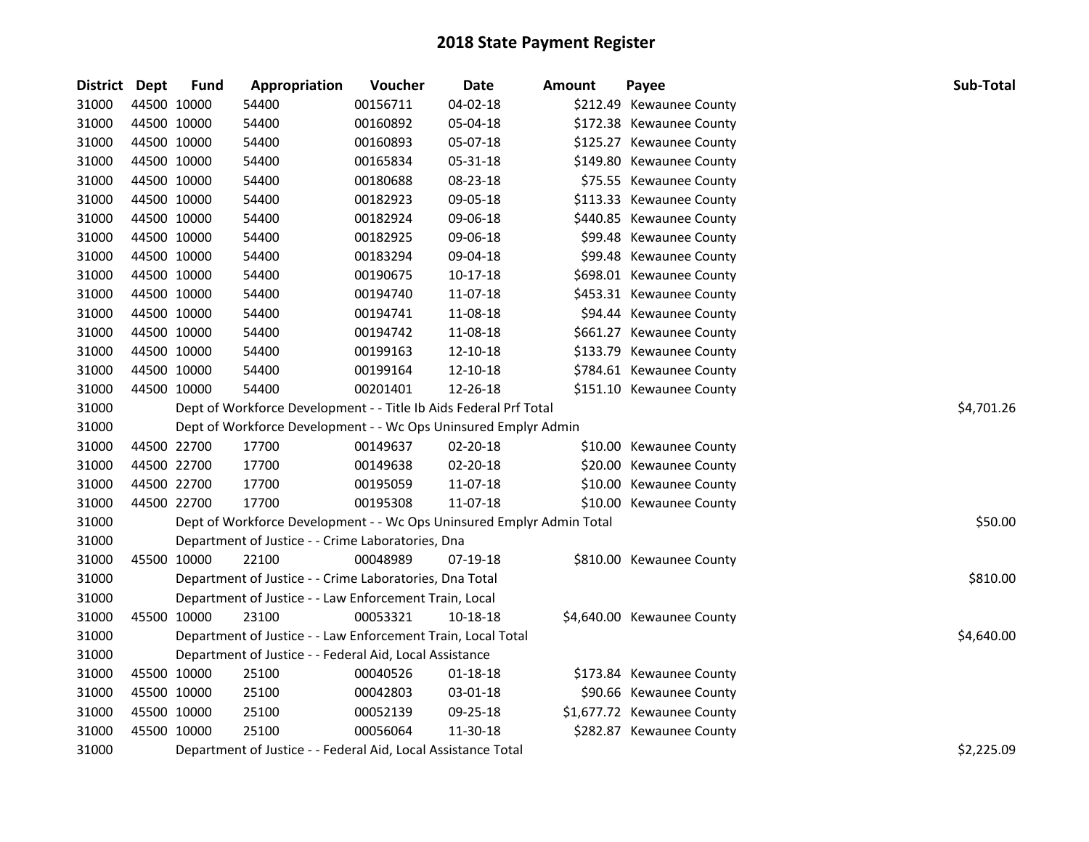| <b>District</b> | Dept        | <b>Fund</b> | Appropriation                                                         | Voucher    | <b>Date</b> | <b>Amount</b> | Payee                      | Sub-Total  |
|-----------------|-------------|-------------|-----------------------------------------------------------------------|------------|-------------|---------------|----------------------------|------------|
| 31000           | 44500 10000 |             | 54400                                                                 | 00156711   | 04-02-18    |               | \$212.49 Kewaunee County   |            |
| 31000           | 44500 10000 |             | 54400                                                                 | 00160892   | 05-04-18    |               | \$172.38 Kewaunee County   |            |
| 31000           | 44500 10000 |             | 54400                                                                 | 00160893   | 05-07-18    |               | \$125.27 Kewaunee County   |            |
| 31000           | 44500 10000 |             | 54400                                                                 | 00165834   | 05-31-18    |               | \$149.80 Kewaunee County   |            |
| 31000           | 44500 10000 |             | 54400                                                                 | 00180688   | 08-23-18    |               | \$75.55 Kewaunee County    |            |
| 31000           | 44500 10000 |             | 54400                                                                 | 00182923   | 09-05-18    |               | \$113.33 Kewaunee County   |            |
| 31000           | 44500 10000 |             | 54400                                                                 | 00182924   | 09-06-18    |               | \$440.85 Kewaunee County   |            |
| 31000           | 44500 10000 |             | 54400                                                                 | 00182925   | 09-06-18    |               | \$99.48 Kewaunee County    |            |
| 31000           | 44500 10000 |             | 54400                                                                 | 00183294   | 09-04-18    |               | \$99.48 Kewaunee County    |            |
| 31000           | 44500 10000 |             | 54400                                                                 | 00190675   | $10-17-18$  |               | \$698.01 Kewaunee County   |            |
| 31000           | 44500 10000 |             | 54400                                                                 | 00194740   | 11-07-18    |               | \$453.31 Kewaunee County   |            |
| 31000           | 44500 10000 |             | 54400                                                                 | 00194741   | 11-08-18    |               | \$94.44 Kewaunee County    |            |
| 31000           | 44500 10000 |             | 54400                                                                 | 00194742   | 11-08-18    |               | \$661.27 Kewaunee County   |            |
| 31000           | 44500 10000 |             | 54400                                                                 | 00199163   | 12-10-18    |               | \$133.79 Kewaunee County   |            |
| 31000           | 44500 10000 |             | 54400                                                                 | 00199164   | 12-10-18    |               | \$784.61 Kewaunee County   |            |
| 31000           | 44500 10000 |             | 54400                                                                 | 00201401   | 12-26-18    |               | \$151.10 Kewaunee County   |            |
| 31000           |             |             | Dept of Workforce Development - - Title Ib Aids Federal Prf Total     | \$4,701.26 |             |               |                            |            |
| 31000           |             |             | Dept of Workforce Development - - Wc Ops Uninsured Emplyr Admin       |            |             |               |                            |            |
| 31000           | 44500 22700 |             | 17700                                                                 | 00149637   | 02-20-18    |               | \$10.00 Kewaunee County    |            |
| 31000           | 44500 22700 |             | 17700                                                                 | 00149638   | 02-20-18    |               | \$20.00 Kewaunee County    |            |
| 31000           | 44500 22700 |             | 17700                                                                 | 00195059   | 11-07-18    |               | \$10.00 Kewaunee County    |            |
| 31000           | 44500 22700 |             | 17700                                                                 | 00195308   | 11-07-18    |               | \$10.00 Kewaunee County    |            |
| 31000           |             |             | Dept of Workforce Development - - Wc Ops Uninsured Emplyr Admin Total |            |             |               |                            | \$50.00    |
| 31000           |             |             | Department of Justice - - Crime Laboratories, Dna                     |            |             |               |                            |            |
| 31000           | 45500 10000 |             | 22100                                                                 | 00048989   | 07-19-18    |               | \$810.00 Kewaunee County   |            |
| 31000           |             |             | Department of Justice - - Crime Laboratories, Dna Total               |            |             |               |                            | \$810.00   |
| 31000           |             |             | Department of Justice - - Law Enforcement Train, Local                |            |             |               |                            |            |
| 31000           | 45500 10000 |             | 23100                                                                 | 00053321   | 10-18-18    |               | \$4,640.00 Kewaunee County |            |
| 31000           |             |             | Department of Justice - - Law Enforcement Train, Local Total          |            |             |               |                            | \$4,640.00 |
| 31000           |             |             | Department of Justice - - Federal Aid, Local Assistance               |            |             |               |                            |            |
| 31000           | 45500 10000 |             | 25100                                                                 | 00040526   | 01-18-18    |               | \$173.84 Kewaunee County   |            |
| 31000           | 45500 10000 |             | 25100                                                                 | 00042803   | 03-01-18    |               | \$90.66 Kewaunee County    |            |
| 31000           | 45500 10000 |             | 25100                                                                 | 00052139   | 09-25-18    |               | \$1,677.72 Kewaunee County |            |
| 31000           | 45500 10000 |             | 25100                                                                 | 00056064   | 11-30-18    |               | \$282.87 Kewaunee County   |            |
| 31000           |             |             | Department of Justice - - Federal Aid, Local Assistance Total         |            |             |               |                            | \$2,225.09 |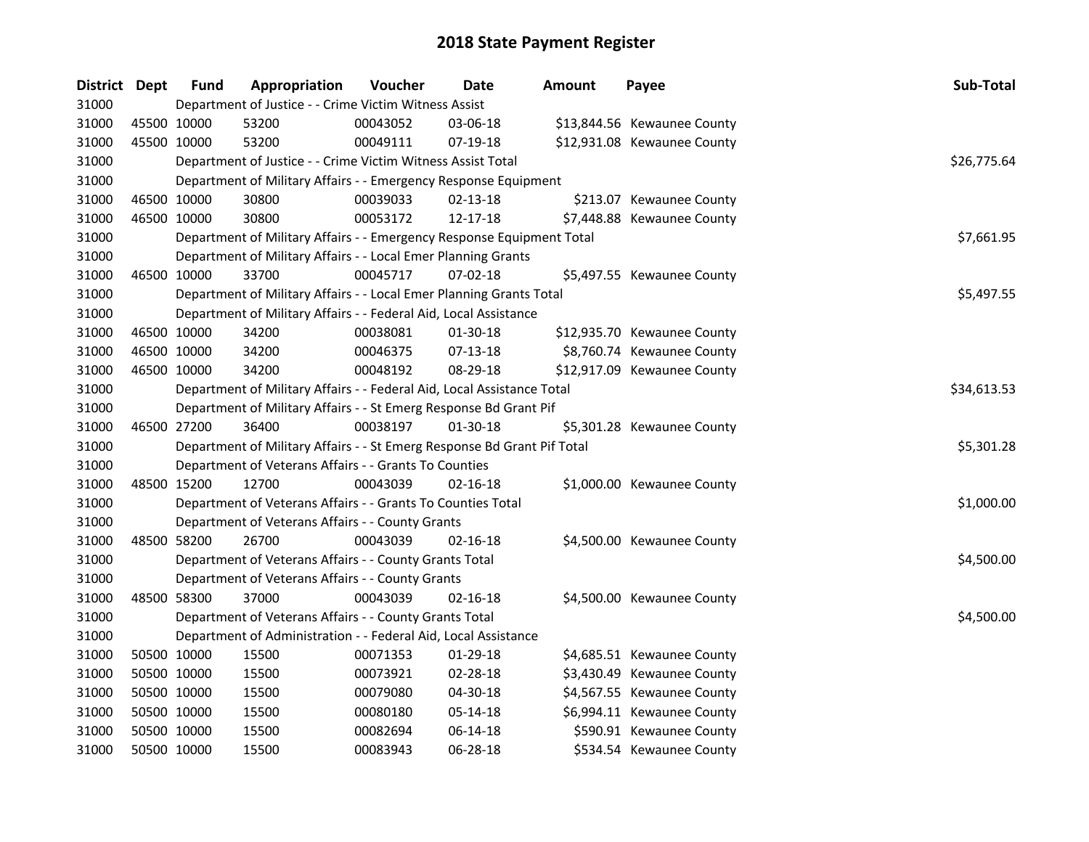| District Dept |             | <b>Fund</b> | Appropriation                                                           | Voucher  | Date           | Amount | Payee                       | Sub-Total   |
|---------------|-------------|-------------|-------------------------------------------------------------------------|----------|----------------|--------|-----------------------------|-------------|
| 31000         |             |             | Department of Justice - - Crime Victim Witness Assist                   |          |                |        |                             |             |
| 31000         | 45500 10000 |             | 53200                                                                   | 00043052 | 03-06-18       |        | \$13,844.56 Kewaunee County |             |
| 31000         | 45500 10000 |             | 53200                                                                   | 00049111 | 07-19-18       |        | \$12,931.08 Kewaunee County |             |
| 31000         |             |             | Department of Justice - - Crime Victim Witness Assist Total             |          |                |        |                             | \$26,775.64 |
| 31000         |             |             | Department of Military Affairs - - Emergency Response Equipment         |          |                |        |                             |             |
| 31000         | 46500 10000 |             | 30800                                                                   | 00039033 | $02 - 13 - 18$ |        | \$213.07 Kewaunee County    |             |
| 31000         | 46500 10000 |             | 30800                                                                   | 00053172 | 12-17-18       |        | \$7,448.88 Kewaunee County  |             |
| 31000         |             |             | Department of Military Affairs - - Emergency Response Equipment Total   |          |                |        |                             | \$7,661.95  |
| 31000         |             |             | Department of Military Affairs - - Local Emer Planning Grants           |          |                |        |                             |             |
| 31000         | 46500 10000 |             | 33700                                                                   | 00045717 | 07-02-18       |        | \$5,497.55 Kewaunee County  |             |
| 31000         |             |             | Department of Military Affairs - - Local Emer Planning Grants Total     |          |                |        |                             | \$5,497.55  |
| 31000         |             |             | Department of Military Affairs - - Federal Aid, Local Assistance        |          |                |        |                             |             |
| 31000         | 46500 10000 |             | 34200                                                                   | 00038081 | 01-30-18       |        | \$12,935.70 Kewaunee County |             |
| 31000         | 46500 10000 |             | 34200                                                                   | 00046375 | 07-13-18       |        | \$8,760.74 Kewaunee County  |             |
| 31000         | 46500 10000 |             | 34200                                                                   | 00048192 | 08-29-18       |        | \$12,917.09 Kewaunee County |             |
| 31000         |             |             | Department of Military Affairs - - Federal Aid, Local Assistance Total  |          |                |        |                             | \$34,613.53 |
| 31000         |             |             | Department of Military Affairs - - St Emerg Response Bd Grant Pif       |          |                |        |                             |             |
| 31000         | 46500 27200 |             | 36400                                                                   | 00038197 | 01-30-18       |        | \$5,301.28 Kewaunee County  |             |
| 31000         |             |             | Department of Military Affairs - - St Emerg Response Bd Grant Pif Total |          |                |        |                             | \$5,301.28  |
| 31000         |             |             | Department of Veterans Affairs - - Grants To Counties                   |          |                |        |                             |             |
| 31000         | 48500 15200 |             | 12700                                                                   | 00043039 | $02 - 16 - 18$ |        | \$1,000.00 Kewaunee County  |             |
| 31000         |             |             | Department of Veterans Affairs - - Grants To Counties Total             |          |                |        |                             | \$1,000.00  |
| 31000         |             |             | Department of Veterans Affairs - - County Grants                        |          |                |        |                             |             |
| 31000         | 48500 58200 |             | 26700                                                                   | 00043039 | 02-16-18       |        | \$4,500.00 Kewaunee County  |             |
| 31000         |             |             | Department of Veterans Affairs - - County Grants Total                  |          |                |        |                             | \$4,500.00  |
| 31000         |             |             | Department of Veterans Affairs - - County Grants                        |          |                |        |                             |             |
| 31000         | 48500 58300 |             | 37000                                                                   | 00043039 | 02-16-18       |        | \$4,500.00 Kewaunee County  |             |
| 31000         |             |             | Department of Veterans Affairs - - County Grants Total                  |          |                |        |                             | \$4,500.00  |
| 31000         |             |             | Department of Administration - - Federal Aid, Local Assistance          |          |                |        |                             |             |
| 31000         | 50500 10000 |             | 15500                                                                   | 00071353 | 01-29-18       |        | \$4,685.51 Kewaunee County  |             |
| 31000         | 50500 10000 |             | 15500                                                                   | 00073921 | 02-28-18       |        | \$3,430.49 Kewaunee County  |             |
| 31000         | 50500 10000 |             | 15500                                                                   | 00079080 | 04-30-18       |        | \$4,567.55 Kewaunee County  |             |
| 31000         | 50500 10000 |             | 15500                                                                   | 00080180 | 05-14-18       |        | \$6,994.11 Kewaunee County  |             |
| 31000         | 50500 10000 |             | 15500                                                                   | 00082694 | 06-14-18       |        | \$590.91 Kewaunee County    |             |
| 31000         | 50500 10000 |             | 15500                                                                   | 00083943 | 06-28-18       |        | \$534.54 Kewaunee County    |             |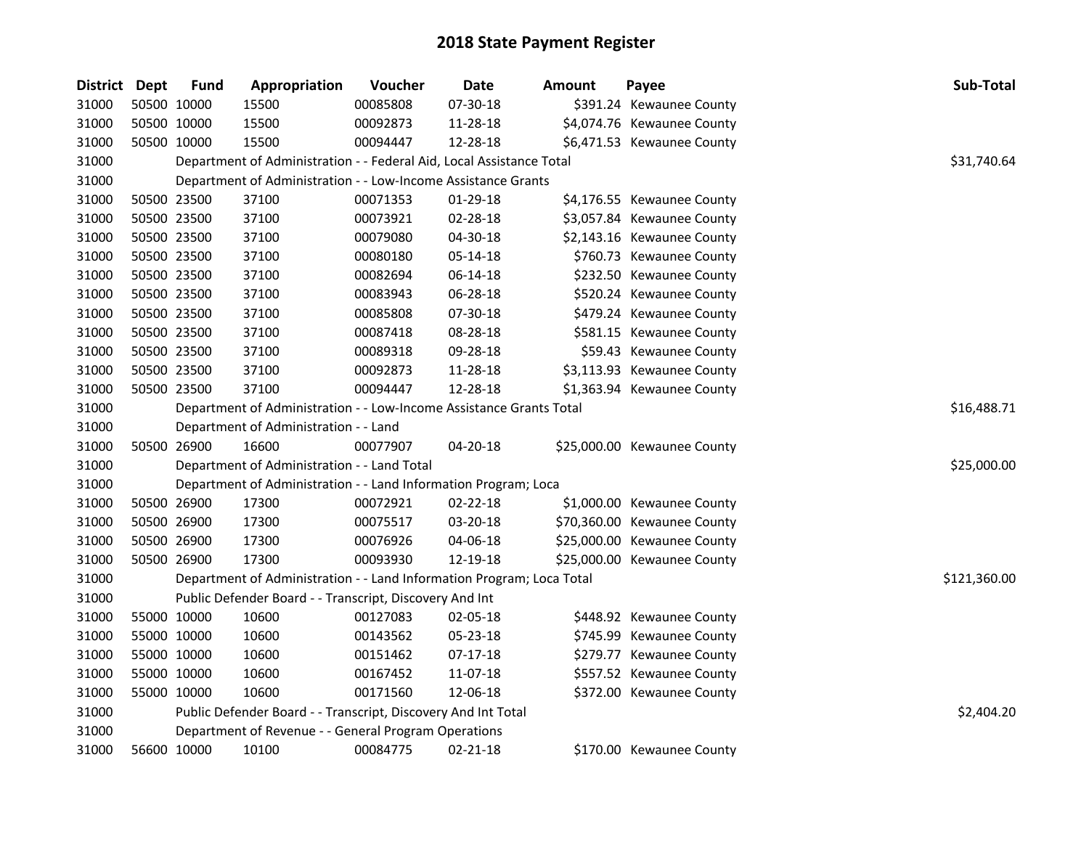| District Dept |             | <b>Fund</b> | Appropriation                                                         | Voucher  | Date       | Amount | Payee                       | Sub-Total    |
|---------------|-------------|-------------|-----------------------------------------------------------------------|----------|------------|--------|-----------------------------|--------------|
| 31000         | 50500 10000 |             | 15500                                                                 | 00085808 | 07-30-18   |        | \$391.24 Kewaunee County    |              |
| 31000         | 50500 10000 |             | 15500                                                                 | 00092873 | 11-28-18   |        | \$4,074.76 Kewaunee County  |              |
| 31000         | 50500 10000 |             | 15500                                                                 | 00094447 | 12-28-18   |        | \$6,471.53 Kewaunee County  |              |
| 31000         |             |             | Department of Administration - - Federal Aid, Local Assistance Total  |          |            |        |                             | \$31,740.64  |
| 31000         |             |             | Department of Administration - - Low-Income Assistance Grants         |          |            |        |                             |              |
| 31000         | 50500 23500 |             | 37100                                                                 | 00071353 | $01-29-18$ |        | \$4,176.55 Kewaunee County  |              |
| 31000         | 50500 23500 |             | 37100                                                                 | 00073921 | 02-28-18   |        | \$3,057.84 Kewaunee County  |              |
| 31000         | 50500 23500 |             | 37100                                                                 | 00079080 | 04-30-18   |        | \$2,143.16 Kewaunee County  |              |
| 31000         | 50500 23500 |             | 37100                                                                 | 00080180 | 05-14-18   |        | \$760.73 Kewaunee County    |              |
| 31000         | 50500 23500 |             | 37100                                                                 | 00082694 | 06-14-18   |        | \$232.50 Kewaunee County    |              |
| 31000         | 50500 23500 |             | 37100                                                                 | 00083943 | 06-28-18   |        | \$520.24 Kewaunee County    |              |
| 31000         | 50500 23500 |             | 37100                                                                 | 00085808 | 07-30-18   |        | \$479.24 Kewaunee County    |              |
| 31000         | 50500 23500 |             | 37100                                                                 | 00087418 | 08-28-18   |        | \$581.15 Kewaunee County    |              |
| 31000         | 50500 23500 |             | 37100                                                                 | 00089318 | 09-28-18   |        | \$59.43 Kewaunee County     |              |
| 31000         | 50500 23500 |             | 37100                                                                 | 00092873 | 11-28-18   |        | \$3,113.93 Kewaunee County  |              |
| 31000         | 50500 23500 |             | 37100                                                                 | 00094447 | 12-28-18   |        | \$1,363.94 Kewaunee County  |              |
| 31000         |             |             | Department of Administration - - Low-Income Assistance Grants Total   |          |            |        |                             | \$16,488.71  |
| 31000         |             |             | Department of Administration - - Land                                 |          |            |        |                             |              |
| 31000         | 50500 26900 |             | 16600                                                                 | 00077907 | 04-20-18   |        | \$25,000.00 Kewaunee County |              |
| 31000         |             |             | Department of Administration - - Land Total                           |          |            |        |                             | \$25,000.00  |
| 31000         |             |             | Department of Administration - - Land Information Program; Loca       |          |            |        |                             |              |
| 31000         |             | 50500 26900 | 17300                                                                 | 00072921 | 02-22-18   |        | \$1,000.00 Kewaunee County  |              |
| 31000         | 50500 26900 |             | 17300                                                                 | 00075517 | 03-20-18   |        | \$70,360.00 Kewaunee County |              |
| 31000         | 50500 26900 |             | 17300                                                                 | 00076926 | 04-06-18   |        | \$25,000.00 Kewaunee County |              |
| 31000         | 50500 26900 |             | 17300                                                                 | 00093930 | 12-19-18   |        | \$25,000.00 Kewaunee County |              |
| 31000         |             |             | Department of Administration - - Land Information Program; Loca Total |          |            |        |                             | \$121,360.00 |
| 31000         |             |             | Public Defender Board - - Transcript, Discovery And Int               |          |            |        |                             |              |
| 31000         | 55000 10000 |             | 10600                                                                 | 00127083 | 02-05-18   |        | \$448.92 Kewaunee County    |              |
| 31000         | 55000 10000 |             | 10600                                                                 | 00143562 | 05-23-18   |        | \$745.99 Kewaunee County    |              |
| 31000         | 55000 10000 |             | 10600                                                                 | 00151462 | 07-17-18   |        | \$279.77 Kewaunee County    |              |
| 31000         | 55000 10000 |             | 10600                                                                 | 00167452 | 11-07-18   |        | \$557.52 Kewaunee County    |              |
| 31000         | 55000 10000 |             | 10600                                                                 | 00171560 | 12-06-18   |        | \$372.00 Kewaunee County    |              |
| 31000         |             |             | Public Defender Board - - Transcript, Discovery And Int Total         |          |            |        |                             | \$2,404.20   |
| 31000         |             |             | Department of Revenue - - General Program Operations                  |          |            |        |                             |              |
| 31000         |             | 56600 10000 | 10100                                                                 | 00084775 | 02-21-18   |        | \$170.00 Kewaunee County    |              |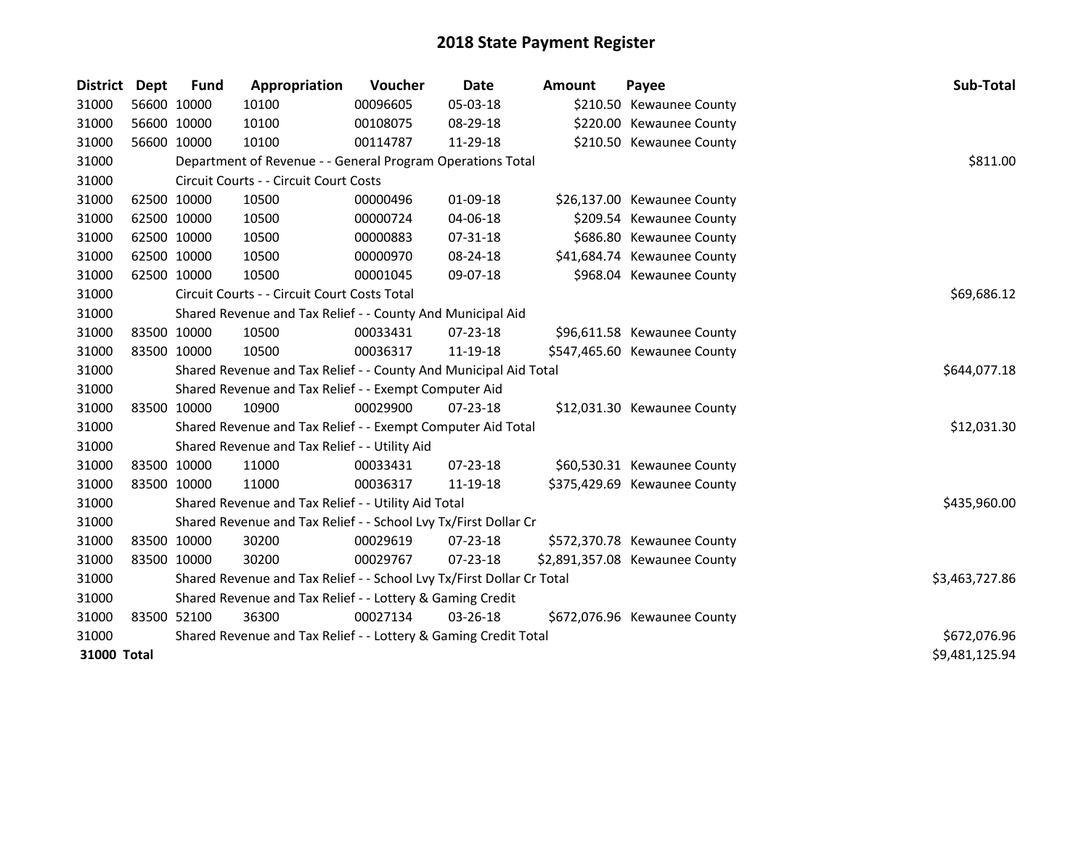| District    | Dept        | <b>Fund</b>    | Appropriation                                                         | Voucher  | Date           | <b>Amount</b> | Payee                          | Sub-Total      |
|-------------|-------------|----------------|-----------------------------------------------------------------------|----------|----------------|---------------|--------------------------------|----------------|
| 31000       | 56600 10000 |                | 10100                                                                 | 00096605 | 05-03-18       |               | \$210.50 Kewaunee County       |                |
| 31000       | 56600 10000 |                | 10100                                                                 | 00108075 | 08-29-18       |               | \$220.00 Kewaunee County       |                |
| 31000       | 56600 10000 |                | 10100                                                                 | 00114787 | 11-29-18       |               | \$210.50 Kewaunee County       |                |
| 31000       |             |                | Department of Revenue - - General Program Operations Total            |          |                |               |                                | \$811.00       |
| 31000       |             |                | Circuit Courts - - Circuit Court Costs                                |          |                |               |                                |                |
| 31000       |             | 62500 10000    | 10500                                                                 | 00000496 | 01-09-18       |               | \$26,137.00 Kewaunee County    |                |
| 31000       | 62500 10000 |                | 10500                                                                 | 00000724 | 04-06-18       |               | \$209.54 Kewaunee County       |                |
| 31000       | 62500 10000 |                | 10500                                                                 | 00000883 | 07-31-18       |               | \$686.80 Kewaunee County       |                |
| 31000       |             | 62500 10000    | 10500                                                                 | 00000970 | 08-24-18       |               | \$41,684.74 Kewaunee County    |                |
| 31000       | 62500 10000 |                | 10500                                                                 | 00001045 | 09-07-18       |               | \$968.04 Kewaunee County       |                |
| 31000       |             |                | Circuit Courts - - Circuit Court Costs Total                          |          |                |               |                                | \$69,686.12    |
| 31000       |             |                | Shared Revenue and Tax Relief - - County And Municipal Aid            |          |                |               |                                |                |
| 31000       | 83500 10000 |                | 10500                                                                 | 00033431 | $07 - 23 - 18$ |               | \$96,611.58 Kewaunee County    |                |
| 31000       | 83500 10000 |                | 10500                                                                 | 00036317 | 11-19-18       |               | \$547,465.60 Kewaunee County   |                |
| 31000       |             |                | Shared Revenue and Tax Relief - - County And Municipal Aid Total      |          |                |               |                                | \$644,077.18   |
| 31000       |             |                | Shared Revenue and Tax Relief - - Exempt Computer Aid                 |          |                |               |                                |                |
| 31000       |             | 83500 10000    | 10900                                                                 | 00029900 | $07 - 23 - 18$ |               | \$12,031.30 Kewaunee County    |                |
| 31000       |             |                | Shared Revenue and Tax Relief - - Exempt Computer Aid Total           |          |                |               |                                | \$12,031.30    |
| 31000       |             |                | Shared Revenue and Tax Relief - - Utility Aid                         |          |                |               |                                |                |
| 31000       | 83500 10000 |                | 11000                                                                 | 00033431 | 07-23-18       |               | \$60,530.31 Kewaunee County    |                |
| 31000       | 83500 10000 |                | 11000                                                                 | 00036317 | 11-19-18       |               | \$375,429.69 Kewaunee County   |                |
| 31000       |             |                | Shared Revenue and Tax Relief - - Utility Aid Total                   |          |                |               |                                | \$435,960.00   |
| 31000       |             |                | Shared Revenue and Tax Relief - - School Lvy Tx/First Dollar Cr       |          |                |               |                                |                |
| 31000       | 83500 10000 |                | 30200                                                                 | 00029619 | 07-23-18       |               | \$572,370.78 Kewaunee County   |                |
| 31000       | 83500 10000 |                | 30200                                                                 | 00029767 | $07 - 23 - 18$ |               | \$2,891,357.08 Kewaunee County |                |
| 31000       |             |                | Shared Revenue and Tax Relief - - School Lvy Tx/First Dollar Cr Total |          |                |               |                                | \$3,463,727.86 |
| 31000       |             |                | Shared Revenue and Tax Relief - - Lottery & Gaming Credit             |          |                |               |                                |                |
| 31000       |             | 83500 52100    | 36300                                                                 | 00027134 | 03-26-18       |               | \$672,076.96 Kewaunee County   |                |
| 31000       |             |                | Shared Revenue and Tax Relief - - Lottery & Gaming Credit Total       |          |                |               |                                | \$672,076.96   |
| 31000 Total |             | \$9,481,125.94 |                                                                       |          |                |               |                                |                |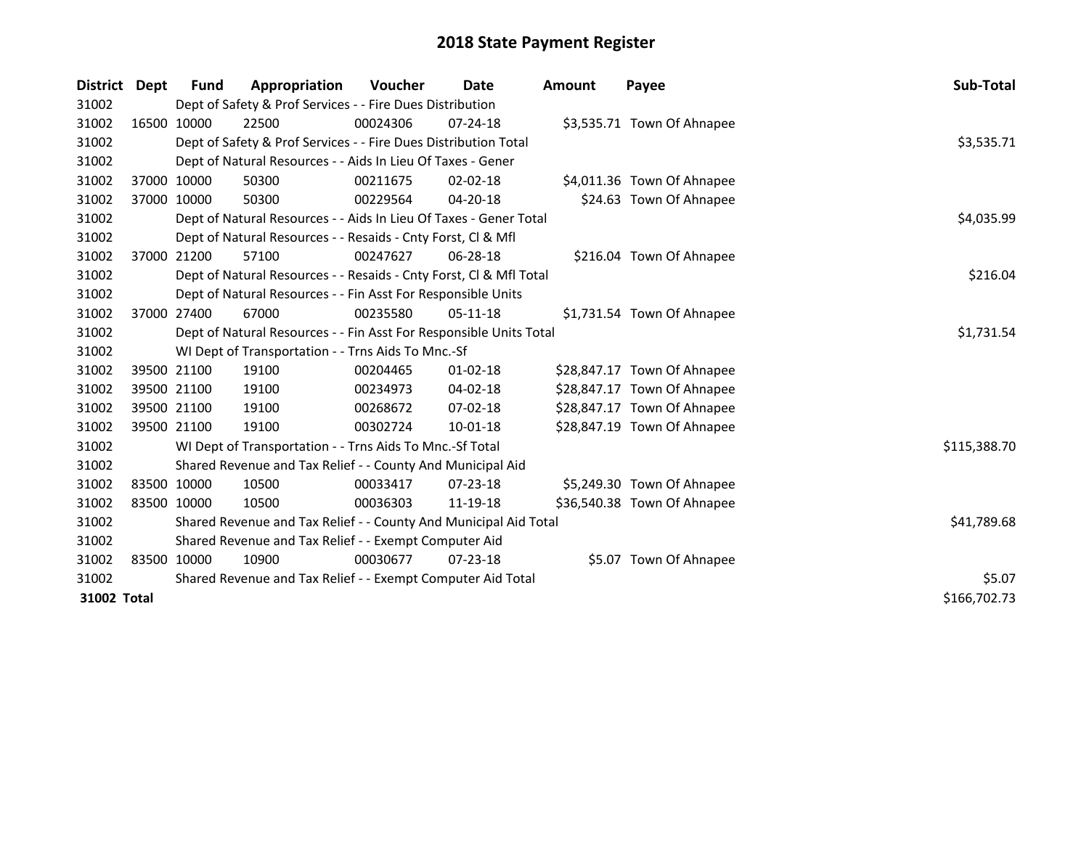| District Dept |             | <b>Fund</b>                                                        | Appropriation                                                      | <b>Voucher</b> | Date           | <b>Amount</b> | Payee                       | <b>Sub-Total</b> |  |
|---------------|-------------|--------------------------------------------------------------------|--------------------------------------------------------------------|----------------|----------------|---------------|-----------------------------|------------------|--|
| 31002         |             |                                                                    | Dept of Safety & Prof Services - - Fire Dues Distribution          |                |                |               |                             |                  |  |
| 31002         | 16500 10000 |                                                                    | 22500                                                              | 00024306       | $07 - 24 - 18$ |               | \$3,535.71 Town Of Ahnapee  |                  |  |
| 31002         |             |                                                                    | Dept of Safety & Prof Services - - Fire Dues Distribution Total    |                |                |               |                             | \$3,535.71       |  |
| 31002         |             |                                                                    | Dept of Natural Resources - - Aids In Lieu Of Taxes - Gener        |                |                |               |                             |                  |  |
| 31002         |             | 37000 10000                                                        | 50300                                                              | 00211675       | $02 - 02 - 18$ |               | \$4,011.36 Town Of Ahnapee  |                  |  |
| 31002         | 37000 10000 |                                                                    | 50300                                                              | 00229564       | 04-20-18       |               | \$24.63 Town Of Ahnapee     |                  |  |
| 31002         |             |                                                                    | Dept of Natural Resources - - Aids In Lieu Of Taxes - Gener Total  |                |                |               |                             | \$4,035.99       |  |
| 31002         |             | Dept of Natural Resources - - Resaids - Cnty Forst, Cl & Mfl       |                                                                    |                |                |               |                             |                  |  |
| 31002         |             | 37000 21200                                                        | 57100                                                              | 00247627       | $06 - 28 - 18$ |               | \$216.04 Town Of Ahnapee    |                  |  |
| 31002         |             |                                                                    | Dept of Natural Resources - - Resaids - Cnty Forst, Cl & Mfl Total |                |                |               |                             | \$216.04         |  |
| 31002         |             |                                                                    | Dept of Natural Resources - - Fin Asst For Responsible Units       |                |                |               |                             |                  |  |
| 31002         |             | 37000 27400                                                        | 67000                                                              | 00235580       | $05-11-18$     |               | \$1,731.54 Town Of Ahnapee  |                  |  |
| 31002         |             | Dept of Natural Resources - - Fin Asst For Responsible Units Total | \$1,731.54                                                         |                |                |               |                             |                  |  |
| 31002         |             |                                                                    | WI Dept of Transportation - - Trns Aids To Mnc.-Sf                 |                |                |               |                             |                  |  |
| 31002         |             | 39500 21100                                                        | 19100                                                              | 00204465       | $01 - 02 - 18$ |               | \$28,847.17 Town Of Ahnapee |                  |  |
| 31002         |             | 39500 21100                                                        | 19100                                                              | 00234973       | 04-02-18       |               | \$28,847.17 Town Of Ahnapee |                  |  |
| 31002         |             | 39500 21100                                                        | 19100                                                              | 00268672       | $07 - 02 - 18$ |               | \$28,847.17 Town Of Ahnapee |                  |  |
| 31002         |             | 39500 21100                                                        | 19100                                                              | 00302724       | $10 - 01 - 18$ |               | \$28,847.19 Town Of Ahnapee |                  |  |
| 31002         |             |                                                                    | WI Dept of Transportation - - Trns Aids To Mnc.-Sf Total           |                |                |               |                             | \$115,388.70     |  |
| 31002         |             |                                                                    | Shared Revenue and Tax Relief - - County And Municipal Aid         |                |                |               |                             |                  |  |
| 31002         |             | 83500 10000                                                        | 10500                                                              | 00033417       | $07 - 23 - 18$ |               | \$5,249.30 Town Of Ahnapee  |                  |  |
| 31002         | 83500 10000 |                                                                    | 10500                                                              | 00036303       | 11-19-18       |               | \$36,540.38 Town Of Ahnapee |                  |  |
| 31002         |             |                                                                    | Shared Revenue and Tax Relief - - County And Municipal Aid Total   |                |                |               |                             | \$41,789.68      |  |
| 31002         |             | Shared Revenue and Tax Relief - - Exempt Computer Aid              |                                                                    |                |                |               |                             |                  |  |
| 31002         |             | 83500 10000                                                        | 10900                                                              | 00030677       | $07 - 23 - 18$ |               | \$5.07 Town Of Ahnapee      |                  |  |
| 31002         |             |                                                                    | Shared Revenue and Tax Relief - - Exempt Computer Aid Total        |                |                |               |                             | \$5.07           |  |
| 31002 Total   |             |                                                                    |                                                                    |                |                |               |                             | \$166,702.73     |  |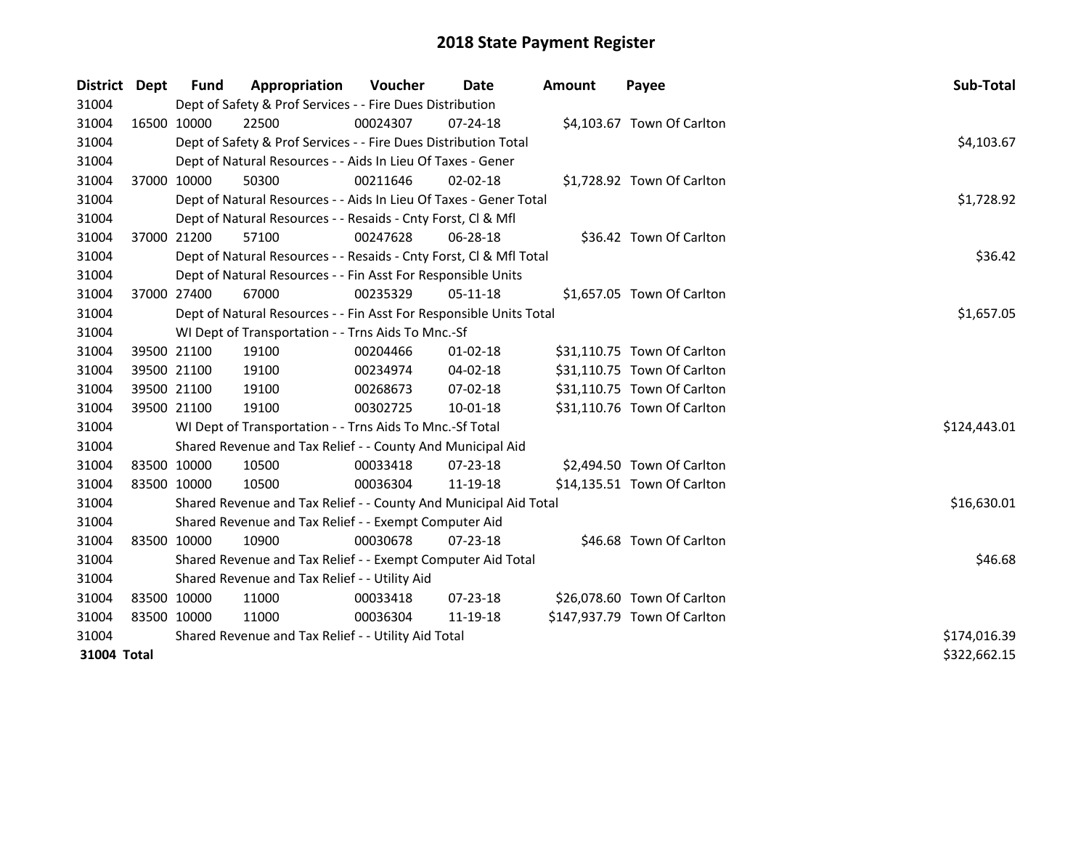| District    | Dept        | Fund        | Appropriation                                                      | <b>Voucher</b> | Date           | <b>Amount</b> | Payee                        | Sub-Total    |
|-------------|-------------|-------------|--------------------------------------------------------------------|----------------|----------------|---------------|------------------------------|--------------|
| 31004       |             |             | Dept of Safety & Prof Services - - Fire Dues Distribution          |                |                |               |                              |              |
| 31004       |             | 16500 10000 | 22500                                                              | 00024307       | $07 - 24 - 18$ |               | \$4,103.67 Town Of Carlton   |              |
| 31004       |             |             | Dept of Safety & Prof Services - - Fire Dues Distribution Total    |                |                |               |                              | \$4,103.67   |
| 31004       |             |             | Dept of Natural Resources - - Aids In Lieu Of Taxes - Gener        |                |                |               |                              |              |
| 31004       | 37000 10000 |             | 50300                                                              | 00211646       | $02 - 02 - 18$ |               | \$1,728.92 Town Of Carlton   |              |
| 31004       |             |             | Dept of Natural Resources - - Aids In Lieu Of Taxes - Gener Total  |                |                |               |                              | \$1,728.92   |
| 31004       |             |             | Dept of Natural Resources - - Resaids - Cnty Forst, CI & Mfl       |                |                |               |                              |              |
| 31004       |             | 37000 21200 | 57100                                                              | 00247628       | 06-28-18       |               | \$36.42 Town Of Carlton      |              |
| 31004       |             |             | Dept of Natural Resources - - Resaids - Cnty Forst, CI & Mfl Total |                |                |               |                              | \$36.42      |
| 31004       |             |             | Dept of Natural Resources - - Fin Asst For Responsible Units       |                |                |               |                              |              |
| 31004       |             | 37000 27400 | 67000                                                              | 00235329       | $05-11-18$     |               | \$1,657.05 Town Of Carlton   |              |
| 31004       |             |             | Dept of Natural Resources - - Fin Asst For Responsible Units Total |                |                |               |                              | \$1,657.05   |
| 31004       |             |             | WI Dept of Transportation - - Trns Aids To Mnc.-Sf                 |                |                |               |                              |              |
| 31004       |             | 39500 21100 | 19100                                                              | 00204466       | 01-02-18       |               | \$31,110.75 Town Of Carlton  |              |
| 31004       |             | 39500 21100 | 19100                                                              | 00234974       | 04-02-18       |               | \$31,110.75 Town Of Carlton  |              |
| 31004       |             | 39500 21100 | 19100                                                              | 00268673       | 07-02-18       |               | \$31,110.75 Town Of Carlton  |              |
| 31004       | 39500 21100 |             | 19100                                                              | 00302725       | 10-01-18       |               | \$31,110.76 Town Of Carlton  |              |
| 31004       |             |             | WI Dept of Transportation - - Trns Aids To Mnc.-Sf Total           |                |                |               |                              | \$124,443.01 |
| 31004       |             |             | Shared Revenue and Tax Relief - - County And Municipal Aid         |                |                |               |                              |              |
| 31004       |             | 83500 10000 | 10500                                                              | 00033418       | $07 - 23 - 18$ |               | \$2,494.50 Town Of Carlton   |              |
| 31004       | 83500 10000 |             | 10500                                                              | 00036304       | 11-19-18       |               | \$14,135.51 Town Of Carlton  |              |
| 31004       |             |             | Shared Revenue and Tax Relief - - County And Municipal Aid Total   |                |                |               |                              | \$16,630.01  |
| 31004       |             |             | Shared Revenue and Tax Relief - - Exempt Computer Aid              |                |                |               |                              |              |
| 31004       | 83500 10000 |             | 10900                                                              | 00030678       | $07 - 23 - 18$ |               | \$46.68 Town Of Carlton      |              |
| 31004       |             |             | Shared Revenue and Tax Relief - - Exempt Computer Aid Total        |                |                |               |                              | \$46.68      |
| 31004       |             |             | Shared Revenue and Tax Relief - - Utility Aid                      |                |                |               |                              |              |
| 31004       |             | 83500 10000 | 11000                                                              | 00033418       | $07 - 23 - 18$ |               | \$26,078.60 Town Of Carlton  |              |
| 31004       | 83500 10000 |             | 11000                                                              | 00036304       | 11-19-18       |               | \$147,937.79 Town Of Carlton |              |
| 31004       |             |             | Shared Revenue and Tax Relief - - Utility Aid Total                |                |                |               |                              | \$174,016.39 |
| 31004 Total |             |             |                                                                    |                |                |               |                              | \$322,662.15 |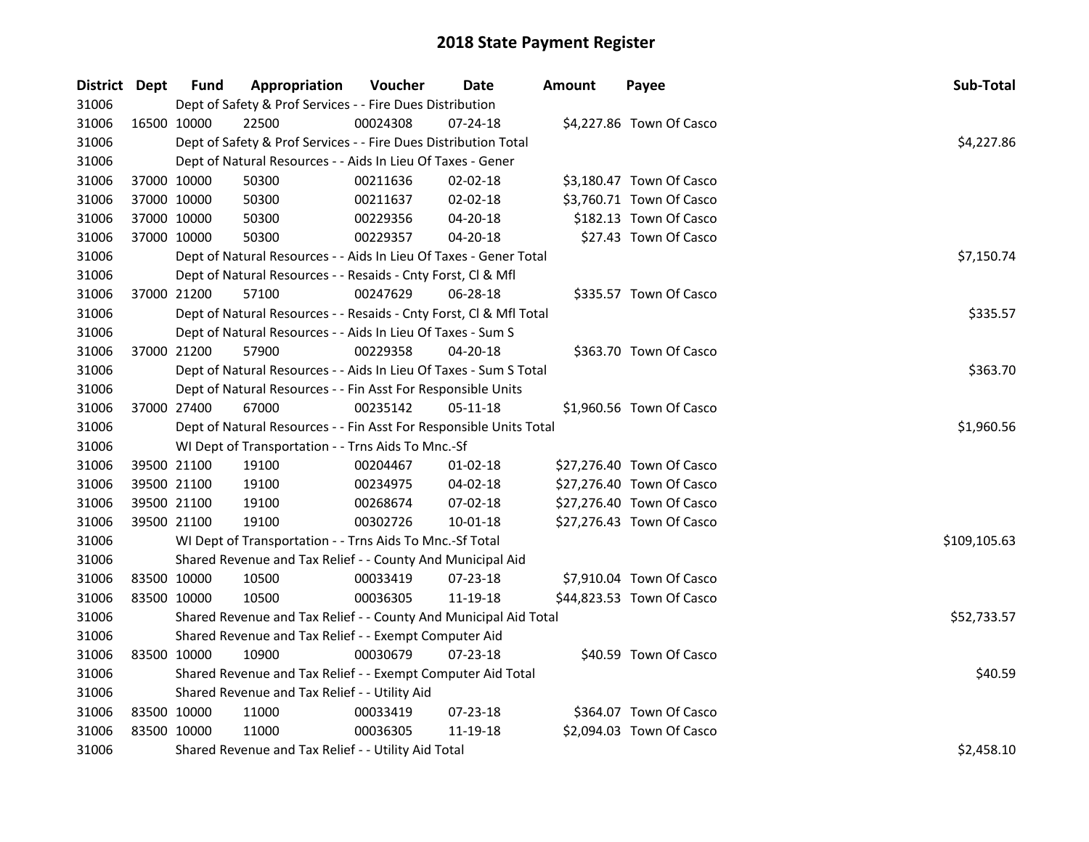| District Dept |             | <b>Fund</b>                                   | Appropriation                                                      | Voucher    | Date           | <b>Amount</b> | Payee                     | Sub-Total    |
|---------------|-------------|-----------------------------------------------|--------------------------------------------------------------------|------------|----------------|---------------|---------------------------|--------------|
| 31006         |             |                                               | Dept of Safety & Prof Services - - Fire Dues Distribution          |            |                |               |                           |              |
| 31006         | 16500 10000 |                                               | 22500                                                              | 00024308   | $07 - 24 - 18$ |               | \$4,227.86 Town Of Casco  |              |
| 31006         |             |                                               | Dept of Safety & Prof Services - - Fire Dues Distribution Total    |            |                |               |                           | \$4,227.86   |
| 31006         |             |                                               | Dept of Natural Resources - - Aids In Lieu Of Taxes - Gener        |            |                |               |                           |              |
| 31006         | 37000 10000 |                                               | 50300                                                              | 00211636   | 02-02-18       |               | \$3,180.47 Town Of Casco  |              |
| 31006         | 37000 10000 |                                               | 50300                                                              | 00211637   | 02-02-18       |               | \$3,760.71 Town Of Casco  |              |
| 31006         | 37000 10000 |                                               | 50300                                                              | 00229356   | 04-20-18       |               | \$182.13 Town Of Casco    |              |
| 31006         | 37000 10000 |                                               | 50300                                                              | 00229357   | 04-20-18       |               | \$27.43 Town Of Casco     |              |
| 31006         |             |                                               | Dept of Natural Resources - - Aids In Lieu Of Taxes - Gener Total  | \$7,150.74 |                |               |                           |              |
| 31006         |             |                                               | Dept of Natural Resources - - Resaids - Cnty Forst, Cl & Mfl       |            |                |               |                           |              |
| 31006         | 37000 21200 |                                               | 57100                                                              | 00247629   | 06-28-18       |               | \$335.57 Town Of Casco    |              |
| 31006         |             |                                               | Dept of Natural Resources - - Resaids - Cnty Forst, Cl & Mfl Total |            |                |               |                           | \$335.57     |
| 31006         |             |                                               | Dept of Natural Resources - - Aids In Lieu Of Taxes - Sum S        |            |                |               |                           |              |
| 31006         | 37000 21200 |                                               | 57900                                                              | 00229358   | 04-20-18       |               | \$363.70 Town Of Casco    |              |
| 31006         |             |                                               | Dept of Natural Resources - - Aids In Lieu Of Taxes - Sum S Total  |            |                |               |                           | \$363.70     |
| 31006         |             |                                               | Dept of Natural Resources - - Fin Asst For Responsible Units       |            |                |               |                           |              |
| 31006         | 37000 27400 |                                               | 67000                                                              | 00235142   | 05-11-18       |               | \$1,960.56 Town Of Casco  |              |
| 31006         |             |                                               | Dept of Natural Resources - - Fin Asst For Responsible Units Total |            |                |               |                           | \$1,960.56   |
| 31006         |             |                                               | WI Dept of Transportation - - Trns Aids To Mnc.-Sf                 |            |                |               |                           |              |
| 31006         | 39500 21100 |                                               | 19100                                                              | 00204467   | $01 - 02 - 18$ |               | \$27,276.40 Town Of Casco |              |
| 31006         | 39500 21100 |                                               | 19100                                                              | 00234975   | 04-02-18       |               | \$27,276.40 Town Of Casco |              |
| 31006         | 39500 21100 |                                               | 19100                                                              | 00268674   | 07-02-18       |               | \$27,276.40 Town Of Casco |              |
| 31006         | 39500 21100 |                                               | 19100                                                              | 00302726   | $10 - 01 - 18$ |               | \$27,276.43 Town Of Casco |              |
| 31006         |             |                                               | WI Dept of Transportation - - Trns Aids To Mnc.-Sf Total           |            |                |               |                           | \$109,105.63 |
| 31006         |             |                                               | Shared Revenue and Tax Relief - - County And Municipal Aid         |            |                |               |                           |              |
| 31006         | 83500 10000 |                                               | 10500                                                              | 00033419   | 07-23-18       |               | \$7,910.04 Town Of Casco  |              |
| 31006         | 83500 10000 |                                               | 10500                                                              | 00036305   | 11-19-18       |               | \$44,823.53 Town Of Casco |              |
| 31006         |             |                                               | Shared Revenue and Tax Relief - - County And Municipal Aid Total   |            |                |               |                           | \$52,733.57  |
| 31006         |             |                                               | Shared Revenue and Tax Relief - - Exempt Computer Aid              |            |                |               |                           |              |
| 31006         | 83500 10000 |                                               | 10900                                                              | 00030679   | 07-23-18       |               | \$40.59 Town Of Casco     |              |
| 31006         |             |                                               | Shared Revenue and Tax Relief - - Exempt Computer Aid Total        |            |                |               |                           | \$40.59      |
| 31006         |             | Shared Revenue and Tax Relief - - Utility Aid |                                                                    |            |                |               |                           |              |
| 31006         |             | 83500 10000                                   | 11000                                                              | 00033419   | 07-23-18       |               | \$364.07 Town Of Casco    |              |
| 31006         | 83500 10000 |                                               | 11000                                                              | 00036305   | 11-19-18       |               | \$2,094.03 Town Of Casco  |              |
| 31006         |             |                                               | Shared Revenue and Tax Relief - - Utility Aid Total                |            |                |               |                           | \$2,458.10   |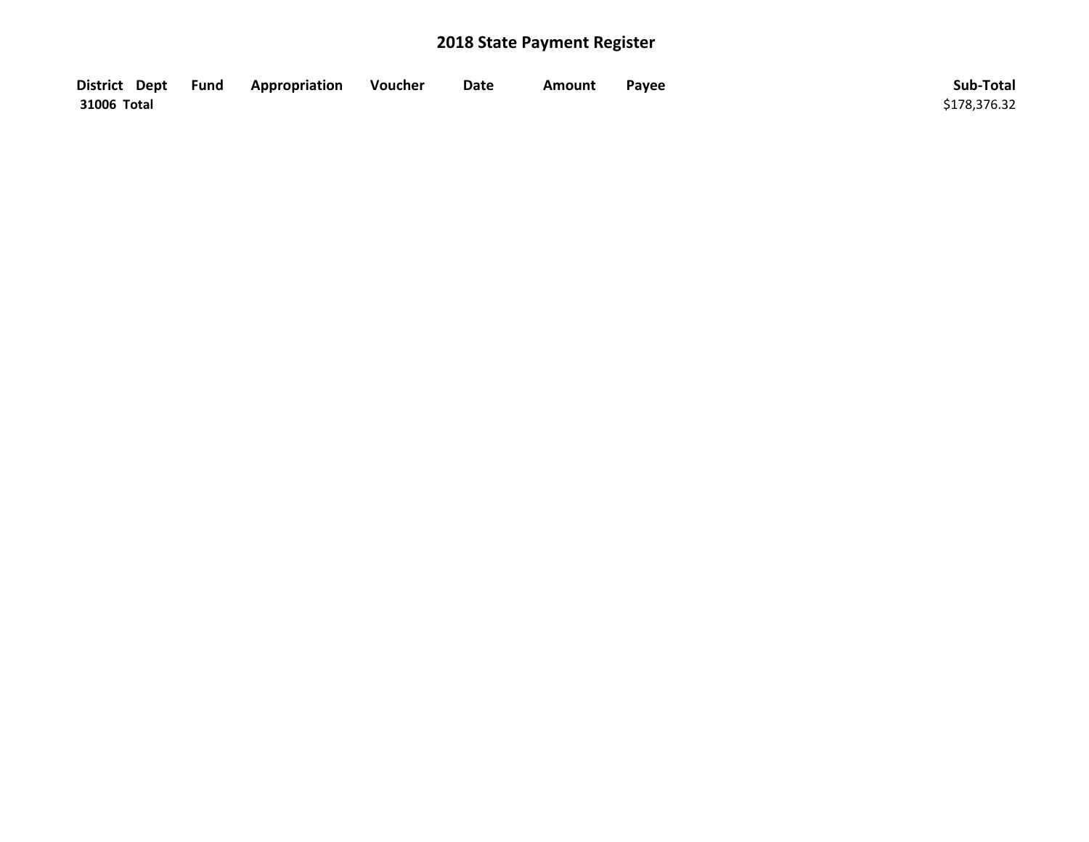| District Dept Fund | Appropriation | Voucher | Date | Amount | Payee | Sub-Total    |
|--------------------|---------------|---------|------|--------|-------|--------------|
| 31006 Total        |               |         |      |        |       | \$178,376.32 |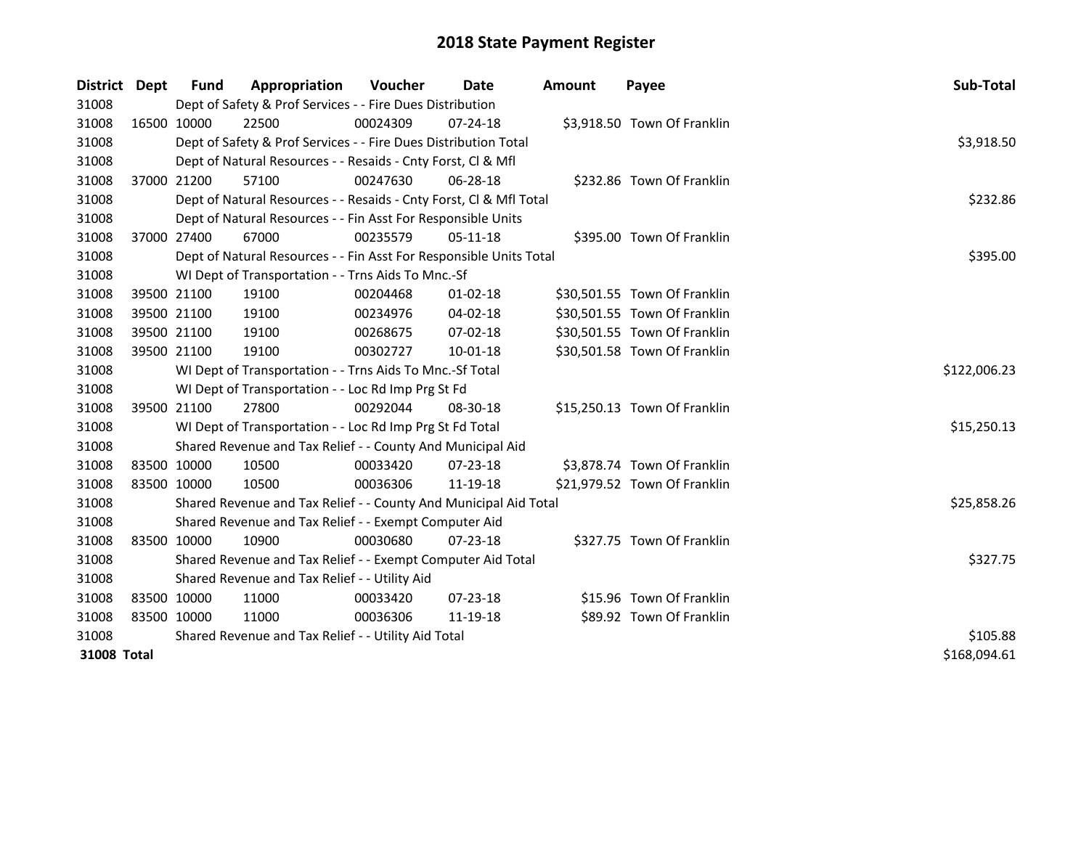| District    | Dept        | Fund        | Appropriation                                                      | <b>Voucher</b> | Date           | <b>Amount</b> | Payee                        | Sub-Total    |
|-------------|-------------|-------------|--------------------------------------------------------------------|----------------|----------------|---------------|------------------------------|--------------|
| 31008       |             |             | Dept of Safety & Prof Services - - Fire Dues Distribution          |                |                |               |                              |              |
| 31008       |             | 16500 10000 | 22500                                                              | 00024309       | 07-24-18       |               | \$3,918.50 Town Of Franklin  |              |
| 31008       |             |             | Dept of Safety & Prof Services - - Fire Dues Distribution Total    |                |                |               |                              | \$3,918.50   |
| 31008       |             |             | Dept of Natural Resources - - Resaids - Cnty Forst, Cl & Mfl       |                |                |               |                              |              |
| 31008       |             | 37000 21200 | 57100                                                              | 00247630       | 06-28-18       |               | \$232.86 Town Of Franklin    |              |
| 31008       |             |             | Dept of Natural Resources - - Resaids - Cnty Forst, Cl & Mfl Total |                |                |               |                              | \$232.86     |
| 31008       |             |             | Dept of Natural Resources - - Fin Asst For Responsible Units       |                |                |               |                              |              |
| 31008       |             | 37000 27400 | 67000                                                              | 00235579       | 05-11-18       |               | \$395.00 Town Of Franklin    |              |
| 31008       |             |             | Dept of Natural Resources - - Fin Asst For Responsible Units Total | \$395.00       |                |               |                              |              |
| 31008       |             |             | WI Dept of Transportation - - Trns Aids To Mnc.-Sf                 |                |                |               |                              |              |
| 31008       |             | 39500 21100 | 19100                                                              | 00204468       | $01 - 02 - 18$ |               | \$30,501.55 Town Of Franklin |              |
| 31008       |             | 39500 21100 | 19100                                                              | 00234976       | 04-02-18       |               | \$30,501.55 Town Of Franklin |              |
| 31008       |             | 39500 21100 | 19100                                                              | 00268675       | $07 - 02 - 18$ |               | \$30,501.55 Town Of Franklin |              |
| 31008       |             | 39500 21100 | 19100                                                              | 00302727       | 10-01-18       |               | \$30,501.58 Town Of Franklin |              |
| 31008       |             |             | WI Dept of Transportation - - Trns Aids To Mnc.-Sf Total           |                |                |               |                              | \$122,006.23 |
| 31008       |             |             | WI Dept of Transportation - - Loc Rd Imp Prg St Fd                 |                |                |               |                              |              |
| 31008       |             | 39500 21100 | 27800                                                              | 00292044       | 08-30-18       |               | \$15,250.13 Town Of Franklin |              |
| 31008       |             |             | WI Dept of Transportation - - Loc Rd Imp Prg St Fd Total           |                |                |               |                              | \$15,250.13  |
| 31008       |             |             | Shared Revenue and Tax Relief - - County And Municipal Aid         |                |                |               |                              |              |
| 31008       |             | 83500 10000 | 10500                                                              | 00033420       | $07 - 23 - 18$ |               | \$3,878.74 Town Of Franklin  |              |
| 31008       | 83500 10000 |             | 10500                                                              | 00036306       | 11-19-18       |               | \$21,979.52 Town Of Franklin |              |
| 31008       |             |             | Shared Revenue and Tax Relief - - County And Municipal Aid Total   |                |                |               |                              | \$25,858.26  |
| 31008       |             |             | Shared Revenue and Tax Relief - - Exempt Computer Aid              |                |                |               |                              |              |
| 31008       |             | 83500 10000 | 10900                                                              | 00030680       | $07 - 23 - 18$ |               | \$327.75 Town Of Franklin    |              |
| 31008       |             |             | Shared Revenue and Tax Relief - - Exempt Computer Aid Total        |                |                |               |                              | \$327.75     |
| 31008       |             |             | Shared Revenue and Tax Relief - - Utility Aid                      |                |                |               |                              |              |
| 31008       |             | 83500 10000 | 11000                                                              | 00033420       | $07 - 23 - 18$ |               | \$15.96 Town Of Franklin     |              |
| 31008       | 83500 10000 |             | 11000                                                              | 00036306       | 11-19-18       |               | \$89.92 Town Of Franklin     |              |
| 31008       |             |             | Shared Revenue and Tax Relief - - Utility Aid Total                | \$105.88       |                |               |                              |              |
| 31008 Total |             |             |                                                                    |                |                |               |                              | \$168,094.61 |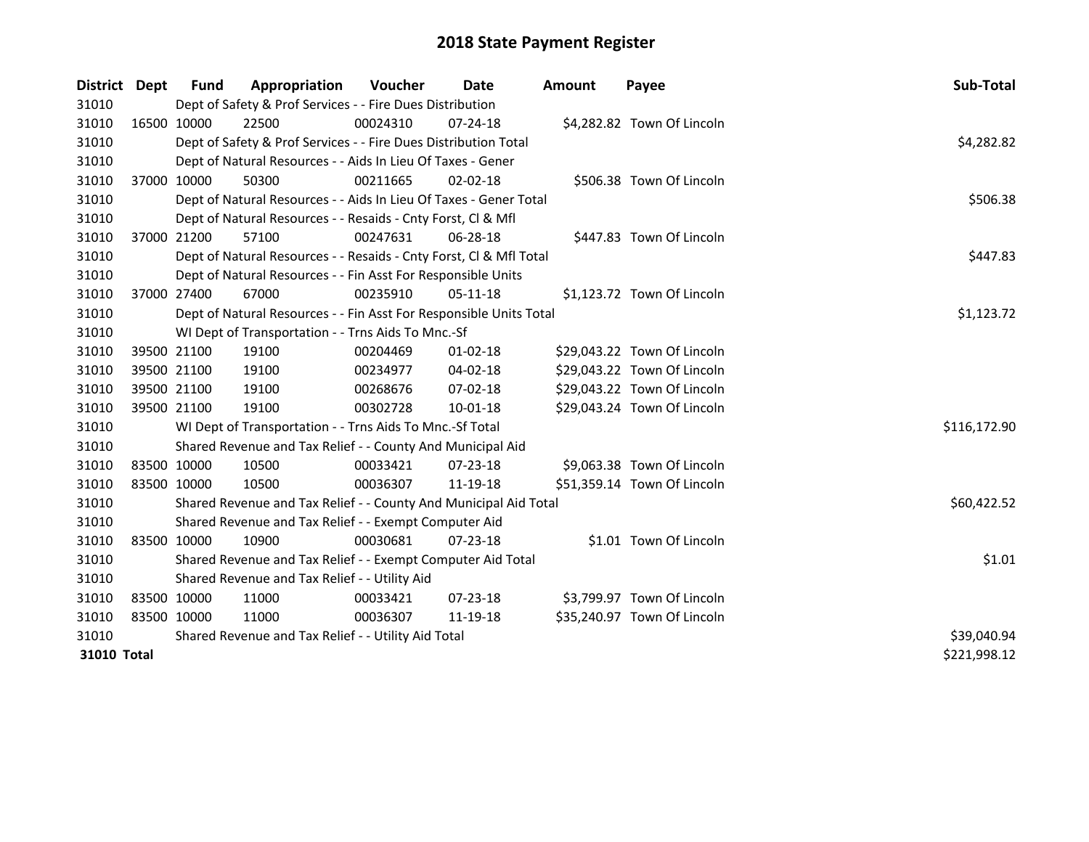| District                    | <b>Dept</b> | Fund                                                         | Appropriation                                                      | <b>Voucher</b> | Date           | Amount | Payee                       | Sub-Total    |  |  |
|-----------------------------|-------------|--------------------------------------------------------------|--------------------------------------------------------------------|----------------|----------------|--------|-----------------------------|--------------|--|--|
| 31010                       |             |                                                              | Dept of Safety & Prof Services - - Fire Dues Distribution          |                |                |        |                             |              |  |  |
| 31010                       |             | 16500 10000                                                  | 22500                                                              | 00024310       | 07-24-18       |        | \$4,282.82 Town Of Lincoln  |              |  |  |
| 31010                       |             |                                                              | Dept of Safety & Prof Services - - Fire Dues Distribution Total    |                |                |        |                             | \$4,282.82   |  |  |
| 31010                       |             |                                                              | Dept of Natural Resources - - Aids In Lieu Of Taxes - Gener        |                |                |        |                             |              |  |  |
| 31010                       |             | 37000 10000                                                  | 50300                                                              | 00211665       | $02 - 02 - 18$ |        | \$506.38 Town Of Lincoln    |              |  |  |
| 31010                       |             |                                                              | Dept of Natural Resources - - Aids In Lieu Of Taxes - Gener Total  |                |                |        |                             | \$506.38     |  |  |
| 31010                       |             | Dept of Natural Resources - - Resaids - Cnty Forst, CI & Mfl |                                                                    |                |                |        |                             |              |  |  |
| 31010                       |             | 37000 21200                                                  | 57100                                                              | 00247631       | 06-28-18       |        | \$447.83 Town Of Lincoln    |              |  |  |
| 31010                       |             |                                                              | Dept of Natural Resources - - Resaids - Cnty Forst, Cl & Mfl Total |                |                |        |                             | \$447.83     |  |  |
| 31010                       |             |                                                              | Dept of Natural Resources - - Fin Asst For Responsible Units       |                |                |        |                             |              |  |  |
| 31010                       |             | 37000 27400                                                  | 67000                                                              | 00235910       | $05-11-18$     |        | \$1,123.72 Town Of Lincoln  |              |  |  |
| 31010                       |             |                                                              | Dept of Natural Resources - - Fin Asst For Responsible Units Total |                |                |        |                             | \$1,123.72   |  |  |
| 31010                       |             |                                                              | WI Dept of Transportation - - Trns Aids To Mnc.-Sf                 |                |                |        |                             |              |  |  |
| 31010                       |             | 39500 21100                                                  | 19100                                                              | 00204469       | $01 - 02 - 18$ |        | \$29,043.22 Town Of Lincoln |              |  |  |
| 31010                       |             | 39500 21100                                                  | 19100                                                              | 00234977       | 04-02-18       |        | \$29,043.22 Town Of Lincoln |              |  |  |
| 31010                       |             | 39500 21100                                                  | 19100                                                              | 00268676       | 07-02-18       |        | \$29,043.22 Town Of Lincoln |              |  |  |
| 31010                       |             | 39500 21100                                                  | 19100                                                              | 00302728       | 10-01-18       |        | \$29,043.24 Town Of Lincoln |              |  |  |
| 31010                       |             |                                                              | WI Dept of Transportation - - Trns Aids To Mnc.-Sf Total           |                |                |        |                             | \$116,172.90 |  |  |
| 31010                       |             |                                                              | Shared Revenue and Tax Relief - - County And Municipal Aid         |                |                |        |                             |              |  |  |
| 31010                       |             | 83500 10000                                                  | 10500                                                              | 00033421       | $07 - 23 - 18$ |        | \$9,063.38 Town Of Lincoln  |              |  |  |
| 31010                       |             | 83500 10000                                                  | 10500                                                              | 00036307       | 11-19-18       |        | \$51,359.14 Town Of Lincoln |              |  |  |
| 31010                       |             |                                                              | Shared Revenue and Tax Relief - - County And Municipal Aid Total   |                |                |        |                             | \$60,422.52  |  |  |
| 31010                       |             |                                                              | Shared Revenue and Tax Relief - - Exempt Computer Aid              |                |                |        |                             |              |  |  |
| 31010                       |             | 83500 10000                                                  | 10900                                                              | 00030681       | $07 - 23 - 18$ |        | \$1.01 Town Of Lincoln      |              |  |  |
| 31010                       |             |                                                              | Shared Revenue and Tax Relief - - Exempt Computer Aid Total        |                |                |        |                             | \$1.01       |  |  |
| 31010                       |             |                                                              | Shared Revenue and Tax Relief - - Utility Aid                      |                |                |        |                             |              |  |  |
| 31010                       |             | 83500 10000                                                  | 11000                                                              | 00033421       | 07-23-18       |        | \$3,799.97 Town Of Lincoln  |              |  |  |
| 31010                       |             | 83500 10000                                                  | 11000                                                              | 00036307       | 11-19-18       |        | \$35,240.97 Town Of Lincoln |              |  |  |
| 31010                       |             |                                                              | Shared Revenue and Tax Relief - - Utility Aid Total                |                |                |        |                             | \$39,040.94  |  |  |
| \$221,998.12<br>31010 Total |             |                                                              |                                                                    |                |                |        |                             |              |  |  |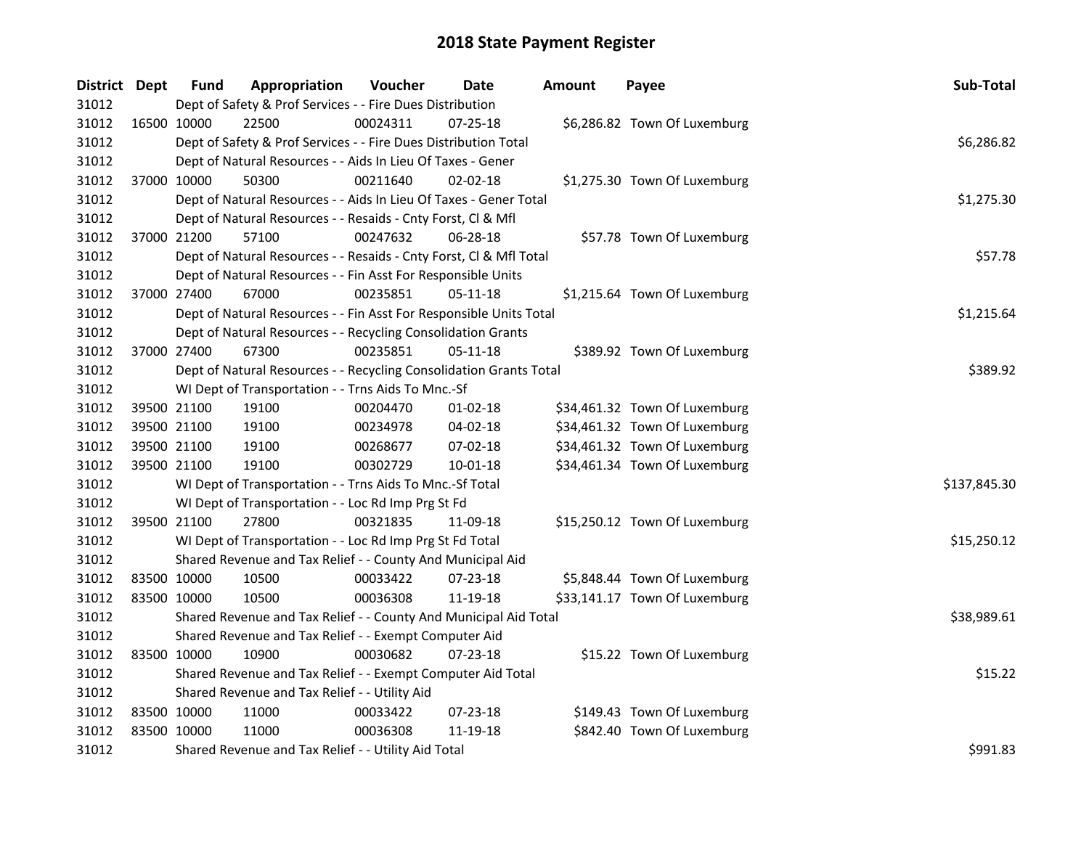| District Dept |             | Fund                                          | Appropriation                                                      | Voucher  | Date           | <b>Amount</b> | Payee                         | Sub-Total    |  |  |  |  |
|---------------|-------------|-----------------------------------------------|--------------------------------------------------------------------|----------|----------------|---------------|-------------------------------|--------------|--|--|--|--|
| 31012         |             |                                               | Dept of Safety & Prof Services - - Fire Dues Distribution          |          |                |               |                               |              |  |  |  |  |
| 31012         | 16500 10000 |                                               | 22500                                                              | 00024311 | $07 - 25 - 18$ |               | \$6,286.82 Town Of Luxemburg  |              |  |  |  |  |
| 31012         |             |                                               | Dept of Safety & Prof Services - - Fire Dues Distribution Total    |          |                |               |                               | \$6,286.82   |  |  |  |  |
| 31012         |             |                                               | Dept of Natural Resources - - Aids In Lieu Of Taxes - Gener        |          |                |               |                               |              |  |  |  |  |
| 31012         |             | 37000 10000                                   | 50300                                                              | 00211640 | $02 - 02 - 18$ |               | \$1,275.30 Town Of Luxemburg  |              |  |  |  |  |
| 31012         |             |                                               | Dept of Natural Resources - - Aids In Lieu Of Taxes - Gener Total  |          |                |               |                               | \$1,275.30   |  |  |  |  |
| 31012         |             |                                               | Dept of Natural Resources - - Resaids - Cnty Forst, Cl & Mfl       |          |                |               |                               |              |  |  |  |  |
| 31012         |             | 37000 21200                                   | 57100                                                              | 00247632 | 06-28-18       |               | \$57.78 Town Of Luxemburg     |              |  |  |  |  |
| 31012         |             |                                               | Dept of Natural Resources - - Resaids - Cnty Forst, Cl & Mfl Total |          |                |               |                               | \$57.78      |  |  |  |  |
| 31012         |             |                                               | Dept of Natural Resources - - Fin Asst For Responsible Units       |          |                |               |                               |              |  |  |  |  |
| 31012         |             | 37000 27400                                   | 67000                                                              | 00235851 | $05-11-18$     |               | \$1,215.64 Town Of Luxemburg  |              |  |  |  |  |
| 31012         |             |                                               | Dept of Natural Resources - - Fin Asst For Responsible Units Total |          |                |               |                               | \$1,215.64   |  |  |  |  |
| 31012         |             |                                               | Dept of Natural Resources - - Recycling Consolidation Grants       |          |                |               |                               |              |  |  |  |  |
| 31012         |             | 37000 27400                                   | 67300                                                              | 00235851 | 05-11-18       |               | \$389.92 Town Of Luxemburg    |              |  |  |  |  |
| 31012         |             |                                               | Dept of Natural Resources - - Recycling Consolidation Grants Total |          |                |               |                               | \$389.92     |  |  |  |  |
| 31012         |             |                                               | WI Dept of Transportation - - Trns Aids To Mnc.-Sf                 |          |                |               |                               |              |  |  |  |  |
| 31012         |             | 39500 21100                                   | 19100                                                              | 00204470 | $01-02-18$     |               | \$34,461.32 Town Of Luxemburg |              |  |  |  |  |
| 31012         | 39500 21100 |                                               | 19100                                                              | 00234978 | 04-02-18       |               | \$34,461.32 Town Of Luxemburg |              |  |  |  |  |
| 31012         | 39500 21100 |                                               | 19100                                                              | 00268677 | 07-02-18       |               | \$34,461.32 Town Of Luxemburg |              |  |  |  |  |
| 31012         |             | 39500 21100                                   | 19100                                                              | 00302729 | 10-01-18       |               | \$34,461.34 Town Of Luxemburg |              |  |  |  |  |
| 31012         |             |                                               | WI Dept of Transportation - - Trns Aids To Mnc.-Sf Total           |          |                |               |                               | \$137,845.30 |  |  |  |  |
| 31012         |             |                                               | WI Dept of Transportation - - Loc Rd Imp Prg St Fd                 |          |                |               |                               |              |  |  |  |  |
| 31012         |             | 39500 21100                                   | 27800                                                              | 00321835 | 11-09-18       |               | \$15,250.12 Town Of Luxemburg |              |  |  |  |  |
| 31012         |             |                                               | WI Dept of Transportation - - Loc Rd Imp Prg St Fd Total           |          |                |               |                               | \$15,250.12  |  |  |  |  |
| 31012         |             |                                               | Shared Revenue and Tax Relief - - County And Municipal Aid         |          |                |               |                               |              |  |  |  |  |
| 31012         | 83500 10000 |                                               | 10500                                                              | 00033422 | $07 - 23 - 18$ |               | \$5,848.44 Town Of Luxemburg  |              |  |  |  |  |
| 31012         | 83500 10000 |                                               | 10500                                                              | 00036308 | 11-19-18       |               | \$33,141.17 Town Of Luxemburg |              |  |  |  |  |
| 31012         |             |                                               | Shared Revenue and Tax Relief - - County And Municipal Aid Total   |          |                |               |                               | \$38,989.61  |  |  |  |  |
| 31012         |             |                                               | Shared Revenue and Tax Relief - - Exempt Computer Aid              |          |                |               |                               |              |  |  |  |  |
| 31012         |             | 83500 10000                                   | 10900                                                              | 00030682 | $07 - 23 - 18$ |               | \$15.22 Town Of Luxemburg     |              |  |  |  |  |
| 31012         |             |                                               | Shared Revenue and Tax Relief - - Exempt Computer Aid Total        |          |                |               |                               | \$15.22      |  |  |  |  |
| 31012         |             | Shared Revenue and Tax Relief - - Utility Aid |                                                                    |          |                |               |                               |              |  |  |  |  |
| 31012         | 83500 10000 |                                               | 11000                                                              | 00033422 | $07 - 23 - 18$ |               | \$149.43 Town Of Luxemburg    |              |  |  |  |  |
| 31012         |             | 83500 10000                                   | 11000                                                              | 00036308 | 11-19-18       |               | \$842.40 Town Of Luxemburg    |              |  |  |  |  |
| 31012         |             |                                               | Shared Revenue and Tax Relief - - Utility Aid Total                |          |                |               |                               | \$991.83     |  |  |  |  |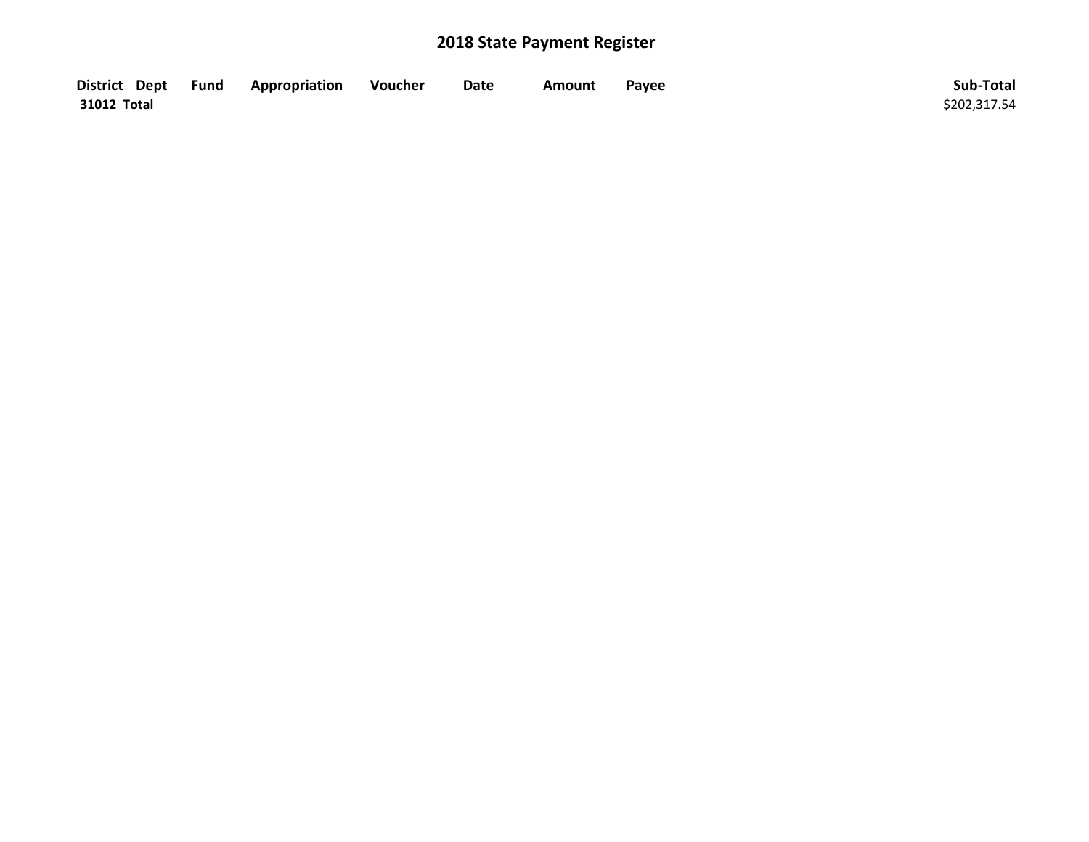| District Dept Fund | Appropriation | Voucher | Date | Amount | Payee | Sub-Total    |
|--------------------|---------------|---------|------|--------|-------|--------------|
| 31012 Total        |               |         |      |        |       | \$202,317.54 |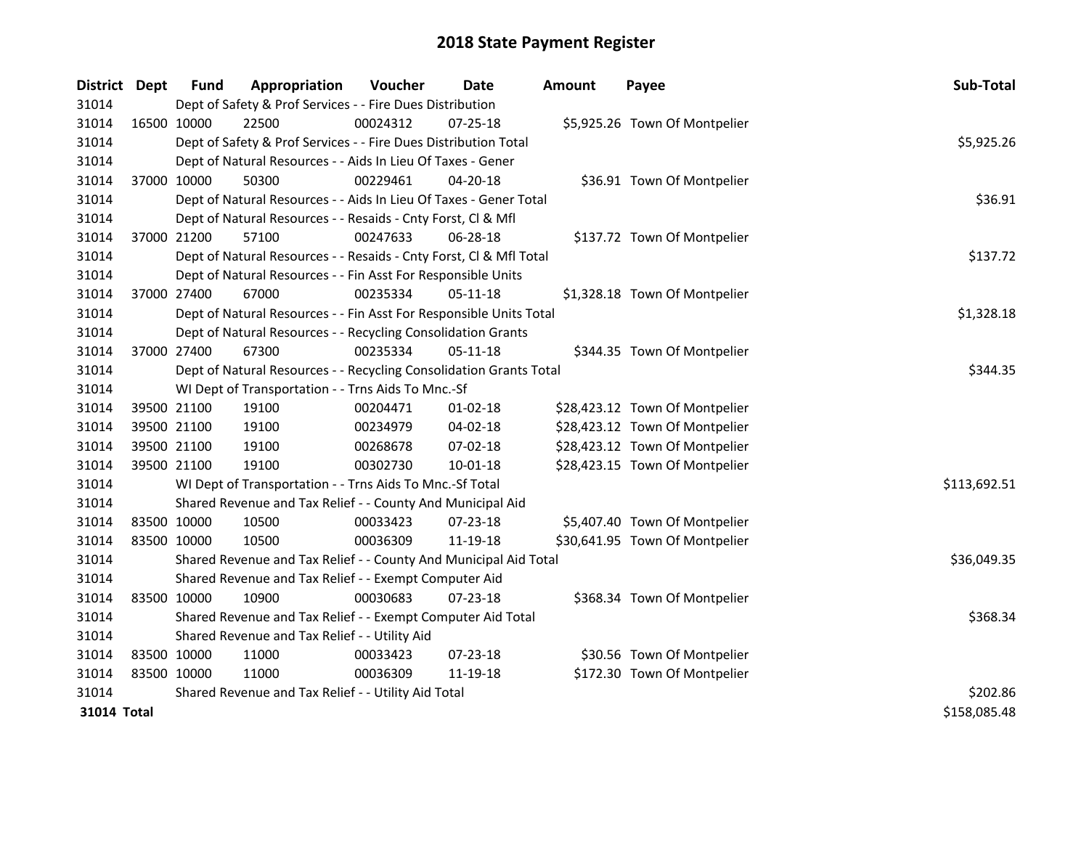| <b>District</b> | <b>Dept</b> | <b>Fund</b> | Appropriation                                                      | Voucher  | <b>Date</b>    | <b>Amount</b> | Payee                          | Sub-Total    |
|-----------------|-------------|-------------|--------------------------------------------------------------------|----------|----------------|---------------|--------------------------------|--------------|
| 31014           |             |             | Dept of Safety & Prof Services - - Fire Dues Distribution          |          |                |               |                                |              |
| 31014           | 16500 10000 |             | 22500                                                              | 00024312 | $07 - 25 - 18$ |               | \$5,925.26 Town Of Montpelier  |              |
| 31014           |             |             | Dept of Safety & Prof Services - - Fire Dues Distribution Total    |          |                |               |                                | \$5,925.26   |
| 31014           |             |             | Dept of Natural Resources - - Aids In Lieu Of Taxes - Gener        |          |                |               |                                |              |
| 31014           | 37000 10000 |             | 50300                                                              | 00229461 | 04-20-18       |               | \$36.91 Town Of Montpelier     |              |
| 31014           |             |             | Dept of Natural Resources - - Aids In Lieu Of Taxes - Gener Total  |          |                |               |                                | \$36.91      |
| 31014           |             |             | Dept of Natural Resources - - Resaids - Cnty Forst, Cl & Mfl       |          |                |               |                                |              |
| 31014           | 37000 21200 |             | 57100                                                              | 00247633 | 06-28-18       |               | \$137.72 Town Of Montpelier    |              |
| 31014           |             |             | Dept of Natural Resources - - Resaids - Cnty Forst, Cl & Mfl Total |          |                | \$137.72      |                                |              |
| 31014           |             |             | Dept of Natural Resources - - Fin Asst For Responsible Units       |          |                |               |                                |              |
| 31014           |             | 37000 27400 | 67000                                                              | 00235334 | 05-11-18       |               | \$1,328.18 Town Of Montpelier  |              |
| 31014           |             |             | Dept of Natural Resources - - Fin Asst For Responsible Units Total |          |                |               |                                | \$1,328.18   |
| 31014           |             |             | Dept of Natural Resources - - Recycling Consolidation Grants       |          |                |               |                                |              |
| 31014           | 37000 27400 |             | 67300                                                              | 00235334 | 05-11-18       |               | \$344.35 Town Of Montpelier    |              |
| 31014           |             |             | Dept of Natural Resources - - Recycling Consolidation Grants Total | \$344.35 |                |               |                                |              |
| 31014           |             |             | WI Dept of Transportation - - Trns Aids To Mnc.-Sf                 |          |                |               |                                |              |
| 31014           | 39500 21100 |             | 19100                                                              | 00204471 | $01 - 02 - 18$ |               | \$28,423.12 Town Of Montpelier |              |
| 31014           | 39500 21100 |             | 19100                                                              | 00234979 | 04-02-18       |               | \$28,423.12 Town Of Montpelier |              |
| 31014           | 39500 21100 |             | 19100                                                              | 00268678 | 07-02-18       |               | \$28,423.12 Town Of Montpelier |              |
| 31014           | 39500 21100 |             | 19100                                                              | 00302730 | $10 - 01 - 18$ |               | \$28,423.15 Town Of Montpelier |              |
| 31014           |             |             | WI Dept of Transportation - - Trns Aids To Mnc.-Sf Total           |          |                |               |                                | \$113,692.51 |
| 31014           |             |             | Shared Revenue and Tax Relief - - County And Municipal Aid         |          |                |               |                                |              |
| 31014           |             | 83500 10000 | 10500                                                              | 00033423 | 07-23-18       |               | \$5,407.40 Town Of Montpelier  |              |
| 31014           | 83500 10000 |             | 10500                                                              | 00036309 | 11-19-18       |               | \$30,641.95 Town Of Montpelier |              |
| 31014           |             |             | Shared Revenue and Tax Relief - - County And Municipal Aid Total   |          |                |               |                                | \$36,049.35  |
| 31014           |             |             | Shared Revenue and Tax Relief - - Exempt Computer Aid              |          |                |               |                                |              |
| 31014           | 83500 10000 |             | 10900                                                              | 00030683 | 07-23-18       |               | \$368.34 Town Of Montpelier    |              |
| 31014           |             |             | Shared Revenue and Tax Relief - - Exempt Computer Aid Total        |          |                |               |                                | \$368.34     |
| 31014           |             |             | Shared Revenue and Tax Relief - - Utility Aid                      |          |                |               |                                |              |
| 31014           | 83500 10000 |             | 11000                                                              | 00033423 | $07 - 23 - 18$ |               | \$30.56 Town Of Montpelier     |              |
| 31014           | 83500 10000 |             | 11000                                                              | 00036309 | 11-19-18       |               | \$172.30 Town Of Montpelier    |              |
| 31014           |             |             | Shared Revenue and Tax Relief - - Utility Aid Total                |          |                |               |                                | \$202.86     |
| 31014 Total     |             |             |                                                                    |          |                |               |                                | \$158,085.48 |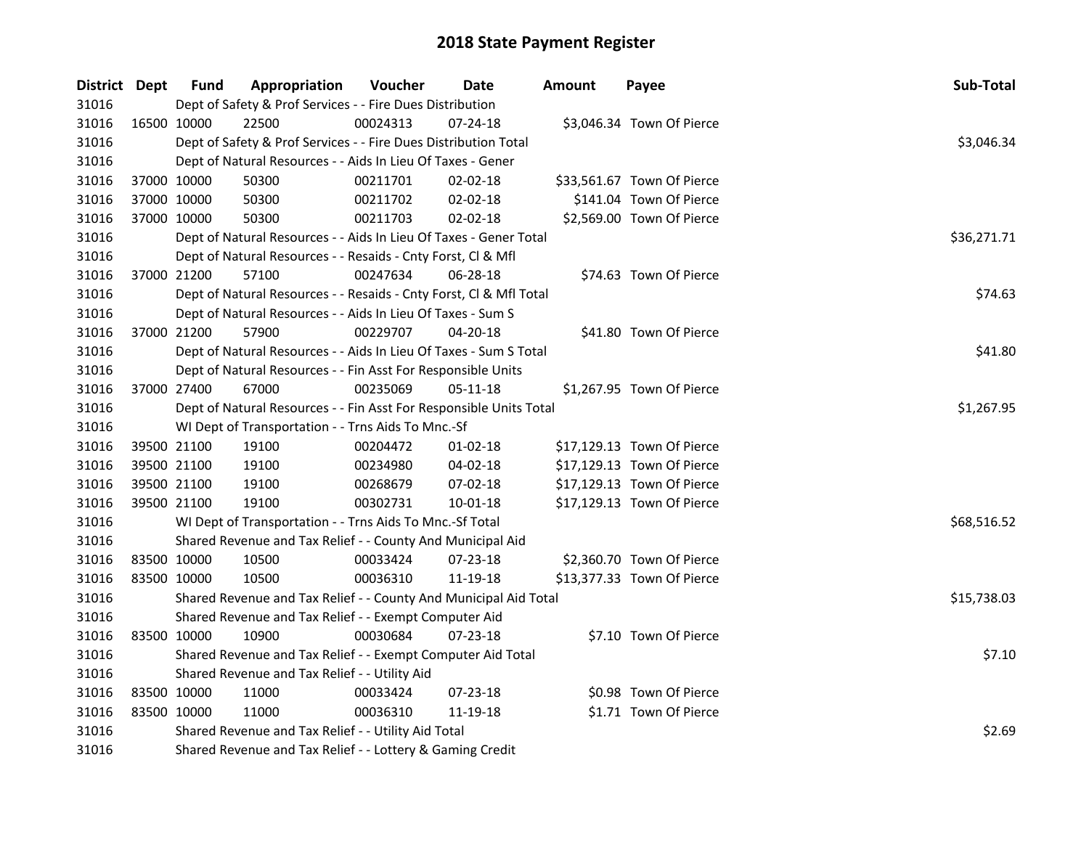| District Dept |             | <b>Fund</b> | Appropriation                                                      | Voucher  | Date           | <b>Amount</b> | Payee                      | Sub-Total   |  |  |  |
|---------------|-------------|-------------|--------------------------------------------------------------------|----------|----------------|---------------|----------------------------|-------------|--|--|--|
| 31016         |             |             | Dept of Safety & Prof Services - - Fire Dues Distribution          |          |                |               |                            |             |  |  |  |
| 31016         | 16500 10000 |             | 22500                                                              | 00024313 | 07-24-18       |               | \$3,046.34 Town Of Pierce  |             |  |  |  |
| 31016         |             |             | Dept of Safety & Prof Services - - Fire Dues Distribution Total    |          |                |               |                            | \$3,046.34  |  |  |  |
| 31016         |             |             | Dept of Natural Resources - - Aids In Lieu Of Taxes - Gener        |          |                |               |                            |             |  |  |  |
| 31016         |             | 37000 10000 | 50300                                                              | 00211701 | $02 - 02 - 18$ |               | \$33,561.67 Town Of Pierce |             |  |  |  |
| 31016         |             | 37000 10000 | 50300                                                              | 00211702 | 02-02-18       |               | \$141.04 Town Of Pierce    |             |  |  |  |
| 31016         | 37000 10000 |             | 50300                                                              | 00211703 | 02-02-18       |               | \$2,569.00 Town Of Pierce  |             |  |  |  |
| 31016         |             |             | Dept of Natural Resources - - Aids In Lieu Of Taxes - Gener Total  |          |                |               |                            | \$36,271.71 |  |  |  |
| 31016         |             |             | Dept of Natural Resources - - Resaids - Cnty Forst, Cl & Mfl       |          |                |               |                            |             |  |  |  |
| 31016         |             | 37000 21200 | 57100                                                              | 00247634 | $06 - 28 - 18$ |               | \$74.63 Town Of Pierce     |             |  |  |  |
| 31016         |             |             | Dept of Natural Resources - - Resaids - Cnty Forst, Cl & Mfl Total |          |                |               |                            | \$74.63     |  |  |  |
| 31016         |             |             | Dept of Natural Resources - - Aids In Lieu Of Taxes - Sum S        |          |                |               |                            |             |  |  |  |
| 31016         | 37000 21200 |             | 57900                                                              | 00229707 | $04 - 20 - 18$ |               | \$41.80 Town Of Pierce     |             |  |  |  |
| 31016         |             |             | Dept of Natural Resources - - Aids In Lieu Of Taxes - Sum S Total  |          |                |               |                            | \$41.80     |  |  |  |
| 31016         |             |             | Dept of Natural Resources - - Fin Asst For Responsible Units       |          |                |               |                            |             |  |  |  |
| 31016         |             | 37000 27400 | 67000                                                              | 00235069 | 05-11-18       |               | \$1,267.95 Town Of Pierce  |             |  |  |  |
| 31016         |             |             | Dept of Natural Resources - - Fin Asst For Responsible Units Total |          |                |               |                            | \$1,267.95  |  |  |  |
| 31016         |             |             | WI Dept of Transportation - - Trns Aids To Mnc.-Sf                 |          |                |               |                            |             |  |  |  |
| 31016         |             | 39500 21100 | 19100                                                              | 00204472 | $01 - 02 - 18$ |               | \$17,129.13 Town Of Pierce |             |  |  |  |
| 31016         |             | 39500 21100 | 19100                                                              | 00234980 | 04-02-18       |               | \$17,129.13 Town Of Pierce |             |  |  |  |
| 31016         |             | 39500 21100 | 19100                                                              | 00268679 | 07-02-18       |               | \$17,129.13 Town Of Pierce |             |  |  |  |
| 31016         |             | 39500 21100 | 19100                                                              | 00302731 | $10 - 01 - 18$ |               | \$17,129.13 Town Of Pierce |             |  |  |  |
| 31016         |             |             | WI Dept of Transportation - - Trns Aids To Mnc.-Sf Total           |          |                |               |                            | \$68,516.52 |  |  |  |
| 31016         |             |             | Shared Revenue and Tax Relief - - County And Municipal Aid         |          |                |               |                            |             |  |  |  |
| 31016         |             | 83500 10000 | 10500                                                              | 00033424 | 07-23-18       |               | \$2,360.70 Town Of Pierce  |             |  |  |  |
| 31016         | 83500 10000 |             | 10500                                                              | 00036310 | 11-19-18       |               | \$13,377.33 Town Of Pierce |             |  |  |  |
| 31016         |             |             | Shared Revenue and Tax Relief - - County And Municipal Aid Total   |          |                |               |                            | \$15,738.03 |  |  |  |
| 31016         |             |             | Shared Revenue and Tax Relief - - Exempt Computer Aid              |          |                |               |                            |             |  |  |  |
| 31016         | 83500 10000 |             | 10900                                                              | 00030684 | 07-23-18       |               | \$7.10 Town Of Pierce      |             |  |  |  |
| 31016         |             |             | Shared Revenue and Tax Relief - - Exempt Computer Aid Total        | \$7.10   |                |               |                            |             |  |  |  |
| 31016         |             |             | Shared Revenue and Tax Relief - - Utility Aid                      |          |                |               |                            |             |  |  |  |
| 31016         |             | 83500 10000 | 11000                                                              | 00033424 | 07-23-18       |               | \$0.98 Town Of Pierce      |             |  |  |  |
| 31016         | 83500 10000 |             | 11000                                                              | 00036310 | 11-19-18       |               | \$1.71 Town Of Pierce      |             |  |  |  |
| 31016         |             |             | Shared Revenue and Tax Relief - - Utility Aid Total                |          |                |               |                            |             |  |  |  |
| 31016         |             |             | Shared Revenue and Tax Relief - - Lottery & Gaming Credit          |          |                |               |                            |             |  |  |  |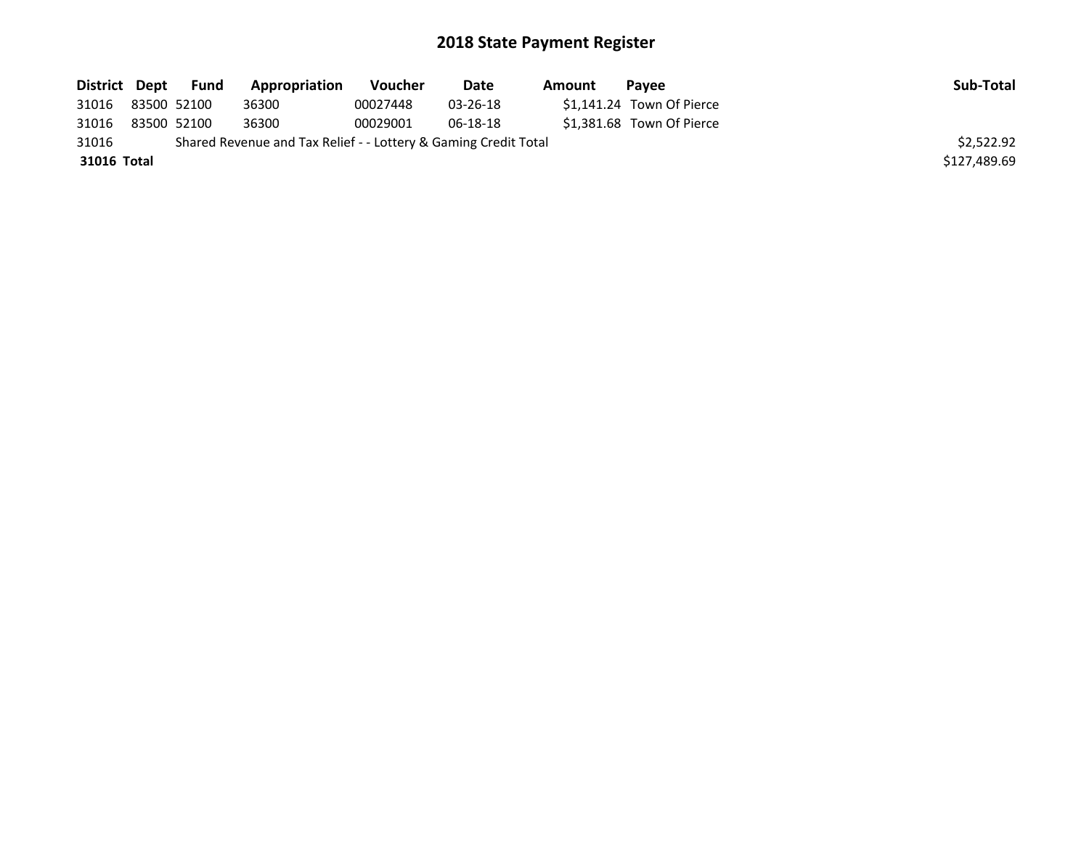| District Dept | <b>Fund</b> | Appropriation                                                   | Voucher  | Date     | Amount | <b>Pavee</b>              | Sub-Total    |
|---------------|-------------|-----------------------------------------------------------------|----------|----------|--------|---------------------------|--------------|
| 31016         | 83500 52100 | 36300                                                           | 00027448 | 03-26-18 |        | \$1,141.24 Town Of Pierce |              |
| 31016         | 83500 52100 | 36300                                                           | 00029001 | 06-18-18 |        | \$1.381.68 Town Of Pierce |              |
| 31016         |             | Shared Revenue and Tax Relief - - Lottery & Gaming Credit Total |          |          |        |                           | \$2,522.92   |
| 31016 Total   |             |                                                                 |          |          |        |                           | \$127,489.69 |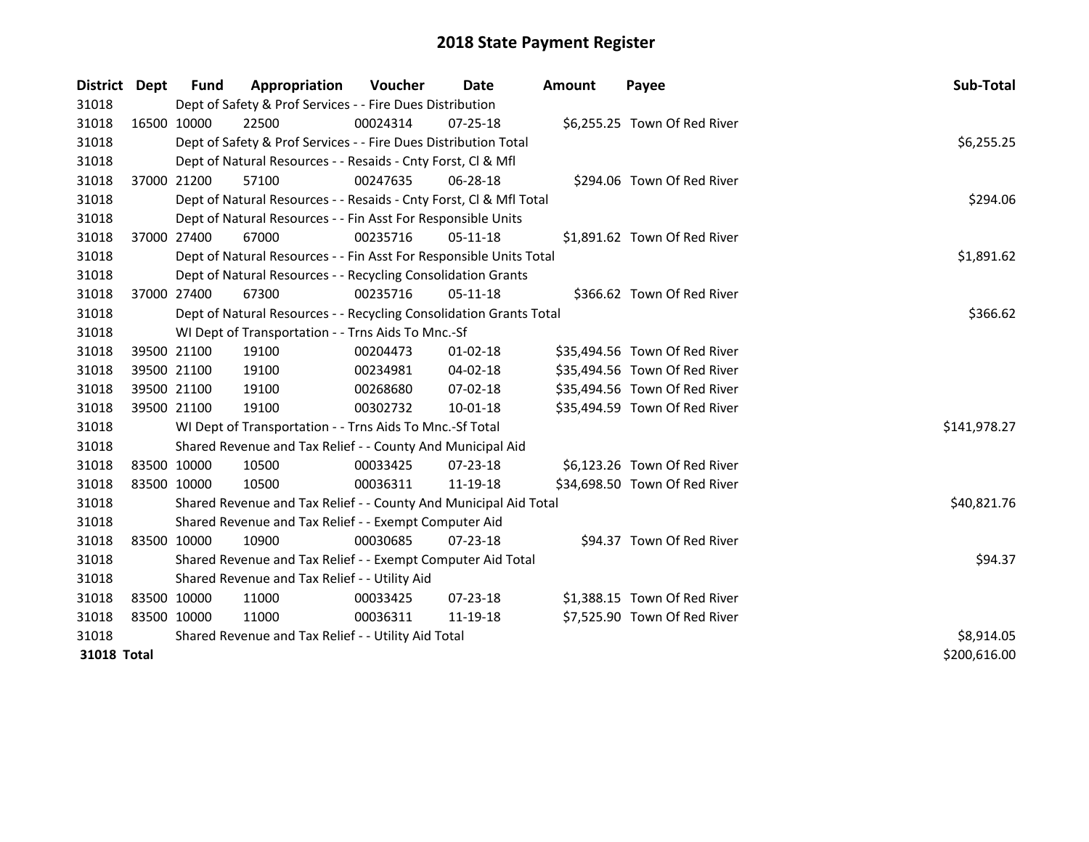| <b>District</b> | <b>Dept</b>  | Fund        | Appropriation                                                      | Voucher    | Date           | Amount | Payee                         | Sub-Total    |
|-----------------|--------------|-------------|--------------------------------------------------------------------|------------|----------------|--------|-------------------------------|--------------|
| 31018           |              |             | Dept of Safety & Prof Services - - Fire Dues Distribution          |            |                |        |                               |              |
| 31018           | 16500 10000  |             | 22500                                                              | 00024314   | $07 - 25 - 18$ |        | \$6,255.25 Town Of Red River  |              |
| 31018           |              |             | Dept of Safety & Prof Services - - Fire Dues Distribution Total    |            |                |        |                               | \$6,255.25   |
| 31018           |              |             | Dept of Natural Resources - - Resaids - Cnty Forst, Cl & Mfl       |            |                |        |                               |              |
| 31018           |              | 37000 21200 | 57100                                                              | 00247635   | 06-28-18       |        | \$294.06 Town Of Red River    |              |
| 31018           |              |             | Dept of Natural Resources - - Resaids - Cnty Forst, CI & Mfl Total | \$294.06   |                |        |                               |              |
| 31018           |              |             | Dept of Natural Resources - - Fin Asst For Responsible Units       |            |                |        |                               |              |
| 31018           | 37000 27400  |             | 67000                                                              | 00235716   | 05-11-18       |        | \$1,891.62 Town Of Red River  |              |
| 31018           |              |             | Dept of Natural Resources - - Fin Asst For Responsible Units Total | \$1,891.62 |                |        |                               |              |
| 31018           |              |             | Dept of Natural Resources - - Recycling Consolidation Grants       |            |                |        |                               |              |
| 31018           |              | 37000 27400 | 67300                                                              | 00235716   | $05-11-18$     |        | \$366.62 Town Of Red River    |              |
| 31018           |              |             | Dept of Natural Resources - - Recycling Consolidation Grants Total |            |                |        |                               | \$366.62     |
| 31018           |              |             | WI Dept of Transportation - - Trns Aids To Mnc.-Sf                 |            |                |        |                               |              |
| 31018           | 39500 21100  |             | 19100                                                              | 00204473   | $01 - 02 - 18$ |        | \$35,494.56 Town Of Red River |              |
| 31018           | 39500 21100  |             | 19100                                                              | 00234981   | 04-02-18       |        | \$35,494.56 Town Of Red River |              |
| 31018           | 39500 21100  |             | 19100                                                              | 00268680   | 07-02-18       |        | \$35,494.56 Town Of Red River |              |
| 31018           | 39500 21100  |             | 19100                                                              | 00302732   | $10 - 01 - 18$ |        | \$35,494.59 Town Of Red River |              |
| 31018           |              |             | WI Dept of Transportation - - Trns Aids To Mnc.-Sf Total           |            |                |        |                               | \$141,978.27 |
| 31018           |              |             | Shared Revenue and Tax Relief - - County And Municipal Aid         |            |                |        |                               |              |
| 31018           | 83500 10000  |             | 10500                                                              | 00033425   | $07 - 23 - 18$ |        | \$6,123.26 Town Of Red River  |              |
| 31018           | 83500 10000  |             | 10500                                                              | 00036311   | 11-19-18       |        | \$34,698.50 Town Of Red River |              |
| 31018           |              |             | Shared Revenue and Tax Relief - - County And Municipal Aid Total   |            |                |        |                               | \$40,821.76  |
| 31018           |              |             | Shared Revenue and Tax Relief - - Exempt Computer Aid              |            |                |        |                               |              |
| 31018           | 83500 10000  |             | 10900                                                              | 00030685   | $07 - 23 - 18$ |        | \$94.37 Town Of Red River     |              |
| 31018           |              |             | Shared Revenue and Tax Relief - - Exempt Computer Aid Total        |            |                |        |                               | \$94.37      |
| 31018           |              |             | Shared Revenue and Tax Relief - - Utility Aid                      |            |                |        |                               |              |
| 31018           | 83500 10000  |             | 11000                                                              | 00033425   | 07-23-18       |        | \$1,388.15 Town Of Red River  |              |
| 31018           | 83500 10000  |             | 11000                                                              | 00036311   | 11-19-18       |        | \$7,525.90 Town Of Red River  |              |
| 31018           |              |             | Shared Revenue and Tax Relief - - Utility Aid Total                | \$8,914.05 |                |        |                               |              |
| 31018 Total     | \$200,616.00 |             |                                                                    |            |                |        |                               |              |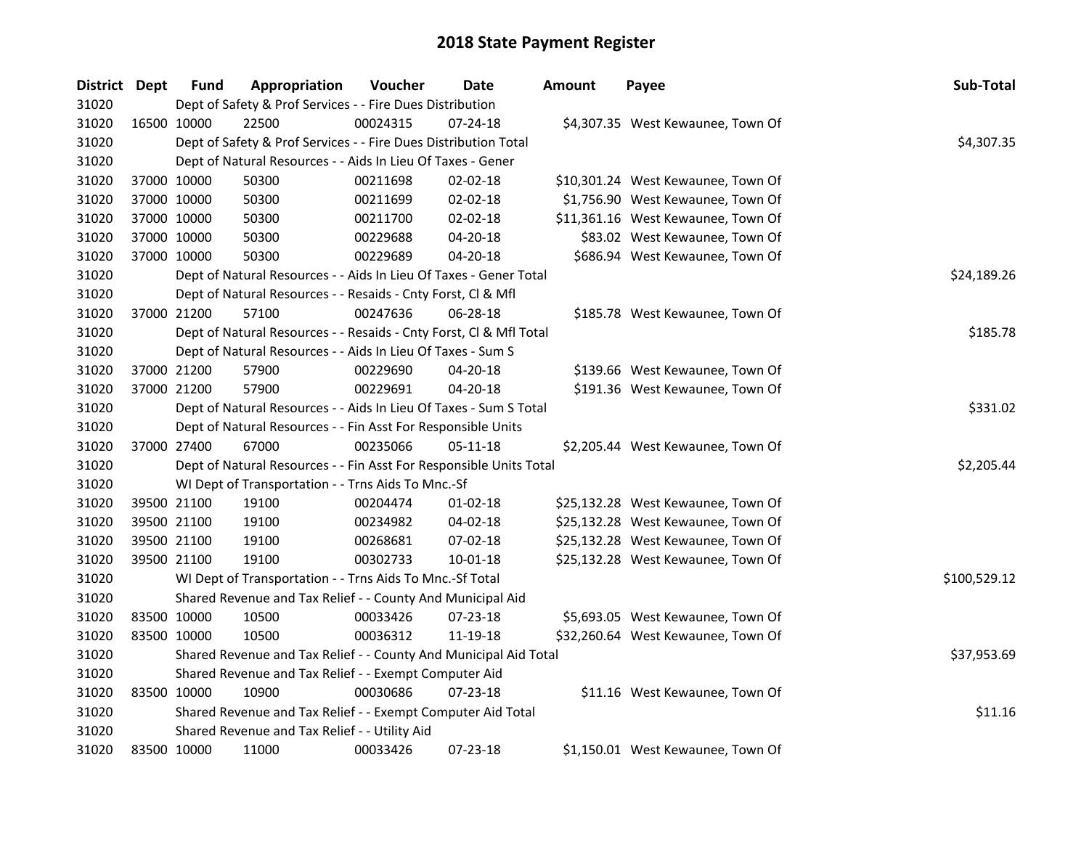| District Dept |             | <b>Fund</b> | Appropriation                                                      | Voucher  | Date           | <b>Amount</b> | Payee                              | Sub-Total    |  |  |  |  |
|---------------|-------------|-------------|--------------------------------------------------------------------|----------|----------------|---------------|------------------------------------|--------------|--|--|--|--|
| 31020         |             |             | Dept of Safety & Prof Services - - Fire Dues Distribution          |          |                |               |                                    |              |  |  |  |  |
| 31020         |             | 16500 10000 | 22500                                                              | 00024315 | $07 - 24 - 18$ |               | \$4,307.35 West Kewaunee, Town Of  |              |  |  |  |  |
| 31020         |             |             | Dept of Safety & Prof Services - - Fire Dues Distribution Total    |          |                |               |                                    | \$4,307.35   |  |  |  |  |
| 31020         |             |             | Dept of Natural Resources - - Aids In Lieu Of Taxes - Gener        |          |                |               |                                    |              |  |  |  |  |
| 31020         |             | 37000 10000 | 50300                                                              | 00211698 | 02-02-18       |               | \$10,301.24 West Kewaunee, Town Of |              |  |  |  |  |
| 31020         |             | 37000 10000 | 50300                                                              | 00211699 | 02-02-18       |               | \$1,756.90 West Kewaunee, Town Of  |              |  |  |  |  |
| 31020         |             | 37000 10000 | 50300                                                              | 00211700 | 02-02-18       |               | \$11,361.16 West Kewaunee, Town Of |              |  |  |  |  |
| 31020         | 37000 10000 |             | 50300                                                              | 00229688 | 04-20-18       |               | \$83.02 West Kewaunee, Town Of     |              |  |  |  |  |
| 31020         | 37000 10000 |             | 50300                                                              | 00229689 | 04-20-18       |               | \$686.94 West Kewaunee, Town Of    |              |  |  |  |  |
| 31020         |             |             | Dept of Natural Resources - - Aids In Lieu Of Taxes - Gener Total  |          |                |               |                                    | \$24,189.26  |  |  |  |  |
| 31020         |             |             | Dept of Natural Resources - - Resaids - Cnty Forst, Cl & Mfl       |          |                |               |                                    |              |  |  |  |  |
| 31020         |             | 37000 21200 | 57100                                                              | 00247636 | 06-28-18       |               | \$185.78 West Kewaunee, Town Of    |              |  |  |  |  |
| 31020         |             |             | Dept of Natural Resources - - Resaids - Cnty Forst, CI & Mfl Total |          |                |               |                                    | \$185.78     |  |  |  |  |
| 31020         |             |             | Dept of Natural Resources - - Aids In Lieu Of Taxes - Sum S        |          |                |               |                                    |              |  |  |  |  |
| 31020         |             | 37000 21200 | 57900                                                              | 00229690 | 04-20-18       |               | \$139.66 West Kewaunee, Town Of    |              |  |  |  |  |
| 31020         | 37000 21200 |             | 57900                                                              | 00229691 | 04-20-18       |               | \$191.36 West Kewaunee, Town Of    |              |  |  |  |  |
| 31020         |             |             | Dept of Natural Resources - - Aids In Lieu Of Taxes - Sum S Total  |          |                |               |                                    | \$331.02     |  |  |  |  |
| 31020         |             |             | Dept of Natural Resources - - Fin Asst For Responsible Units       |          |                |               |                                    |              |  |  |  |  |
| 31020         | 37000 27400 |             | 67000                                                              | 00235066 | 05-11-18       |               | \$2,205.44 West Kewaunee, Town Of  |              |  |  |  |  |
| 31020         |             |             | Dept of Natural Resources - - Fin Asst For Responsible Units Total |          |                |               |                                    | \$2,205.44   |  |  |  |  |
| 31020         |             |             | WI Dept of Transportation - - Trns Aids To Mnc.-Sf                 |          |                |               |                                    |              |  |  |  |  |
| 31020         |             | 39500 21100 | 19100                                                              | 00204474 | $01-02-18$     |               | \$25,132.28 West Kewaunee, Town Of |              |  |  |  |  |
| 31020         |             | 39500 21100 | 19100                                                              | 00234982 | $04 - 02 - 18$ |               | \$25,132.28 West Kewaunee, Town Of |              |  |  |  |  |
| 31020         |             | 39500 21100 | 19100                                                              | 00268681 | 07-02-18       |               | \$25,132.28 West Kewaunee, Town Of |              |  |  |  |  |
| 31020         |             | 39500 21100 | 19100                                                              | 00302733 | 10-01-18       |               | \$25,132.28 West Kewaunee, Town Of |              |  |  |  |  |
| 31020         |             |             | WI Dept of Transportation - - Trns Aids To Mnc.-Sf Total           |          |                |               |                                    | \$100,529.12 |  |  |  |  |
| 31020         |             |             | Shared Revenue and Tax Relief - - County And Municipal Aid         |          |                |               |                                    |              |  |  |  |  |
| 31020         |             | 83500 10000 | 10500                                                              | 00033426 | $07 - 23 - 18$ |               | \$5,693.05 West Kewaunee, Town Of  |              |  |  |  |  |
| 31020         |             | 83500 10000 | 10500                                                              | 00036312 | 11-19-18       |               | \$32,260.64 West Kewaunee, Town Of |              |  |  |  |  |
| 31020         |             |             | Shared Revenue and Tax Relief - - County And Municipal Aid Total   |          |                |               |                                    | \$37,953.69  |  |  |  |  |
| 31020         |             |             | Shared Revenue and Tax Relief - - Exempt Computer Aid              |          |                |               |                                    |              |  |  |  |  |
| 31020         |             | 83500 10000 | 10900                                                              | 00030686 | 07-23-18       |               | \$11.16 West Kewaunee, Town Of     |              |  |  |  |  |
| 31020         |             |             | Shared Revenue and Tax Relief - - Exempt Computer Aid Total        |          |                |               |                                    | \$11.16      |  |  |  |  |
| 31020         |             |             | Shared Revenue and Tax Relief - - Utility Aid                      |          |                |               |                                    |              |  |  |  |  |
| 31020         |             | 83500 10000 | 11000                                                              | 00033426 | 07-23-18       |               | \$1,150.01 West Kewaunee, Town Of  |              |  |  |  |  |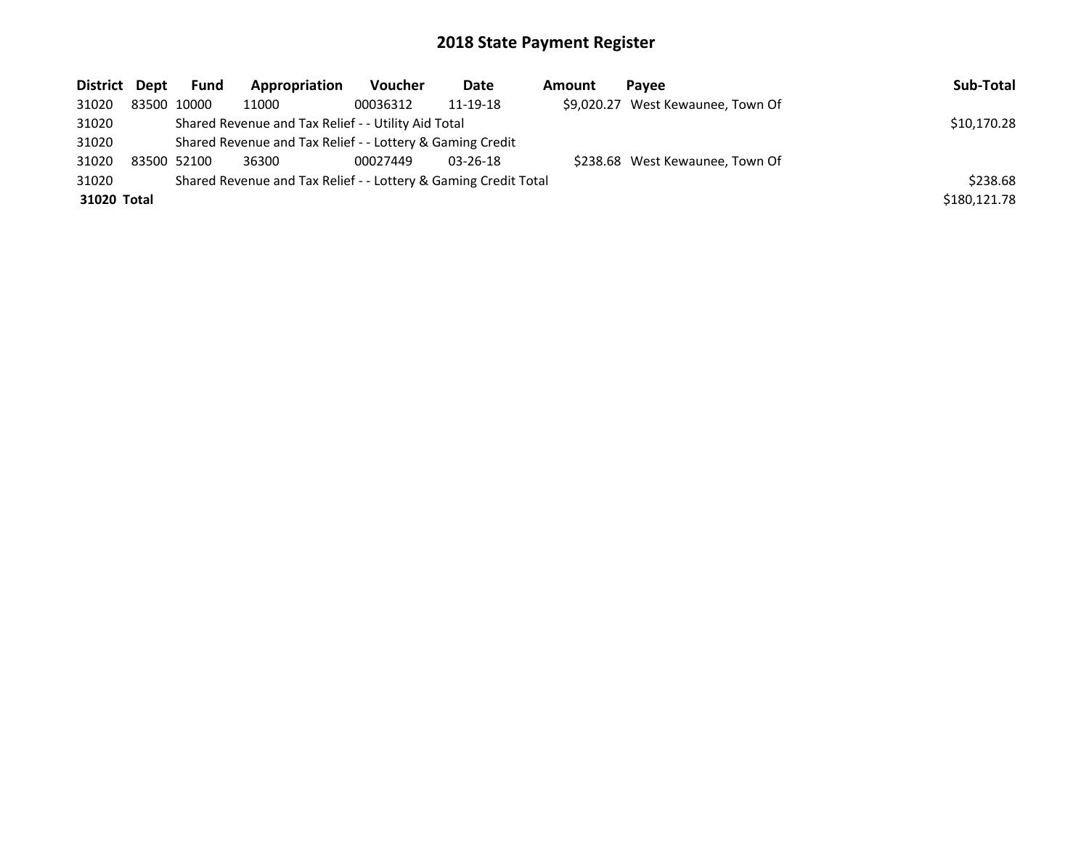| District Dept | <b>Fund</b>                                                     | Appropriation                                             | Voucher  | Date           | Amount | Pavee                             | Sub-Total    |  |  |
|---------------|-----------------------------------------------------------------|-----------------------------------------------------------|----------|----------------|--------|-----------------------------------|--------------|--|--|
| 31020         | 83500 10000                                                     | 11000                                                     | 00036312 | 11-19-18       |        | \$9,020.27 West Kewaunee, Town Of |              |  |  |
| 31020         | Shared Revenue and Tax Relief - - Utility Aid Total             | \$10,170.28                                               |          |                |        |                                   |              |  |  |
| 31020         |                                                                 | Shared Revenue and Tax Relief - - Lottery & Gaming Credit |          |                |        |                                   |              |  |  |
| 31020         | 83500 52100                                                     | 36300                                                     | 00027449 | $03 - 26 - 18$ |        | \$238.68 West Kewaunee, Town Of   |              |  |  |
| 31020         | Shared Revenue and Tax Relief - - Lottery & Gaming Credit Total |                                                           |          |                |        |                                   |              |  |  |
| 31020 Total   |                                                                 |                                                           |          |                |        |                                   | \$180,121.78 |  |  |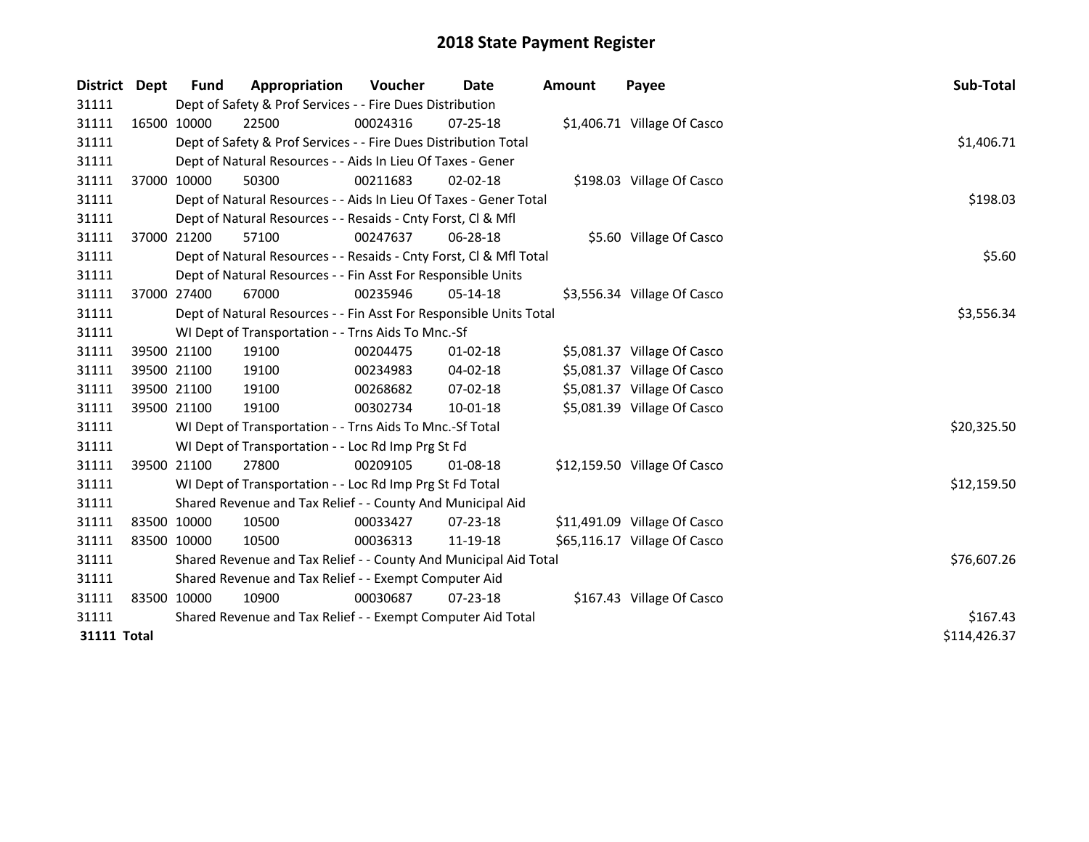| District           | Dept        | <b>Fund</b>                                               | Appropriation                                                      | Voucher  | <b>Date</b>    | Amount | Payee                        | Sub-Total    |
|--------------------|-------------|-----------------------------------------------------------|--------------------------------------------------------------------|----------|----------------|--------|------------------------------|--------------|
| 31111              |             | Dept of Safety & Prof Services - - Fire Dues Distribution |                                                                    |          |                |        |                              |              |
| 31111              | 16500 10000 |                                                           | 22500                                                              | 00024316 | $07 - 25 - 18$ |        | \$1,406.71 Village Of Casco  |              |
| 31111              |             |                                                           | Dept of Safety & Prof Services - - Fire Dues Distribution Total    |          |                |        |                              | \$1,406.71   |
| 31111              |             |                                                           | Dept of Natural Resources - - Aids In Lieu Of Taxes - Gener        |          |                |        |                              |              |
| 31111              |             | 37000 10000                                               | 50300                                                              | 00211683 | $02 - 02 - 18$ |        | \$198.03 Village Of Casco    |              |
| 31111              |             |                                                           | Dept of Natural Resources - - Aids In Lieu Of Taxes - Gener Total  |          |                |        |                              | \$198.03     |
| 31111              |             |                                                           | Dept of Natural Resources - - Resaids - Cnty Forst, Cl & Mfl       |          |                |        |                              |              |
| 31111              | 37000 21200 |                                                           | 57100                                                              | 00247637 | $06 - 28 - 18$ |        | \$5.60 Village Of Casco      |              |
| 31111              |             |                                                           | Dept of Natural Resources - - Resaids - Cnty Forst, Cl & Mfl Total |          |                |        |                              | \$5.60       |
| 31111              |             |                                                           | Dept of Natural Resources - - Fin Asst For Responsible Units       |          |                |        |                              |              |
| 31111              |             | 37000 27400                                               | 67000                                                              | 00235946 | 05-14-18       |        | \$3,556.34 Village Of Casco  |              |
| 31111              |             |                                                           | Dept of Natural Resources - - Fin Asst For Responsible Units Total |          |                |        |                              | \$3,556.34   |
| 31111              |             |                                                           | WI Dept of Transportation - - Trns Aids To Mnc.-Sf                 |          |                |        |                              |              |
| 31111              |             | 39500 21100                                               | 19100                                                              | 00204475 | $01 - 02 - 18$ |        | \$5,081.37 Village Of Casco  |              |
| 31111              |             | 39500 21100                                               | 19100                                                              | 00234983 | 04-02-18       |        | \$5,081.37 Village Of Casco  |              |
| 31111              |             | 39500 21100                                               | 19100                                                              | 00268682 | 07-02-18       |        | \$5,081.37 Village Of Casco  |              |
| 31111              |             | 39500 21100                                               | 19100                                                              | 00302734 | $10 - 01 - 18$ |        | \$5,081.39 Village Of Casco  |              |
| 31111              |             |                                                           | WI Dept of Transportation - - Trns Aids To Mnc.-Sf Total           |          |                |        |                              | \$20,325.50  |
| 31111              |             |                                                           | WI Dept of Transportation - - Loc Rd Imp Prg St Fd                 |          |                |        |                              |              |
| 31111              | 39500 21100 |                                                           | 27800                                                              | 00209105 | $01 - 08 - 18$ |        | \$12,159.50 Village Of Casco |              |
| 31111              |             |                                                           | WI Dept of Transportation - - Loc Rd Imp Prg St Fd Total           |          |                |        |                              | \$12,159.50  |
| 31111              |             |                                                           | Shared Revenue and Tax Relief - - County And Municipal Aid         |          |                |        |                              |              |
| 31111              | 83500 10000 |                                                           | 10500                                                              | 00033427 | $07 - 23 - 18$ |        | \$11,491.09 Village Of Casco |              |
| 31111              | 83500 10000 |                                                           | 10500                                                              | 00036313 | 11-19-18       |        | \$65,116.17 Village Of Casco |              |
| 31111              |             |                                                           | Shared Revenue and Tax Relief - - County And Municipal Aid Total   |          |                |        |                              | \$76,607.26  |
| 31111              |             |                                                           | Shared Revenue and Tax Relief - - Exempt Computer Aid              |          |                |        |                              |              |
| 31111              | 83500 10000 |                                                           | 10900                                                              | 00030687 | $07 - 23 - 18$ |        | \$167.43 Village Of Casco    |              |
| 31111              |             |                                                           | Shared Revenue and Tax Relief - - Exempt Computer Aid Total        |          |                |        |                              | \$167.43     |
| <b>31111 Total</b> |             |                                                           |                                                                    |          |                |        |                              | \$114,426.37 |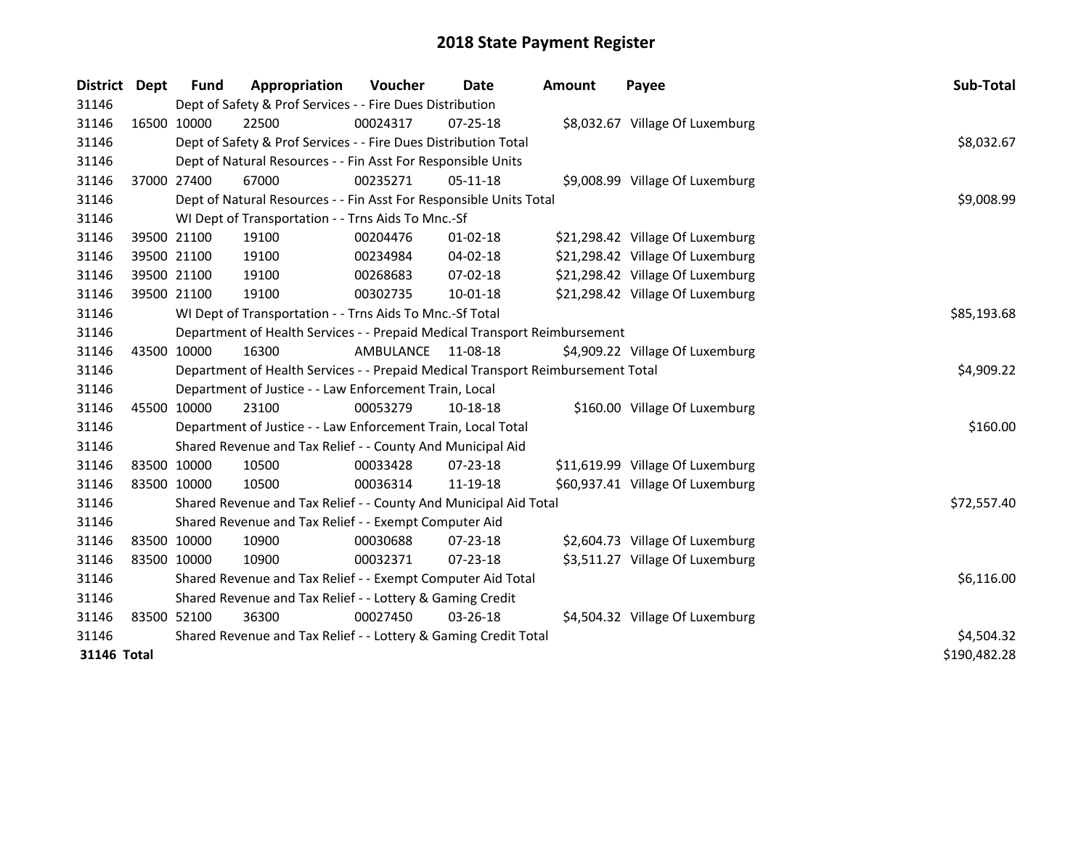| District    | Dept | <b>Fund</b> | Appropriation                                                                   | Voucher   | Date           | <b>Amount</b> | Payee                            | Sub-Total    |  |  |
|-------------|------|-------------|---------------------------------------------------------------------------------|-----------|----------------|---------------|----------------------------------|--------------|--|--|
| 31146       |      |             | Dept of Safety & Prof Services - - Fire Dues Distribution                       |           |                |               |                                  |              |  |  |
| 31146       |      | 16500 10000 | 22500                                                                           | 00024317  | $07 - 25 - 18$ |               | \$8,032.67 Village Of Luxemburg  |              |  |  |
| 31146       |      |             | Dept of Safety & Prof Services - - Fire Dues Distribution Total                 |           |                |               |                                  |              |  |  |
| 31146       |      |             | Dept of Natural Resources - - Fin Asst For Responsible Units                    |           |                |               |                                  |              |  |  |
| 31146       |      | 37000 27400 | 67000                                                                           | 00235271  | $05-11-18$     |               | \$9,008.99 Village Of Luxemburg  |              |  |  |
| 31146       |      |             | Dept of Natural Resources - - Fin Asst For Responsible Units Total              |           |                |               |                                  | \$9,008.99   |  |  |
| 31146       |      |             | WI Dept of Transportation - - Trns Aids To Mnc.-Sf                              |           |                |               |                                  |              |  |  |
| 31146       |      | 39500 21100 | 19100                                                                           | 00204476  | $01-02-18$     |               | \$21,298.42 Village Of Luxemburg |              |  |  |
| 31146       |      | 39500 21100 | 19100                                                                           | 00234984  | 04-02-18       |               | \$21,298.42 Village Of Luxemburg |              |  |  |
| 31146       |      | 39500 21100 | 19100                                                                           | 00268683  | 07-02-18       |               | \$21,298.42 Village Of Luxemburg |              |  |  |
| 31146       |      | 39500 21100 | 19100                                                                           | 00302735  | 10-01-18       |               | \$21,298.42 Village Of Luxemburg |              |  |  |
| 31146       |      |             | WI Dept of Transportation - - Trns Aids To Mnc.-Sf Total                        |           |                |               |                                  | \$85,193.68  |  |  |
| 31146       |      |             | Department of Health Services - - Prepaid Medical Transport Reimbursement       |           |                |               |                                  |              |  |  |
| 31146       |      | 43500 10000 | 16300                                                                           | AMBULANCE | 11-08-18       |               | \$4,909.22 Village Of Luxemburg  |              |  |  |
| 31146       |      |             | Department of Health Services - - Prepaid Medical Transport Reimbursement Total |           |                |               |                                  | \$4,909.22   |  |  |
| 31146       |      |             | Department of Justice - - Law Enforcement Train, Local                          |           |                |               |                                  |              |  |  |
| 31146       |      | 45500 10000 | 23100                                                                           | 00053279  | 10-18-18       |               | \$160.00 Village Of Luxemburg    |              |  |  |
| 31146       |      |             | Department of Justice - - Law Enforcement Train, Local Total                    |           |                |               |                                  | \$160.00     |  |  |
| 31146       |      |             | Shared Revenue and Tax Relief - - County And Municipal Aid                      |           |                |               |                                  |              |  |  |
| 31146       |      | 83500 10000 | 10500                                                                           | 00033428  | $07 - 23 - 18$ |               | \$11,619.99 Village Of Luxemburg |              |  |  |
| 31146       |      | 83500 10000 | 10500                                                                           | 00036314  | 11-19-18       |               | \$60,937.41 Village Of Luxemburg |              |  |  |
| 31146       |      |             | Shared Revenue and Tax Relief - - County And Municipal Aid Total                |           |                |               |                                  | \$72,557.40  |  |  |
| 31146       |      |             | Shared Revenue and Tax Relief - - Exempt Computer Aid                           |           |                |               |                                  |              |  |  |
| 31146       |      | 83500 10000 | 10900                                                                           | 00030688  | 07-23-18       |               | \$2,604.73 Village Of Luxemburg  |              |  |  |
| 31146       |      | 83500 10000 | 10900                                                                           | 00032371  | 07-23-18       |               | \$3,511.27 Village Of Luxemburg  |              |  |  |
| 31146       |      |             | Shared Revenue and Tax Relief - - Exempt Computer Aid Total                     |           |                |               |                                  | \$6,116.00   |  |  |
| 31146       |      |             | Shared Revenue and Tax Relief - - Lottery & Gaming Credit                       |           |                |               |                                  |              |  |  |
| 31146       |      | 83500 52100 | 36300                                                                           | 00027450  | 03-26-18       |               | \$4,504.32 Village Of Luxemburg  |              |  |  |
| 31146       |      |             | Shared Revenue and Tax Relief - - Lottery & Gaming Credit Total                 |           |                |               |                                  | \$4,504.32   |  |  |
| 31146 Total |      |             |                                                                                 |           |                |               |                                  | \$190,482.28 |  |  |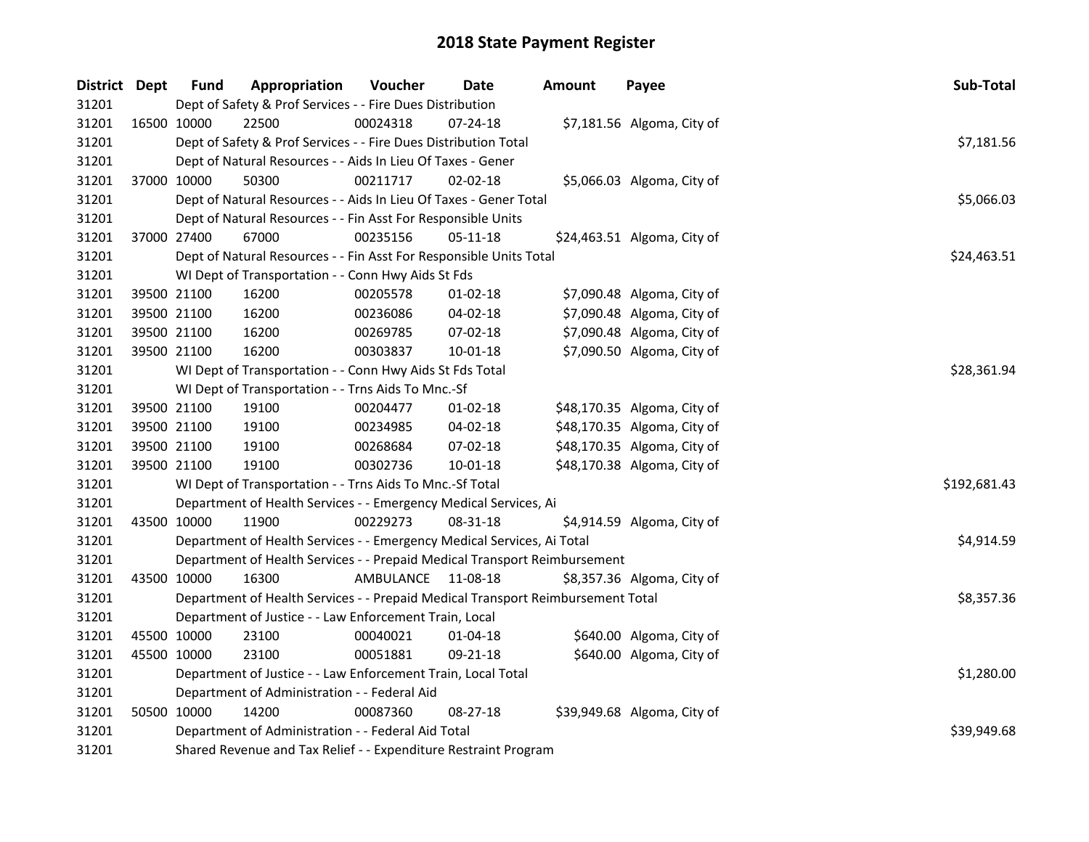| District Dept |             | <b>Fund</b> | Appropriation                                                                   | Voucher            | <b>Date</b>    | <b>Amount</b> | Payee                       | Sub-Total    |  |  |  |
|---------------|-------------|-------------|---------------------------------------------------------------------------------|--------------------|----------------|---------------|-----------------------------|--------------|--|--|--|
| 31201         |             |             | Dept of Safety & Prof Services - - Fire Dues Distribution                       |                    |                |               |                             |              |  |  |  |
| 31201         |             | 16500 10000 | 22500                                                                           | 00024318           | 07-24-18       |               | \$7,181.56 Algoma, City of  |              |  |  |  |
| 31201         |             |             | Dept of Safety & Prof Services - - Fire Dues Distribution Total                 |                    |                |               |                             |              |  |  |  |
| 31201         |             |             | Dept of Natural Resources - - Aids In Lieu Of Taxes - Gener                     |                    |                |               |                             |              |  |  |  |
| 31201         |             | 37000 10000 | 50300                                                                           | 00211717           | $02 - 02 - 18$ |               | \$5,066.03 Algoma, City of  |              |  |  |  |
| 31201         |             |             | Dept of Natural Resources - - Aids In Lieu Of Taxes - Gener Total               |                    |                |               |                             | \$5,066.03   |  |  |  |
| 31201         |             |             | Dept of Natural Resources - - Fin Asst For Responsible Units                    |                    |                |               |                             |              |  |  |  |
| 31201         |             | 37000 27400 | 67000                                                                           | 00235156           | 05-11-18       |               | \$24,463.51 Algoma, City of |              |  |  |  |
| 31201         |             |             | Dept of Natural Resources - - Fin Asst For Responsible Units Total              |                    |                |               |                             | \$24,463.51  |  |  |  |
| 31201         |             |             | WI Dept of Transportation - - Conn Hwy Aids St Fds                              |                    |                |               |                             |              |  |  |  |
| 31201         | 39500 21100 |             | 16200                                                                           | 00205578           | 01-02-18       |               | \$7,090.48 Algoma, City of  |              |  |  |  |
| 31201         |             | 39500 21100 | 16200                                                                           | 00236086           | 04-02-18       |               | \$7,090.48 Algoma, City of  |              |  |  |  |
| 31201         |             | 39500 21100 | 16200                                                                           | 00269785           | 07-02-18       |               | \$7,090.48 Algoma, City of  |              |  |  |  |
| 31201         |             | 39500 21100 | 16200                                                                           | 00303837           | 10-01-18       |               | \$7,090.50 Algoma, City of  |              |  |  |  |
| 31201         |             |             | WI Dept of Transportation - - Conn Hwy Aids St Fds Total                        |                    |                |               |                             | \$28,361.94  |  |  |  |
| 31201         |             |             | WI Dept of Transportation - - Trns Aids To Mnc.-Sf                              |                    |                |               |                             |              |  |  |  |
| 31201         |             | 39500 21100 | 19100                                                                           | 00204477           | 01-02-18       |               | \$48,170.35 Algoma, City of |              |  |  |  |
| 31201         | 39500 21100 |             | 19100                                                                           | 00234985           | 04-02-18       |               | \$48,170.35 Algoma, City of |              |  |  |  |
| 31201         | 39500 21100 |             | 19100                                                                           | 00268684           | 07-02-18       |               | \$48,170.35 Algoma, City of |              |  |  |  |
| 31201         | 39500 21100 |             | 19100                                                                           | 00302736           | 10-01-18       |               | \$48,170.38 Algoma, City of |              |  |  |  |
| 31201         |             |             | WI Dept of Transportation - - Trns Aids To Mnc.-Sf Total                        |                    |                |               |                             | \$192,681.43 |  |  |  |
| 31201         |             |             | Department of Health Services - - Emergency Medical Services, Ai                |                    |                |               |                             |              |  |  |  |
| 31201         | 43500 10000 |             | 11900                                                                           | 00229273           | 08-31-18       |               | \$4,914.59 Algoma, City of  |              |  |  |  |
| 31201         |             |             | Department of Health Services - - Emergency Medical Services, Ai Total          |                    |                |               |                             | \$4,914.59   |  |  |  |
| 31201         |             |             | Department of Health Services - - Prepaid Medical Transport Reimbursement       |                    |                |               |                             |              |  |  |  |
| 31201         |             | 43500 10000 | 16300                                                                           | AMBULANCE 11-08-18 |                |               | \$8,357.36 Algoma, City of  |              |  |  |  |
| 31201         |             |             | Department of Health Services - - Prepaid Medical Transport Reimbursement Total |                    |                |               |                             | \$8,357.36   |  |  |  |
| 31201         |             |             | Department of Justice - - Law Enforcement Train, Local                          |                    |                |               |                             |              |  |  |  |
| 31201         | 45500 10000 |             | 23100                                                                           | 00040021           | 01-04-18       |               | \$640.00 Algoma, City of    |              |  |  |  |
| 31201         | 45500 10000 |             | 23100                                                                           | 00051881           | 09-21-18       |               | \$640.00 Algoma, City of    |              |  |  |  |
| 31201         |             |             | Department of Justice - - Law Enforcement Train, Local Total                    |                    |                |               |                             | \$1,280.00   |  |  |  |
| 31201         |             |             | Department of Administration - - Federal Aid                                    |                    |                |               |                             |              |  |  |  |
| 31201         |             | 50500 10000 | 14200                                                                           | 00087360           | 08-27-18       |               | \$39,949.68 Algoma, City of |              |  |  |  |
| 31201         |             |             | Department of Administration - - Federal Aid Total                              |                    |                |               |                             | \$39,949.68  |  |  |  |
| 31201         |             |             | Shared Revenue and Tax Relief - - Expenditure Restraint Program                 |                    |                |               |                             |              |  |  |  |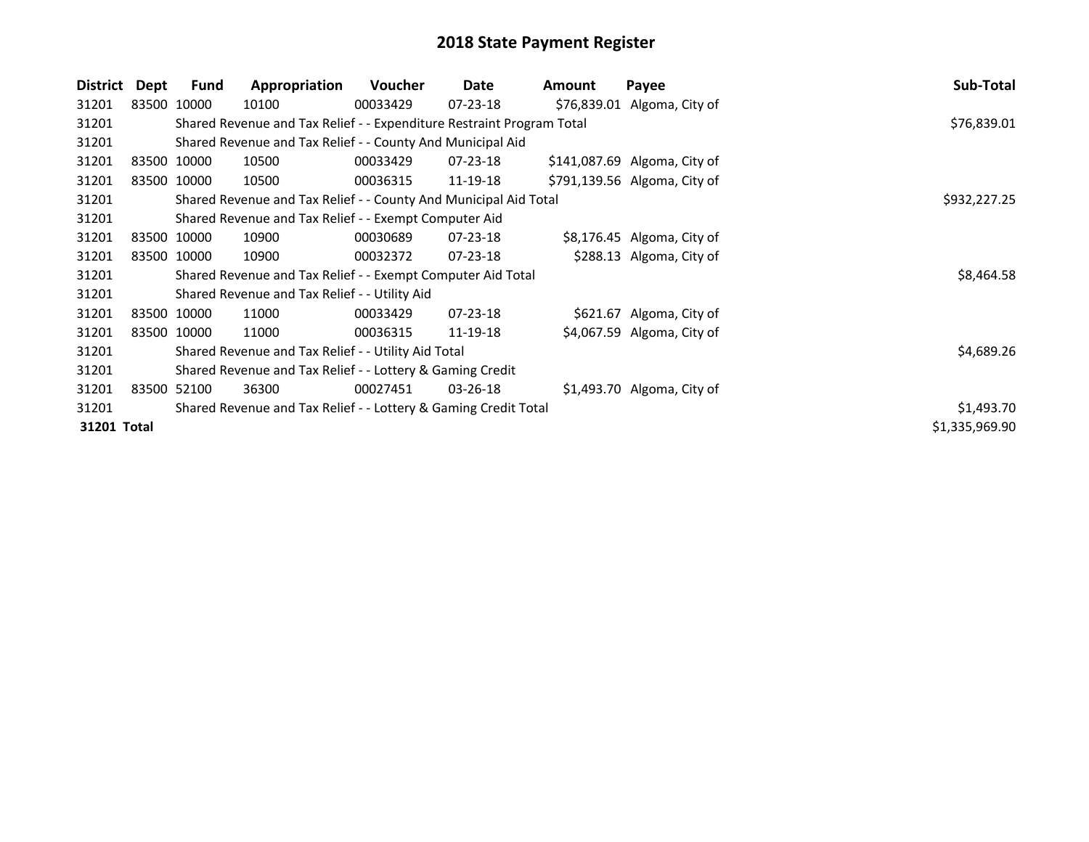| <b>District</b> | Dept        | <b>Fund</b> | Appropriation                                                         | <b>Voucher</b> | Date           | Amount | Payee                        | Sub-Total      |
|-----------------|-------------|-------------|-----------------------------------------------------------------------|----------------|----------------|--------|------------------------------|----------------|
| 31201           | 83500 10000 |             | 10100                                                                 | 00033429       | 07-23-18       |        | \$76,839.01 Algoma, City of  |                |
| 31201           |             |             | Shared Revenue and Tax Relief - - Expenditure Restraint Program Total |                |                |        |                              | \$76,839.01    |
| 31201           |             |             | Shared Revenue and Tax Relief - - County And Municipal Aid            |                |                |        |                              |                |
| 31201           | 83500 10000 |             | 10500                                                                 | 00033429       | $07 - 23 - 18$ |        | \$141,087.69 Algoma, City of |                |
| 31201           | 83500 10000 |             | 10500                                                                 | 00036315       | 11-19-18       |        | \$791,139.56 Algoma, City of |                |
| 31201           |             |             | Shared Revenue and Tax Relief - - County And Municipal Aid Total      |                |                |        |                              | \$932,227.25   |
| 31201           |             |             | Shared Revenue and Tax Relief - - Exempt Computer Aid                 |                |                |        |                              |                |
| 31201           | 83500 10000 |             | 10900                                                                 | 00030689       | 07-23-18       |        | \$8,176.45 Algoma, City of   |                |
| 31201           | 83500 10000 |             | 10900                                                                 | 00032372       | $07 - 23 - 18$ |        | \$288.13 Algoma, City of     |                |
| 31201           |             |             | Shared Revenue and Tax Relief - - Exempt Computer Aid Total           |                |                |        |                              | \$8,464.58     |
| 31201           |             |             | Shared Revenue and Tax Relief - - Utility Aid                         |                |                |        |                              |                |
| 31201           | 83500 10000 |             | 11000                                                                 | 00033429       | 07-23-18       |        | \$621.67 Algoma, City of     |                |
| 31201           | 83500 10000 |             | 11000                                                                 | 00036315       | 11-19-18       |        | \$4,067.59 Algoma, City of   |                |
| 31201           |             |             | Shared Revenue and Tax Relief - - Utility Aid Total                   | \$4,689.26     |                |        |                              |                |
| 31201           |             |             | Shared Revenue and Tax Relief - - Lottery & Gaming Credit             |                |                |        |                              |                |
| 31201           | 83500 52100 |             | 36300                                                                 | 00027451       | $03 - 26 - 18$ |        | \$1,493.70 Algoma, City of   |                |
| 31201           |             |             | Shared Revenue and Tax Relief - - Lottery & Gaming Credit Total       |                |                |        |                              | \$1,493.70     |
| 31201 Total     |             |             |                                                                       |                |                |        |                              | \$1,335,969.90 |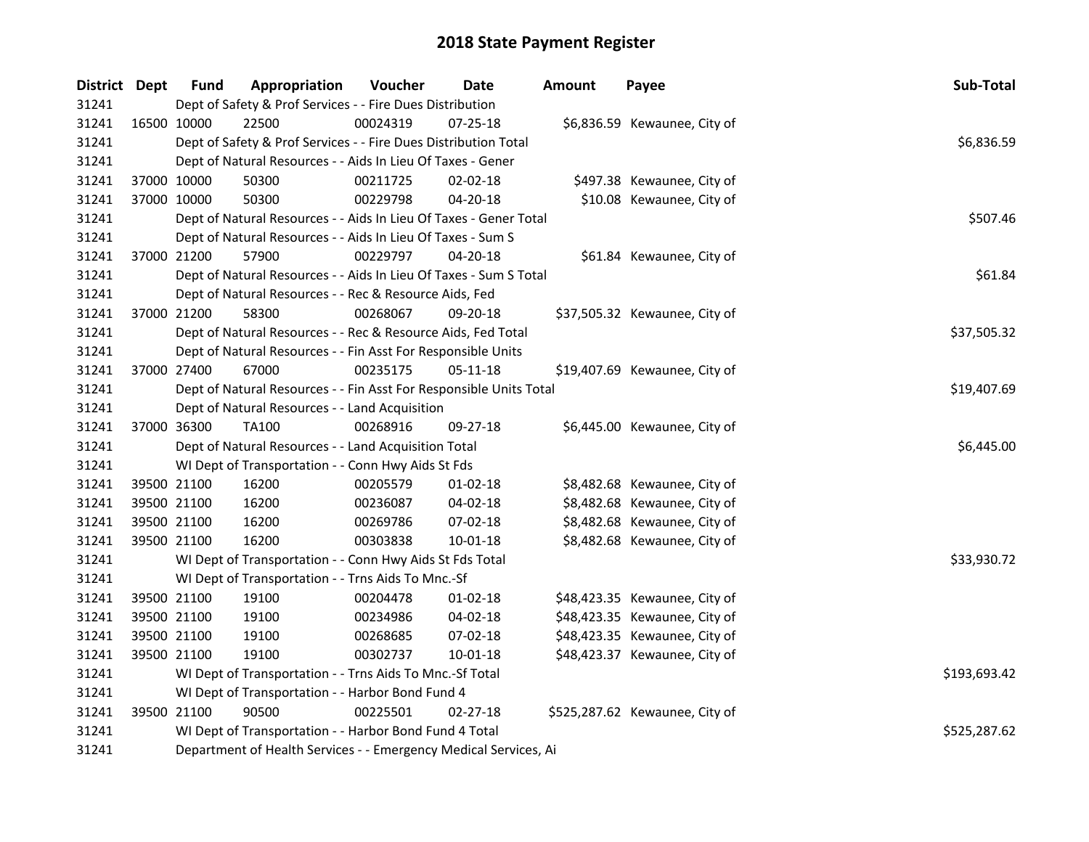| District Dept |             | <b>Fund</b>                                                      | Appropriation                                                      | Voucher  | <b>Date</b>    | <b>Amount</b> | Payee                          | Sub-Total    |  |  |  |
|---------------|-------------|------------------------------------------------------------------|--------------------------------------------------------------------|----------|----------------|---------------|--------------------------------|--------------|--|--|--|
| 31241         |             |                                                                  | Dept of Safety & Prof Services - - Fire Dues Distribution          |          |                |               |                                |              |  |  |  |
| 31241         |             | 16500 10000                                                      | 22500                                                              | 00024319 | 07-25-18       |               | \$6,836.59 Kewaunee, City of   |              |  |  |  |
| 31241         |             |                                                                  | Dept of Safety & Prof Services - - Fire Dues Distribution Total    |          |                |               |                                |              |  |  |  |
| 31241         |             | Dept of Natural Resources - - Aids In Lieu Of Taxes - Gener      |                                                                    |          |                |               |                                |              |  |  |  |
| 31241         | 37000 10000 |                                                                  | 50300                                                              | 00211725 | 02-02-18       |               | \$497.38 Kewaunee, City of     |              |  |  |  |
| 31241         | 37000 10000 |                                                                  | 50300                                                              | 00229798 | 04-20-18       |               | \$10.08 Kewaunee, City of      |              |  |  |  |
| 31241         |             |                                                                  | Dept of Natural Resources - - Aids In Lieu Of Taxes - Gener Total  |          |                |               |                                | \$507.46     |  |  |  |
| 31241         |             |                                                                  | Dept of Natural Resources - - Aids In Lieu Of Taxes - Sum S        |          |                |               |                                |              |  |  |  |
| 31241         | 37000 21200 |                                                                  | 57900                                                              | 00229797 | 04-20-18       |               | \$61.84 Kewaunee, City of      |              |  |  |  |
| 31241         |             |                                                                  | Dept of Natural Resources - - Aids In Lieu Of Taxes - Sum S Total  |          |                |               |                                | \$61.84      |  |  |  |
| 31241         |             |                                                                  | Dept of Natural Resources - - Rec & Resource Aids, Fed             |          |                |               |                                |              |  |  |  |
| 31241         | 37000 21200 |                                                                  | 58300                                                              | 00268067 | 09-20-18       |               | \$37,505.32 Kewaunee, City of  |              |  |  |  |
| 31241         |             |                                                                  | Dept of Natural Resources - - Rec & Resource Aids, Fed Total       |          |                |               |                                | \$37,505.32  |  |  |  |
| 31241         |             |                                                                  | Dept of Natural Resources - - Fin Asst For Responsible Units       |          |                |               |                                |              |  |  |  |
| 31241         | 37000 27400 |                                                                  | 67000                                                              | 00235175 | 05-11-18       |               | \$19,407.69 Kewaunee, City of  |              |  |  |  |
| 31241         |             |                                                                  | Dept of Natural Resources - - Fin Asst For Responsible Units Total |          |                |               |                                | \$19,407.69  |  |  |  |
| 31241         |             |                                                                  | Dept of Natural Resources - - Land Acquisition                     |          |                |               |                                |              |  |  |  |
| 31241         | 37000 36300 |                                                                  | <b>TA100</b>                                                       | 00268916 | 09-27-18       |               | \$6,445.00 Kewaunee, City of   |              |  |  |  |
| 31241         |             |                                                                  | Dept of Natural Resources - - Land Acquisition Total               |          |                |               |                                | \$6,445.00   |  |  |  |
| 31241         |             |                                                                  | WI Dept of Transportation - - Conn Hwy Aids St Fds                 |          |                |               |                                |              |  |  |  |
| 31241         | 39500 21100 |                                                                  | 16200                                                              | 00205579 | 01-02-18       |               | \$8,482.68 Kewaunee, City of   |              |  |  |  |
| 31241         | 39500 21100 |                                                                  | 16200                                                              | 00236087 | 04-02-18       |               | \$8,482.68 Kewaunee, City of   |              |  |  |  |
| 31241         | 39500 21100 |                                                                  | 16200                                                              | 00269786 | 07-02-18       |               | \$8,482.68 Kewaunee, City of   |              |  |  |  |
| 31241         | 39500 21100 |                                                                  | 16200                                                              | 00303838 | $10 - 01 - 18$ |               | \$8,482.68 Kewaunee, City of   |              |  |  |  |
| 31241         |             |                                                                  | WI Dept of Transportation - - Conn Hwy Aids St Fds Total           |          |                |               |                                | \$33,930.72  |  |  |  |
| 31241         |             |                                                                  | WI Dept of Transportation - - Trns Aids To Mnc.-Sf                 |          |                |               |                                |              |  |  |  |
| 31241         | 39500 21100 |                                                                  | 19100                                                              | 00204478 | $01-02-18$     |               | \$48,423.35 Kewaunee, City of  |              |  |  |  |
| 31241         | 39500 21100 |                                                                  | 19100                                                              | 00234986 | 04-02-18       |               | \$48,423.35 Kewaunee, City of  |              |  |  |  |
| 31241         | 39500 21100 |                                                                  | 19100                                                              | 00268685 | 07-02-18       |               | \$48,423.35 Kewaunee, City of  |              |  |  |  |
| 31241         | 39500 21100 |                                                                  | 19100                                                              | 00302737 | 10-01-18       |               | \$48,423.37 Kewaunee, City of  |              |  |  |  |
| 31241         |             |                                                                  | WI Dept of Transportation - - Trns Aids To Mnc.-Sf Total           |          |                |               |                                | \$193,693.42 |  |  |  |
| 31241         |             |                                                                  | WI Dept of Transportation - - Harbor Bond Fund 4                   |          |                |               |                                |              |  |  |  |
| 31241         | 39500 21100 |                                                                  | 90500                                                              | 00225501 | $02 - 27 - 18$ |               | \$525,287.62 Kewaunee, City of |              |  |  |  |
| 31241         |             |                                                                  | WI Dept of Transportation - - Harbor Bond Fund 4 Total             |          |                |               |                                | \$525,287.62 |  |  |  |
| 31241         |             | Department of Health Services - - Emergency Medical Services, Ai |                                                                    |          |                |               |                                |              |  |  |  |